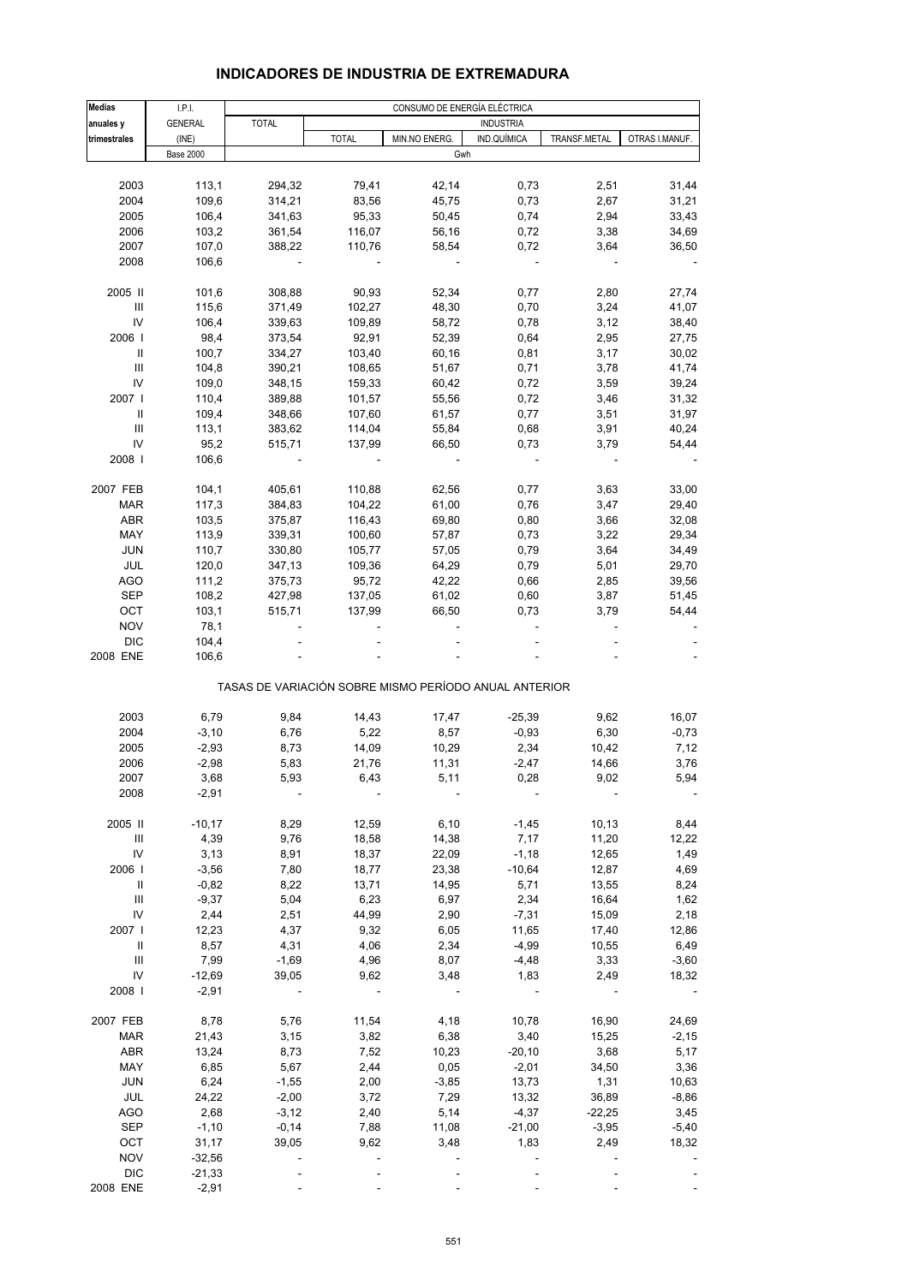| INDICADORES DE INDUSTRIA DE EXTREMADURA |  |
|-----------------------------------------|--|
|                                         |  |

| <b>Medias</b>                      | LPL                 | CONSUMO DE ENERGÍA ELÉCTRICA |                |                                                       |                  |              |                |  |
|------------------------------------|---------------------|------------------------------|----------------|-------------------------------------------------------|------------------|--------------|----------------|--|
| anuales y                          | <b>GENERAL</b>      | <b>TOTAL</b>                 |                |                                                       | <b>INDUSTRIA</b> |              |                |  |
| trimestrales                       | (INE)               |                              | <b>TOTAL</b>   | MIN.NO ENERG.                                         | IND.QUÍMICA      | TRANSF.METAL | OTRAS I.MANUF. |  |
|                                    | <b>Base 2000</b>    |                              |                | Gwh                                                   |                  |              |                |  |
|                                    |                     |                              |                |                                                       |                  |              |                |  |
| 2003                               | 113,1               | 294,32<br>314,21             | 79,41          | 42,14                                                 | 0,73<br>0,73     | 2,51<br>2,67 | 31,44          |  |
| 2004<br>2005                       | 109,6<br>106,4      | 341,63                       | 83,56<br>95,33 | 45,75                                                 | 0,74             | 2,94         | 31,21<br>33,43 |  |
| 2006                               | 103,2               | 361,54                       | 116,07         | 50,45<br>56,16                                        | 0,72             | 3,38         | 34,69          |  |
| 2007                               | 107,0               | 388,22                       | 110,76         | 58,54                                                 | 0,72             | 3,64         | 36,50          |  |
| 2008                               | 106,6               |                              |                |                                                       |                  |              |                |  |
|                                    |                     |                              |                |                                                       |                  |              |                |  |
| 2005 II                            | 101,6               | 308,88                       | 90,93          | 52,34                                                 | 0,77             | 2,80         | 27,74          |  |
| $\ensuremath{\mathsf{III}}\xspace$ | 115,6               | 371,49                       | 102,27         | 48,30                                                 | 0,70             | 3,24         | 41,07          |  |
| IV                                 | 106,4               | 339,63                       | 109,89         | 58,72                                                 | 0,78             | 3,12         | 38,40          |  |
| 2006                               | 98,4                | 373,54                       | 92,91          | 52,39                                                 | 0,64             | 2,95         | 27,75          |  |
| Ш                                  | 100,7               | 334,27                       | 103,40         | 60,16                                                 | 0,81             | 3,17         | 30,02          |  |
| Ш                                  | 104,8               | 390,21                       | 108,65         | 51,67                                                 | 0,71             | 3,78         | 41,74          |  |
| IV                                 | 109,0               | 348,15                       | 159,33         | 60,42                                                 | 0,72             | 3,59         | 39,24          |  |
| 2007                               | 110,4               | 389,88                       | 101,57         | 55,56                                                 | 0,72             | 3,46         | 31,32          |  |
| Ш                                  | 109,4               | 348,66                       | 107,60         | 61,57                                                 | 0,77             | 3,51         | 31,97          |  |
| Ш                                  | 113,1               | 383,62                       | 114,04         | 55,84                                                 | 0,68             | 3,91         | 40,24          |  |
| IV                                 | 95,2                | 515,71                       | 137,99         | 66,50                                                 | 0,73             | 3,79         | 54,44          |  |
| 2008                               | 106,6               |                              |                |                                                       |                  |              |                |  |
| 2007 FEB                           | 104,1               | 405,61                       | 110,88         | 62,56                                                 | 0,77             | 3,63         | 33,00          |  |
| <b>MAR</b>                         | 117,3               | 384,83                       | 104,22         | 61,00                                                 | 0,76             | 3,47         | 29,40          |  |
| <b>ABR</b>                         | 103,5               | 375,87                       | 116,43         | 69,80                                                 | 0,80             | 3,66         | 32,08          |  |
| MAY                                | 113,9               | 339,31                       | 100,60         | 57,87                                                 | 0,73             | 3,22         | 29,34          |  |
| <b>JUN</b>                         | 110,7               | 330,80                       | 105,77         | 57,05                                                 | 0,79             | 3,64         | 34,49          |  |
| JUL                                | 120,0               | 347,13                       | 109,36         | 64,29                                                 | 0,79             | 5,01         | 29,70          |  |
| <b>AGO</b>                         | 111,2               | 375,73                       | 95,72          | 42,22                                                 | 0,66             | 2,85         | 39,56          |  |
| <b>SEP</b>                         | 108,2               | 427,98                       | 137,05         | 61,02                                                 | 0,60             | 3,87         | 51,45          |  |
| OCT                                | 103,1               | 515,71                       | 137,99         | 66,50                                                 | 0,73             | 3,79         | 54,44          |  |
| <b>NOV</b>                         | 78,1                |                              |                |                                                       |                  |              |                |  |
| <b>DIC</b>                         | 104,4               |                              |                |                                                       |                  |              |                |  |
| 2008 ENE                           | 106,6               |                              |                |                                                       |                  |              |                |  |
|                                    |                     |                              |                | TASAS DE VARIACIÓN SOBRE MISMO PERÍODO ANUAL ANTERIOR |                  |              |                |  |
| 2003                               | 6,79                | 9,84                         | 14,43          | 17,47                                                 | $-25,39$         | 9,62         | 16,07          |  |
| 2004                               | $-3,10$             | 6,76                         | 5,22           | 8,57                                                  | $-0,93$          | 6,30         | $-0,73$        |  |
| 2005                               | $-2,93$             | 8,73                         | 14,09          | 10,29                                                 | 2,34             | 10,42        | 7,12           |  |
| 2006                               | $-2,98$             | 5,83                         | 21,76          | 11,31                                                 | $-2,47$          | 14,66        | 3,76           |  |
| 2007                               | 3,68                | 5,93                         | 6,43           | 5,11                                                  | 0,28             | 9,02         | 5,94           |  |
| 2008                               | $-2,91$             |                              |                |                                                       |                  |              |                |  |
|                                    |                     |                              |                |                                                       |                  |              |                |  |
| 2005 II                            | $-10,17$            | 8,29                         | 12,59          | 6, 10                                                 | $-1,45$          | 10,13        | 8,44           |  |
| Ш                                  | 4,39                | 9,76                         | 18,58          | 14,38                                                 | 7,17             | 11,20        | 12,22          |  |
| IV                                 | 3,13                | 8,91                         | 18,37          | 22,09                                                 | $-1,18$          | 12,65        | 1,49           |  |
| 2006                               | $-3,56$             | 7,80                         | 18,77          | 23,38                                                 | $-10,64$         | 12,87        | 4,69           |  |
| Ш                                  | $-0,82$             | 8,22                         | 13,71          | 14,95                                                 | 5,71             | 13,55        | 8,24           |  |
| Ш                                  | $-9,37$             | 5,04                         | 6,23           | 6,97                                                  | 2,34             | 16,64        | 1,62           |  |
| IV                                 | 2,44                | 2,51                         | 44,99          | 2,90                                                  | $-7,31$          | 15,09        | 2,18           |  |
| 2007 l                             | 12,23               | 4,37                         | 9,32           | 6,05                                                  | 11,65            | 17,40        | 12,86          |  |
| Ш                                  | 8,57                | 4,31                         | 4,06           | 2,34                                                  | $-4,99$          | 10,55        | 6,49           |  |
| Ш                                  | 7,99                | $-1,69$                      | 4,96           | 8,07                                                  | $-4,48$          | 3,33         | $-3,60$        |  |
| IV<br>2008                         | $-12,69$<br>$-2,91$ | 39,05                        | 9,62           | 3,48                                                  | 1,83             | 2,49         | 18,32          |  |
|                                    |                     |                              |                |                                                       |                  |              |                |  |
| 2007 FEB                           | 8,78                | 5,76                         | 11,54          | 4,18                                                  | 10,78            | 16,90        | 24,69          |  |
| <b>MAR</b>                         | 21,43               | 3,15                         | 3,82           | 6,38                                                  | 3,40             | 15,25        | $-2,15$        |  |
| ABR                                | 13,24               | 8,73                         | 7,52           | 10,23                                                 | $-20,10$         | 3,68         | 5,17           |  |
| MAY                                | 6,85                | 5,67                         | 2,44           | 0,05                                                  | $-2,01$          | 34,50        | 3,36           |  |
| <b>JUN</b>                         | 6,24                | $-1,55$                      | 2,00           | $-3,85$                                               | 13,73            | 1,31         | 10,63          |  |
| JUL                                | 24,22               | $-2,00$                      | 3,72           | 7,29                                                  | 13,32            | 36,89        | $-8,86$        |  |
| AGO                                | 2,68                | $-3,12$                      | 2,40           | 5,14                                                  | $-4,37$          | $-22,25$     | 3,45           |  |
| <b>SEP</b>                         | $-1,10$             | $-0,14$                      | 7,88           | 11,08                                                 | $-21,00$         | $-3,95$      | $-5,40$        |  |
| OCT                                | 31,17               | 39,05                        | 9,62           | 3,48                                                  | 1,83             | 2,49         | 18,32          |  |
| <b>NOV</b>                         | $-32,56$            |                              |                |                                                       |                  |              |                |  |
| <b>DIC</b>                         | $-21,33$            |                              |                |                                                       |                  |              |                |  |
| 2008 ENE                           | $-2,91$             |                              |                |                                                       |                  |              |                |  |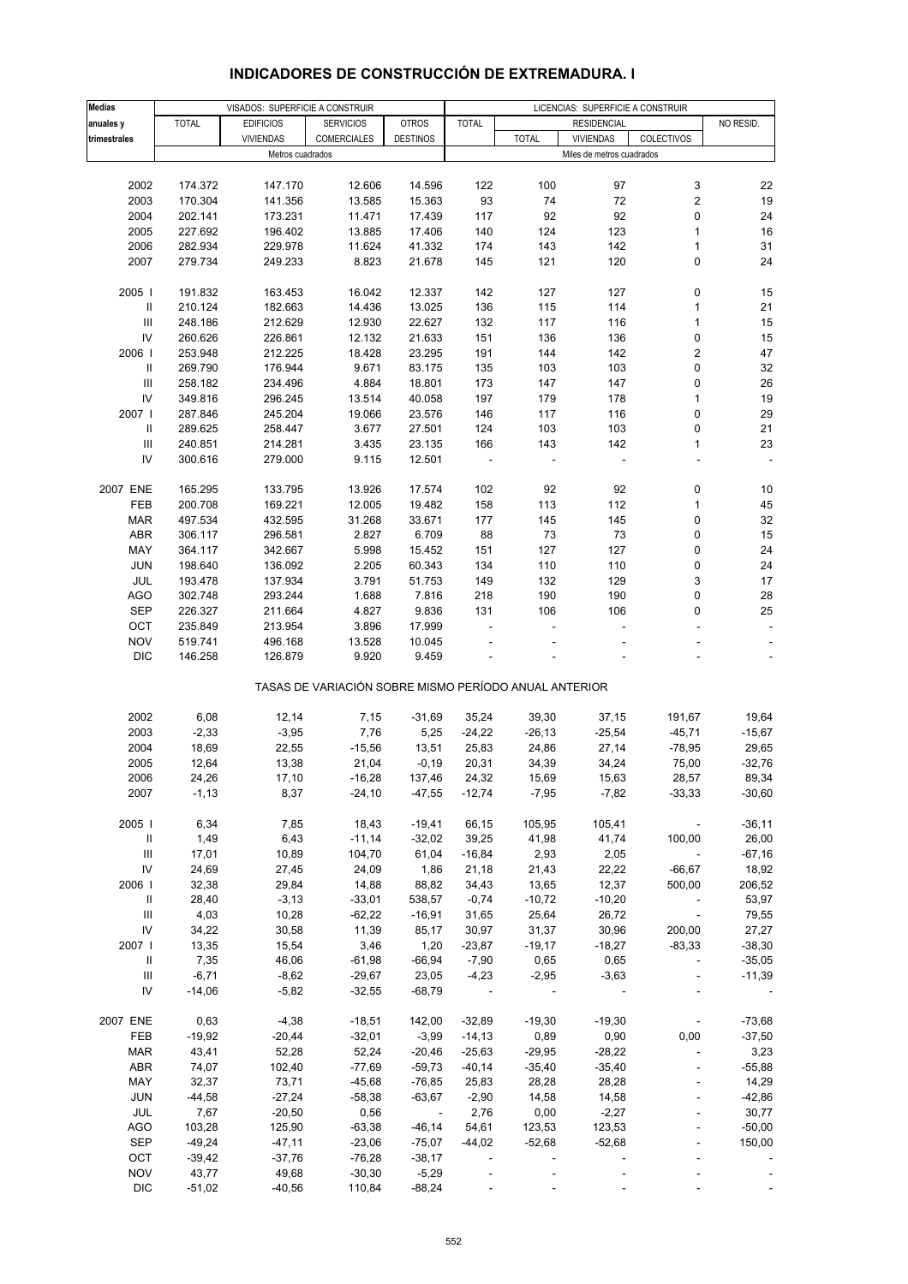| Medias                             |              | VISADOS: SUPERFICIE A CONSTRUIR |                                                       |                         | LICENCIAS: SUPERFICIE A CONSTRUIR |               |                           |                          |           |
|------------------------------------|--------------|---------------------------------|-------------------------------------------------------|-------------------------|-----------------------------------|---------------|---------------------------|--------------------------|-----------|
| anuales y                          | <b>TOTAL</b> | <b>EDIFICIOS</b>                | <b>SERVICIOS</b>                                      | <b>OTROS</b>            | <b>TOTAL</b>                      |               | <b>RESIDENCIAL</b>        |                          | NO RESID. |
| trimestrales                       |              | <b>VIVIENDAS</b>                | <b>COMERCIALES</b>                                    | <b>DESTINOS</b>         |                                   | <b>TOTAL</b>  | <b>VIVIENDAS</b>          | COLECTIVOS               |           |
|                                    |              | Metros cuadrados                |                                                       |                         |                                   |               | Miles de metros cuadrados |                          |           |
|                                    |              |                                 |                                                       |                         |                                   |               |                           |                          |           |
| 2002                               | 174.372      | 147.170                         | 12.606                                                | 14.596                  | 122                               | 100           | 97                        | 3                        | 22        |
| 2003                               | 170.304      | 141.356                         | 13.585                                                | 15.363                  | 93                                | 74            | 72                        | $\mathbf 2$              | 19        |
| 2004                               | 202.141      | 173.231                         | 11.471                                                | 17.439                  | 117                               | 92            | 92                        | 0                        | 24        |
| 2005                               | 227.692      | 196.402                         | 13.885                                                | 17.406                  | 140                               | 124           | 123                       | $\mathbf{1}$             | 16        |
| 2006                               | 282.934      | 229.978                         | 11.624                                                | 41.332                  | 174                               | 143           | 142                       | 1                        | 31        |
| 2007                               | 279.734      | 249.233                         | 8.823                                                 | 21.678                  | 145                               | 121           | 120                       | 0                        | 24        |
|                                    |              |                                 |                                                       |                         |                                   |               |                           |                          |           |
| 2005                               | 191.832      | 163.453                         | 16.042                                                | 12.337                  | 142                               | 127           | 127                       | 0                        | 15        |
| Ш                                  | 210.124      | 182.663                         | 14.436                                                | 13.025                  | 136                               | 115           | 114                       | 1                        | 21        |
| Ш                                  | 248.186      | 212.629                         | 12.930                                                | 22.627                  | 132                               | 117           | 116                       | $\mathbf{1}$             | 15        |
| ${\sf IV}$                         | 260.626      | 226.861                         | 12.132                                                | 21.633                  | 151                               | 136           | 136                       | 0                        | 15        |
| 2006                               | 253.948      | 212.225                         | 18.428                                                | 23.295                  | 191                               | 144           | 142                       | 2                        | 47        |
| Ш                                  | 269.790      | 176.944                         | 9.671                                                 | 83.175                  | 135                               | 103           | 103                       | 0                        | 32        |
| Ш                                  | 258.182      | 234.496                         | 4.884                                                 | 18.801                  | 173                               | 147           | 147                       | 0                        | 26        |
| ${\sf IV}$                         | 349.816      | 296.245                         | 13.514                                                | 40.058                  | 197                               | 179           | 178                       | 1                        | 19        |
| 2007                               | 287.846      | 245.204                         | 19.066                                                | 23.576                  | 146                               | 117           | 116                       | 0                        | 29        |
| Ш                                  | 289.625      | 258.447                         | 3.677                                                 | 27.501                  | 124                               | 103           | 103                       | 0                        | 21        |
| Ш                                  | 240.851      | 214.281                         | 3.435                                                 | 23.135                  | 166                               | 143           | 142                       | 1                        | 23        |
| ${\sf IV}$                         | 300.616      | 279.000                         | 9.115                                                 | 12.501                  | $\overline{\phantom{a}}$          |               | ÷,                        |                          |           |
|                                    |              |                                 |                                                       |                         |                                   |               |                           |                          |           |
| 2007 ENE                           | 165.295      | 133.795                         | 13.926                                                | 17.574                  | 102                               | 92            | 92                        | 0                        | 10        |
| FEB                                | 200.708      | 169.221                         | 12.005                                                | 19.482                  | 158                               | 113           | 112                       | 1                        | 45        |
| <b>MAR</b>                         | 497.534      | 432.595                         | 31.268                                                | 33.671                  | 177                               | 145           | 145                       | 0                        | 32        |
| ABR                                | 306.117      | 296.581                         | 2.827                                                 | 6.709                   | 88                                | 73            | 73                        | 0                        | 15        |
| MAY                                | 364.117      | 342.667                         | 5.998                                                 | 15.452                  | 151                               | 127           | 127                       | 0                        | 24        |
| <b>JUN</b>                         | 198.640      | 136.092                         | 2.205                                                 | 60.343                  | 134                               | 110           | 110                       | 0                        | 24        |
| JUL                                | 193.478      | 137.934                         | 3.791                                                 | 51.753                  | 149                               | 132           | 129                       | 3                        | 17        |
| AGO                                | 302.748      | 293.244                         | 1.688                                                 | 7.816                   | 218                               | 190           | 190                       | 0                        | 28        |
| SEP                                | 226.327      | 211.664                         | 4.827                                                 | 9.836                   | 131                               | 106           | 106                       | 0                        | 25        |
| OCT                                | 235.849      | 213.954                         | 3.896                                                 | 17.999                  |                                   |               |                           |                          |           |
| <b>NOV</b>                         | 519.741      | 496.168                         | 13.528                                                | 10.045                  |                                   |               |                           |                          |           |
| <b>DIC</b>                         |              |                                 |                                                       |                         |                                   |               |                           |                          |           |
|                                    | 146.258      | 126.879                         | 9.920                                                 | 9.459                   |                                   |               |                           |                          |           |
|                                    |              |                                 | TASAS DE VARIACIÓN SOBRE MISMO PERÍODO ANUAL ANTERIOR |                         |                                   |               |                           |                          |           |
| 2002                               | 6,08         | 12,14                           | 7,15                                                  | $-31,69$                | 35,24                             | 39,30         | 37,15                     | 191,67                   | 19,64     |
| 2003                               | $-2,33$      | $-3,95$                         | 7,76                                                  | 5,25                    | $-24,22$                          | $-26, 13$     | $-25,54$                  | $-45,71$                 | $-15,67$  |
| 2004                               | 18,69        |                                 |                                                       | 13,51                   |                                   |               | 27,14                     |                          | 29,65     |
| 2005                               |              | 22,55                           | $-15,56$                                              |                         | 25,83                             | 24,86         |                           | $-78,95$                 | $-32,76$  |
|                                    | 12,64        | 13,38                           | 21,04                                                 | $-0,19$                 | 20,31                             | 34,39         | 34,24                     | 75,00                    |           |
| 2006                               | 24,26        | 17,10                           | $-16,28$                                              | 137,46                  | 24,32                             | 15,69         | 15,63                     | 28,57                    | 89,34     |
| 2007                               | $-1,13$      | 8,37                            | $-24,10$                                              | -47,55                  | $-12,74$                          | $-7,95$       | $-7,82$                   | $-33,33$                 | $-30,60$  |
| 2005                               | 6,34         | 7,85                            | 18,43                                                 | $-19,41$                | 66,15                             | 105,95        | 105,41                    | $\sim$                   | $-36,11$  |
| Ш                                  | 1,49         | 6,43                            | $-11,14$                                              | $-32,02$                | 39,25                             | 41,98         | 41,74                     | 100,00                   | 26,00     |
| Ш                                  | 17,01        | 10,89                           | 104,70                                                | 61,04                   | $-16,84$                          | 2,93          | 2,05                      |                          | $-67,16$  |
| ${\sf IV}$                         | 24,69        | 27,45                           | 24,09                                                 | 1,86                    | 21,18                             | 21,43         | 22,22                     | $-66,67$                 | 18,92     |
| 2006                               | 32,38        | 29,84                           | 14,88                                                 | 88,82                   | 34,43                             | 13,65         | 12,37                     | 500,00                   | 206,52    |
| Ш                                  | 28,40        | $-3,13$                         | $-33,01$                                              | 538,57                  | $-0,74$                           | $-10,72$      | $-10,20$                  | $\sim$ $-$               | 53,97     |
| Ш                                  | 4,03         | 10,28                           | $-62,22$                                              | $-16,91$                | 31,65                             | 25,64         | 26,72                     | $\sim 100$ km s $^{-1}$  | 79,55     |
|                                    |              |                                 |                                                       |                         |                                   |               |                           |                          |           |
| IV                                 | 34,22        | 30,58                           | 11,39                                                 | 85,17                   | 30,97                             | 31,37         | 30,96                     | 200,00                   | 27,27     |
| 2007 l                             | 13,35        | 15,54                           | 3,46                                                  | 1,20                    | $-23,87$                          | $-19,17$      | $-18,27$                  | $-83,33$                 | $-38,30$  |
| Ш                                  | 7,35         | 46,06                           | $-61,98$                                              | $-66,94$                | $-7,90$                           | 0,65          | 0,65                      | $\blacksquare$           | $-35,05$  |
| $\ensuremath{\mathsf{III}}\xspace$ | $-6,71$      | $-8,62$                         | $-29,67$                                              | 23,05                   | $-4,23$                           | $-2,95$       | $-3,63$                   |                          | $-11,39$  |
| IV                                 | $-14,06$     | $-5,82$                         | $-32,55$                                              | $-68,79$                | $\sim 100$                        |               | $\sim$ $-$                |                          | ÷         |
| 2007 ENE                           | 0,63         | $-4,38$                         | $-18,51$                                              | 142,00                  | $-32,89$                          | $-19,30$      | $-19,30$                  | $\overline{\phantom{a}}$ | $-73,68$  |
| FEB                                | $-19,92$     | $-20,44$                        | $-32,01$                                              | $-3,99$                 | $-14, 13$                         | 0,89          | 0,90                      | 0,00                     | $-37,50$  |
| <b>MAR</b>                         | 43,41        | 52,28                           | 52,24                                                 | $-20,46$                | $-25,63$                          | $-29,95$      | $-28,22$                  |                          | 3,23      |
| <b>ABR</b>                         | 74,07        | 102,40                          | $-77,69$                                              | $-59,73$                | $-40,14$                          | $-35,40$      | $-35,40$                  |                          | $-55,88$  |
| MAY                                | 32,37        | 73,71                           |                                                       |                         |                                   |               | 28,28                     |                          | 14,29     |
|                                    |              |                                 | $-45,68$                                              | $-76,85$                | 25,83                             | 28,28         |                           |                          | $-42,86$  |
| <b>JUN</b>                         | $-44,58$     | $-27,24$                        | $-58,38$                                              | $-63,67$                | $-2,90$                           | 14,58         | 14,58                     |                          |           |
| JUL                                | 7,67         | $-20,50$                        | 0,56                                                  | $\sim 100$ km s $^{-1}$ | 2,76                              | 0,00          | $-2,27$                   |                          | 30,77     |
| <b>AGO</b>                         | 103,28       | 125,90                          | $-63,38$                                              | $-46, 14$               | 54,61                             | 123,53        | 123,53                    |                          | $-50,00$  |
| <b>SEP</b>                         | $-49,24$     | $-47,11$                        | $-23,06$                                              | $-75,07$                | $-44,02$                          | $-52,68$      | $-52,68$                  |                          | 150,00    |
| OCT                                | $-39,42$     | $-37,76$                        | $-76,28$                                              | $-38,17$                | $\overline{\phantom{a}}$          |               |                           |                          |           |
| <b>NOV</b>                         | 43,77        | 49,68                           | $-30,30$                                              | $-5,29$                 |                                   | $\frac{1}{2}$ |                           |                          |           |
| <b>DIC</b>                         | $-51,02$     | $-40,56$                        | 110,84                                                | $-88,24$                |                                   |               |                           |                          |           |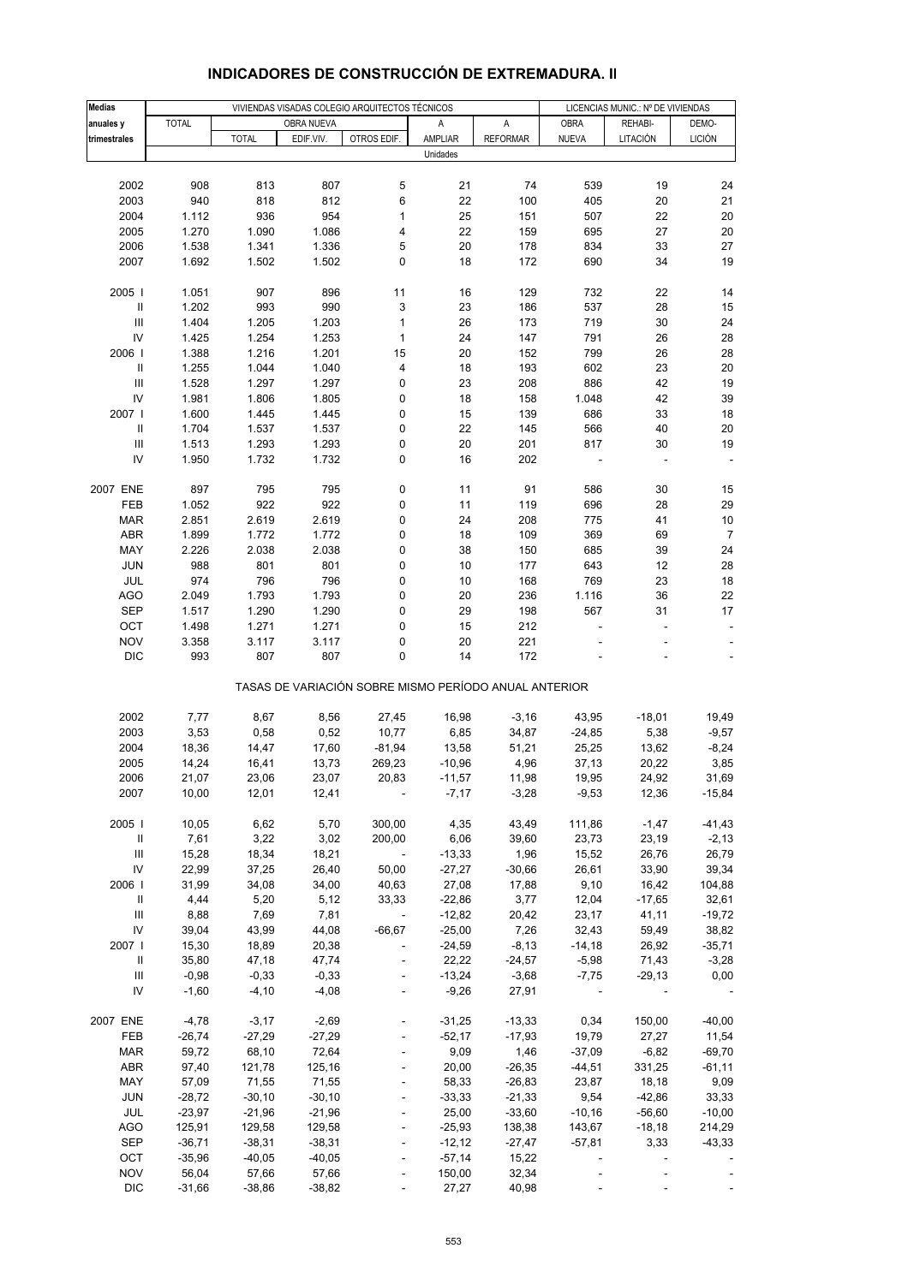| <b>Medias</b>                      |                      |                      | VIVIENDAS VISADAS COLEGIO ARQUITECTOS TÉCNICOS |                                                       | LICENCIAS MUNIC.: Nº DE VIVIENDAS |                   |                                      |          |                |
|------------------------------------|----------------------|----------------------|------------------------------------------------|-------------------------------------------------------|-----------------------------------|-------------------|--------------------------------------|----------|----------------|
| anuales y                          | <b>TOTAL</b>         |                      | OBRA NUEVA                                     |                                                       | Α                                 | Α                 | <b>OBRA</b>                          | REHABI-  | DEMO-          |
| trimestrales                       |                      | <b>TOTAL</b>         | EDIF.VIV.                                      | OTROS EDIF.                                           | AMPLIAR                           | <b>REFORMAR</b>   | <b>NUEVA</b>                         | LITACIÓN | <b>LICIÓN</b>  |
|                                    |                      |                      |                                                |                                                       | Unidades                          |                   |                                      |          |                |
|                                    |                      |                      |                                                |                                                       |                                   |                   |                                      |          |                |
| 2002                               | 908                  | 813                  | 807                                            | 5                                                     | 21                                | 74                | 539                                  | 19       | 24             |
| 2003                               | 940                  | 818                  | 812                                            | 6                                                     | 22                                | 100               | 405                                  | 20       | 21             |
| 2004                               | 1.112                | 936                  | 954                                            | 1                                                     | 25                                | 151               | 507                                  | 22       | 20             |
| 2005                               | 1.270                | 1.090                | 1.086                                          | 4                                                     | 22                                | 159               | 695                                  | 27       | 20             |
| 2006                               | 1.538                | 1.341                | 1.336                                          | 5                                                     | 20                                | 178               | 834                                  | 33       | 27             |
| 2007                               | 1.692                | 1.502                | 1.502                                          | 0                                                     | 18                                | 172               | 690                                  | 34       | 19             |
| 2005                               | 1.051                | 907                  | 896                                            | 11                                                    | 16                                | 129               | 732                                  | 22       | 14             |
| $\, \parallel$                     | 1.202                | 993                  | 990                                            | 3                                                     | 23                                | 186               | 537                                  | 28       | 15             |
| III                                | 1.404                | 1.205                | 1.203                                          | $\mathbf{1}$                                          | 26                                | 173               | 719                                  | 30       | 24             |
| IV                                 | 1.425                | 1.254                | 1.253                                          | 1                                                     | 24                                | 147               | 791                                  | 26       | 28             |
| 2006                               | 1.388                | 1.216                | 1.201                                          | 15                                                    | 20                                | 152               | 799                                  | 26       | 28             |
| Ш                                  | 1.255                | 1.044                | 1.040                                          | 4                                                     | 18                                | 193               | 602                                  | 23       | 20             |
| $\ensuremath{\mathsf{III}}\xspace$ | 1.528                | 1.297                | 1.297                                          | 0                                                     | 23                                | 208               | 886                                  | 42       | 19             |
| IV                                 | 1.981                | 1.806                | 1.805                                          | 0                                                     | 18                                | 158               | 1.048                                | 42       | 39             |
| 2007                               | 1.600                | 1.445                | 1.445                                          | 0                                                     | 15                                | 139               | 686                                  | 33       | 18             |
| $\, \parallel$                     | 1.704                | 1.537                | 1.537                                          | 0                                                     | 22                                | 145               | 566                                  | 40       | 20             |
| $\ensuremath{\mathsf{III}}\xspace$ | 1.513                | 1.293                | 1.293                                          | 0                                                     | 20                                | 201               | 817                                  | 30       | 19             |
| IV                                 | 1.950                | 1.732                | 1.732                                          | 0                                                     | 16                                | 202               |                                      |          |                |
|                                    |                      |                      |                                                |                                                       |                                   |                   |                                      |          |                |
| 2007 ENE                           | 897                  | 795                  | 795                                            | 0                                                     | 11                                | 91                | 586                                  | 30       | 15             |
| FEB                                | 1.052                | 922                  | 922                                            | 0                                                     | 11                                | 119               | 696                                  | 28       | 29             |
| <b>MAR</b>                         | 2.851                | 2.619                | 2.619                                          | 0                                                     | 24                                | 208               | 775                                  | 41       | 10             |
| ABR                                | 1.899                | 1.772                | 1.772                                          | 0                                                     | 18                                | 109               | 369                                  | 69       | $\overline{7}$ |
| MAY                                | 2.226                | 2.038                | 2.038                                          | 0                                                     | 38                                | 150               | 685                                  | 39       | 24             |
| <b>JUN</b>                         | 988                  | 801                  | 801                                            | 0                                                     | 10                                | 177               | 643                                  | 12       | 28             |
| JUL                                | 974                  | 796                  | 796                                            | 0                                                     | 10                                | 168               | 769                                  | 23       | 18             |
| <b>AGO</b>                         | 2.049                | 1.793                | 1.793                                          | 0                                                     | 20                                | 236               | 1.116                                | 36       | 22             |
| <b>SEP</b>                         | 1.517                | 1.290                | 1.290                                          | 0                                                     | 29                                | 198               | 567                                  | 31       | 17             |
| OCT<br><b>NOV</b>                  | 1.498                | 1.271                | 1.271                                          | 0<br>0                                                | 15                                | 212               |                                      |          |                |
| <b>DIC</b>                         | 3.358<br>993         | 3.117<br>807         | 3.117<br>807                                   | 0                                                     | 20<br>14                          | 221<br>172        |                                      |          |                |
|                                    |                      |                      |                                                |                                                       |                                   |                   |                                      |          |                |
|                                    |                      |                      |                                                | TASAS DE VARIACIÓN SOBRE MISMO PERÍODO ANUAL ANTERIOR |                                   |                   |                                      |          |                |
|                                    |                      |                      |                                                |                                                       |                                   |                   |                                      |          |                |
| 2002                               | 7,77                 | 8,67                 | 8,56                                           | 27,45                                                 | 16,98                             | $-3,16$           | 43,95                                | $-18,01$ | 19,49          |
| 2003                               | 3,53                 | 0,58                 | 0,52                                           | 10,77                                                 | 6,85                              | 34,87             | $-24,85$                             | 5,38     | $-9,57$        |
| 2004                               | 18,36                | 14,47                | 17,60                                          | $-81,94$                                              | 13,58                             | 51,21             | 25,25                                | 13,62    | $-8,24$        |
| 2005                               | 14,24                | 16,41                | 13,73                                          | 269,23                                                | $-10,96$                          | 4,96              | 37,13                                | 20,22    | 3,85           |
| 2006                               | 21,07                | 23,06                | 23,07                                          | 20,83                                                 | $-11,57$                          | 11,98             | 19,95                                | 24,92    | 31,69          |
| 2007                               | 10,00                | 12,01                | 12,41                                          |                                                       | $-7,17$                           | $-3,28$           | $-9,53$                              | 12,36    | $-15,84$       |
| 2005                               | 10,05                | 6,62                 | 5,70                                           | 300,00                                                | 4,35                              | 43,49             | 111,86                               | $-1,47$  | $-41,43$       |
| Ш                                  | 7,61                 | 3,22                 | 3,02                                           | 200,00                                                | 6,06                              | 39,60             | 23,73                                | 23,19    | $-2,13$        |
| Ш                                  | 15,28                | 18,34                | 18,21                                          | $\sim 100$                                            | $-13,33$                          | 1,96              | 15,52                                | 26,76    | 26,79          |
| IV                                 | 22,99                | 37,25                | 26,40                                          | 50,00                                                 | $-27,27$                          | $-30,66$          | 26,61                                | 33,90    | 39,34          |
| 2006                               | 31,99                | 34,08                | 34,00                                          | 40,63                                                 | 27,08                             | 17,88             | 9,10                                 | 16,42    | 104,88         |
| $\mathbf{II}$                      | 4,44                 | 5,20                 | 5,12                                           | 33,33                                                 | $-22,86$                          | 3,77              | 12,04                                | $-17,65$ | 32,61          |
| $\ensuremath{\mathsf{III}}\xspace$ | 8,88                 | 7,69                 | 7,81                                           | $\sim 100$ km s $^{-1}$                               | $-12,82$                          | 20,42             | 23,17                                | 41,11    | $-19,72$       |
| ${\sf IV}$                         | 39,04                | 43,99                | 44,08                                          | $-66,67$                                              | $-25,00$                          | 7,26              | 32,43                                | 59,49    | 38,82          |
| 2007                               | 15,30                | 18,89                | 20,38                                          | $\blacksquare$                                        | $-24,59$                          | $-8,13$           | $-14,18$                             | 26,92    | $-35,71$       |
| $\mathbf{H}$                       | 35,80                | 47,18                | 47,74                                          | $\Box$                                                | 22,22                             | $-24,57$          | $-5,98$                              | 71,43    | $-3,28$        |
| Ш                                  | $-0,98$              | $-0,33$              | $-0,33$                                        |                                                       | $-13,24$                          | $-3,68$           | $-7,75$                              | $-29,13$ | 0,00           |
| IV                                 | $-1,60$              | $-4, 10$             | $-4,08$                                        |                                                       | $-9,26$                           | 27,91             |                                      |          |                |
|                                    |                      |                      |                                                |                                                       |                                   |                   |                                      |          |                |
| 2007 ENE                           | $-4,78$              | $-3,17$              | $-2,69$                                        | $\overline{\phantom{a}}$                              | $-31,25$                          | $-13,33$          | 0,34                                 | 150,00   | $-40,00$       |
| FEB                                | $-26,74$             | $-27,29$             | $-27,29$                                       | $\blacksquare$                                        | $-52,17$                          | $-17,93$          | 19,79                                | 27,27    | 11,54          |
| <b>MAR</b>                         | 59,72                | 68,10                | 72,64                                          | $\Box$                                                | 9,09                              | 1,46              | $-37,09$                             | $-6,82$  | $-69,70$       |
| ABR                                | 97,40                | 121,78               | 125,16                                         |                                                       | 20,00                             | $-26,35$          | $-44,51$                             | 331,25   | $-61,11$       |
| MAY                                | 57,09                | 71,55                | 71,55                                          | $\overline{\phantom{a}}$                              | 58,33                             | $-26,83$          | 23,87                                | 18,18    | 9,09           |
| <b>JUN</b>                         | $-28,72$             | $-30,10$             | $-30,10$                                       | $\Box$                                                | $-33,33$                          | $-21,33$          | 9,54                                 | $-42,86$ | 33,33          |
| JUL                                | $-23,97$             | $-21,96$             | $-21,96$                                       |                                                       | 25,00                             | $-33,60$          | $-10,16$                             | $-56,60$ | $-10,00$       |
| <b>AGO</b>                         | 125,91               | 129,58               | 129,58                                         | $\Box$                                                | $-25,93$                          | 138,38            | 143,67                               | $-18,18$ | 214,29         |
| SEP<br>OCT                         | $-36,71$<br>$-35,96$ | $-38,31$<br>$-40,05$ | $-38,31$<br>$-40,05$                           |                                                       | $-12,12$<br>$-57,14$              | $-27,47$<br>15,22 | $-57,81$<br>$\overline{\phantom{a}}$ | 3,33     | $-43,33$       |
| <b>NOV</b>                         | 56,04                | 57,66                | 57,66                                          |                                                       | 150,00                            | 32,34             |                                      |          |                |
| <b>DIC</b>                         | $-31,66$             | $-38,86$             | $-38,82$                                       | $\overline{\phantom{a}}$                              | 27,27                             | 40,98             | $\blacksquare$                       |          |                |
|                                    |                      |                      |                                                |                                                       |                                   |                   |                                      |          |                |

# **INDICADORES DE CONSTRUCCIÓN DE EXTREMADURA. II**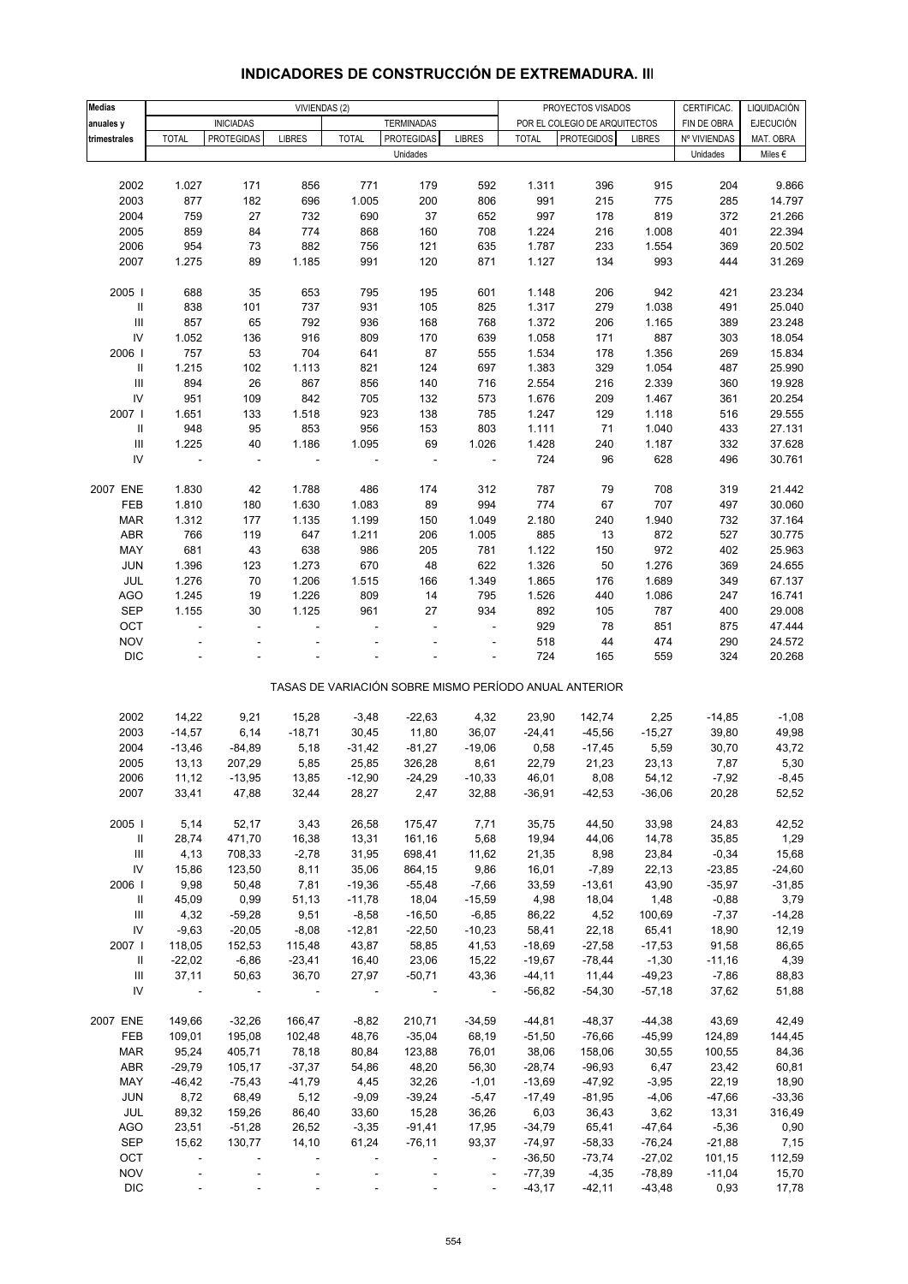| <b>Medias</b>                      | VIVIENDAS (2)            |                          |                |                |                   |                          | PROYECTOS VISADOS<br>CERTIFICAC. |                                                       |               |              | LIQUIDACIÓN      |
|------------------------------------|--------------------------|--------------------------|----------------|----------------|-------------------|--------------------------|----------------------------------|-------------------------------------------------------|---------------|--------------|------------------|
| anuales y                          |                          | <b>INICIADAS</b>         |                |                | <b>TERMINADAS</b> |                          |                                  | POR EL COLEGIO DE ARQUITECTOS                         |               | FIN DE OBRA  | <b>EJECUCIÓN</b> |
| trimestrales                       | <b>TOTAL</b>             | <b>PROTEGIDAS</b>        | <b>LIBRES</b>  | <b>TOTAL</b>   | <b>PROTEGIDAS</b> | <b>LIBRES</b>            | <b>TOTAL</b>                     | <b>PROTEGIDOS</b>                                     | <b>LIBRES</b> | Nº VIVIENDAS | MAT. OBRA        |
|                                    |                          |                          |                |                | Unidades          |                          |                                  |                                                       |               | Unidades     | Miles $\epsilon$ |
|                                    |                          |                          |                |                |                   |                          |                                  |                                                       |               |              |                  |
| 2002                               | 1.027                    | 171                      | 856            | 771            | 179               | 592                      | 1.311                            | 396                                                   | 915           | 204          | 9.866            |
| 2003                               | 877                      | 182                      | 696            | 1.005          | 200               | 806                      | 991                              | 215                                                   | 775           | 285          | 14.797           |
| 2004                               | 759                      | 27                       | 732            | 690            | 37                | 652                      | 997                              | 178                                                   | 819           | 372          | 21.266           |
| 2005                               | 859                      | 84                       | 774            | 868            | 160               | 708                      | 1.224                            | 216                                                   | 1.008         | 401          | 22.394           |
| 2006                               | 954                      | 73                       | 882            | 756            | 121               | 635                      | 1.787                            | 233                                                   | 1.554         | 369          | 20.502           |
|                                    |                          |                          |                |                |                   |                          |                                  |                                                       |               |              |                  |
| 2007                               | 1.275                    | 89                       | 1.185          | 991            | 120               | 871                      | 1.127                            | 134                                                   | 993           | 444          | 31.269           |
| 2005                               | 688                      | 35                       | 653            | 795            | 195               | 601                      | 1.148                            | 206                                                   | 942           | 421          | 23.234           |
| $\mathbf{II}$                      | 838                      | 101                      | 737            | 931            | 105               | 825                      | 1.317                            | 279                                                   | 1.038         | 491          | 25.040           |
| $\ensuremath{\mathsf{III}}\xspace$ | 857                      | 65                       | 792            | 936            | 168               | 768                      | 1.372                            | 206                                                   | 1.165         | 389          | 23.248           |
| ${\sf IV}$                         | 1.052                    | 136                      | 916            | 809            | 170               | 639                      | 1.058                            | 171                                                   | 887           | 303          | 18.054           |
| 2006                               | 757                      | 53                       | 704            | 641            | 87                | 555                      | 1.534                            | 178                                                   | 1.356         | 269          | 15.834           |
| Ш                                  | 1.215                    | 102                      | 1.113          | 821            | 124               | 697                      | 1.383                            | 329                                                   | 1.054         | 487          | 25.990           |
| $\mathbf{III}$                     | 894                      | 26                       | 867            | 856            | 140               |                          | 2.554                            | 216                                                   | 2.339         |              | 19.928           |
| IV                                 |                          |                          |                |                |                   | 716                      |                                  |                                                       |               | 360          |                  |
|                                    | 951                      | 109                      | 842            | 705            | 132               | 573                      | 1.676                            | 209                                                   | 1.467         | 361          | 20.254           |
| 2007 l                             | 1.651                    | 133                      | 1.518          | 923            | 138               | 785                      | 1.247                            | 129                                                   | 1.118         | 516          | 29.555           |
| $\mathbf{II}$                      | 948                      | 95                       | 853            | 956            | 153               | 803                      | 1.111                            | 71                                                    | 1.040         | 433          | 27.131           |
| $\ensuremath{\mathsf{III}}\xspace$ | 1.225                    | 40                       | 1.186          | 1.095          | 69                | 1.026                    | 1.428                            | 240                                                   | 1.187         | 332          | 37.628           |
| IV                                 |                          | ÷                        |                |                |                   | $\overline{\phantom{a}}$ | 724                              | 96                                                    | 628           | 496          | 30.761           |
|                                    |                          |                          |                |                |                   |                          |                                  |                                                       |               |              |                  |
| 2007 ENE<br>FEB                    | 1.830<br>1.810           | 42<br>180                | 1.788<br>1.630 | 486<br>1.083   | 174<br>89         | 312<br>994               | 787<br>774                       | 79<br>67                                              | 708<br>707    | 319<br>497   | 21.442<br>30.060 |
|                                    |                          |                          |                |                |                   |                          |                                  |                                                       |               |              |                  |
| <b>MAR</b>                         | 1.312                    | 177                      | 1.135          | 1.199          | 150               | 1.049                    | 2.180                            | 240                                                   | 1.940         | 732          | 37.164           |
| <b>ABR</b>                         | 766                      | 119                      | 647            | 1.211          | 206               | 1.005                    | 885                              | 13                                                    | 872           | 527          | 30.775           |
| MAY                                | 681                      | 43                       | 638            | 986            | 205               | 781                      | 1.122                            | 150                                                   | 972           | 402          | 25.963           |
| JUN                                | 1.396                    | 123                      | 1.273          | 670            | 48                | 622                      | 1.326                            | 50                                                    | 1.276         | 369          | 24.655           |
| JUL                                | 1.276                    | 70                       | 1.206          | 1.515          | 166               | 1.349                    | 1.865                            | 176                                                   | 1.689         | 349          | 67.137           |
| <b>AGO</b>                         | 1.245                    | 19                       | 1.226          | 809            | 14                | 795                      | 1.526                            | 440                                                   | 1.086         | 247          | 16.741           |
| <b>SEP</b>                         | 1.155                    | 30                       | 1.125          | 961            | 27                | 934                      | 892                              | 105                                                   | 787           | 400          | 29.008           |
| OCT                                | ÷,                       | ÷,                       |                |                |                   |                          | 929                              | 78                                                    | 851           | 875          | 47.444           |
| <b>NOV</b>                         |                          |                          |                |                |                   |                          | 518                              | 44                                                    | 474           | 290          | 24.572           |
| <b>DIC</b>                         |                          |                          |                |                |                   | ÷,                       | 724                              | 165                                                   | 559           | 324          | 20.268           |
|                                    |                          |                          |                |                |                   |                          |                                  | TASAS DE VARIACIÓN SOBRE MISMO PERÍODO ANUAL ANTERIOR |               |              |                  |
|                                    |                          |                          |                |                |                   |                          |                                  |                                                       |               |              |                  |
| 2002                               | 14,22                    | 9,21                     | 15,28          | $-3,48$        | $-22,63$          | 4,32                     | 23,90                            | 142,74                                                | 2,25          | $-14,85$     | $-1,08$          |
| 2003                               | $-14,57$                 | 6,14                     | $-18,71$       | 30,45          | 11,80             | 36,07                    | $-24,41$                         | $-45,56$                                              | $-15,27$      | 39,80        | 49,98            |
| 2004                               | $-13,46$                 | $-84,89$                 | 5,18           | $-31,42$       | $-81,27$          | $-19,06$                 | 0,58                             | $-17,45$                                              | 5,59          | 30,70        | 43,72            |
| 2005                               | 13,13                    | 207,29                   | 5,85           | 25,85          | 326,28            | 8,61                     | 22,79                            | 21,23                                                 | 23,13         | 7,87         | 5,30             |
| 2006                               | 11,12                    | $-13,95$                 | 13,85          | $-12,90$       | $-24,29$          | $-10,33$                 | 46,01                            | 8,08                                                  | 54,12         | $-7,92$      | $-8,45$          |
| 2007                               | 33,41                    | 47,88                    | 32,44          | 28,27          | 2,47              | 32,88                    | -36,91                           | $-42,53$                                              | $-36,06$      | 20,28        | 52,52            |
|                                    |                          |                          |                |                |                   |                          |                                  |                                                       |               |              |                  |
| 2005                               | 5,14                     | 52,17                    | 3,43           | 26,58          | 175,47            | 7,71                     | 35,75                            | 44,50                                                 | 33,98         | 24,83        | 42,52            |
| $\mathbf{H}$                       | 28,74                    | 471,70                   | 16,38          | 13,31          | 161,16            | 5,68                     | 19,94                            | 44,06                                                 | 14,78         | 35,85        | 1,29             |
| Ш                                  | 4,13                     | 708,33                   | $-2,78$        | 31,95          | 698,41            | 11,62                    | 21,35                            | 8,98                                                  | 23,84         | $-0,34$      | 15,68            |
| IV                                 | 15,86                    | 123,50                   | 8,11           | 35,06          | 864,15            | 9,86                     | 16,01                            | $-7,89$                                               | 22,13         | $-23,85$     | $-24,60$         |
| 2006                               | 9,98                     | 50,48                    | 7,81           | $-19,36$       | $-55,48$          | $-7,66$                  | 33,59                            | $-13,61$                                              | 43,90         | $-35,97$     | $-31,85$         |
| Ш                                  | 45,09                    | 0,99                     | 51,13          | $-11,78$       | 18,04             | $-15,59$                 | 4,98                             | 18,04                                                 | 1,48          | $-0,88$      | 3,79             |
| $\ensuremath{\mathsf{III}}\xspace$ | 4,32                     | $-59,28$                 | 9,51           | $-8,58$        | $-16,50$          | $-6,85$                  | 86,22                            | 4,52                                                  | 100,69        | $-7,37$      | $-14,28$         |
| ${\sf IV}$                         | $-9,63$                  | $-20,05$                 | $-8,08$        | $-12,81$       | $-22,50$          | $-10,23$                 | 58,41                            | 22,18                                                 | 65,41         | 18,90        | 12,19            |
| 2007                               | 118,05                   | 152,53                   | 115,48         | 43,87          | 58,85             | 41,53                    | $-18,69$                         | $-27,58$                                              | $-17,53$      | 91,58        | 86,65            |
| Ш                                  | $-22,02$                 | $-6,86$                  | $-23,41$       | 16,40          | 23,06             | 15,22                    | $-19,67$                         | $-78,44$                                              | $-1,30$       | $-11,16$     | 4,39             |
| $\ensuremath{\mathsf{III}}\xspace$ | 37,11                    | 50,63                    | 36,70          | 27,97          |                   | 43,36                    |                                  |                                                       |               |              |                  |
| IV                                 | $\overline{\phantom{a}}$ | $\blacksquare$           | $\blacksquare$ |                | $-50,71$          |                          | $-44, 11$                        | 11,44                                                 | $-49,23$      | $-7,86$      | 88,83            |
|                                    |                          |                          |                |                |                   | $\overline{\phantom{a}}$ | $-56,82$                         | $-54,30$                                              | $-57,18$      | 37,62        | 51,88            |
| 2007 ENE                           | 149,66                   | $-32,26$                 | 166,47         | $-8,82$        | 210,71            | $-34,59$                 | $-44,81$                         | $-48,37$                                              | $-44,38$      | 43,69        | 42,49            |
| FEB                                | 109,01                   | 195,08                   | 102,48         | 48,76          | $-35,04$          | 68,19                    | $-51,50$                         | $-76,66$                                              | $-45,99$      | 124,89       | 144,45           |
| <b>MAR</b>                         | 95,24                    | 405,71                   | 78,18          | 80,84          | 123,88            | 76,01                    | 38,06                            | 158,06                                                | 30,55         | 100,55       | 84,36            |
| <b>ABR</b>                         | $-29,79$                 | 105,17                   | $-37,37$       | 54,86          | 48,20             | 56,30                    | $-28,74$                         | $-96,93$                                              | 6,47          | 23,42        | 60,81            |
| MAY                                | $-46,42$                 | $-75,43$                 | $-41,79$       | 4,45           | 32,26             | $-1,01$                  | $-13,69$                         | $-47,92$                                              | $-3,95$       | 22,19        | 18,90            |
| JUN                                | 8,72                     | 68,49                    | 5,12           | $-9,09$        | $-39,24$          | $-5,47$                  | $-17,49$                         | $-81,95$                                              | $-4,06$       | $-47,66$     | $-33,36$         |
| JUL                                | 89,32                    | 159,26                   | 86,40          | 33,60          | 15,28             | 36,26                    | 6,03                             | 36,43                                                 | 3,62          | 13,31        | 316,49           |
| AGO                                | 23,51                    | $-51,28$                 | 26,52          | $-3,35$        | $-91,41$          | 17,95                    | $-34,79$                         | 65,41                                                 | -47,64        | $-5,36$      | 0,90             |
| <b>SEP</b>                         | 15,62                    | 130,77                   | 14,10          | 61,24          | $-76, 11$         | 93,37                    | $-74,97$                         | $-58,33$                                              | $-76,24$      | $-21,88$     | 7,15             |
| OCT                                |                          |                          |                |                |                   |                          |                                  | $-73,74$                                              |               |              |                  |
|                                    | $\Box$                   | $\overline{\phantom{a}}$ | $\Box$         | $\blacksquare$ |                   | $\overline{\phantom{a}}$ | $-36,50$                         |                                                       | $-27,02$      | 101,15       | 112,59           |
| <b>NOV</b>                         |                          |                          |                |                |                   | $\blacksquare$           | $-77,39$                         | $-4,35$                                               | $-78,89$      | $-11,04$     | 15,70            |
| <b>DIC</b>                         |                          |                          |                |                |                   | $\Box$                   | $-43,17$                         | $-42,11$                                              | $-43,48$      | 0,93         | 17,78            |

# **INDICADORES DE CONSTRUCCIÓN DE EXTREMADURA. III**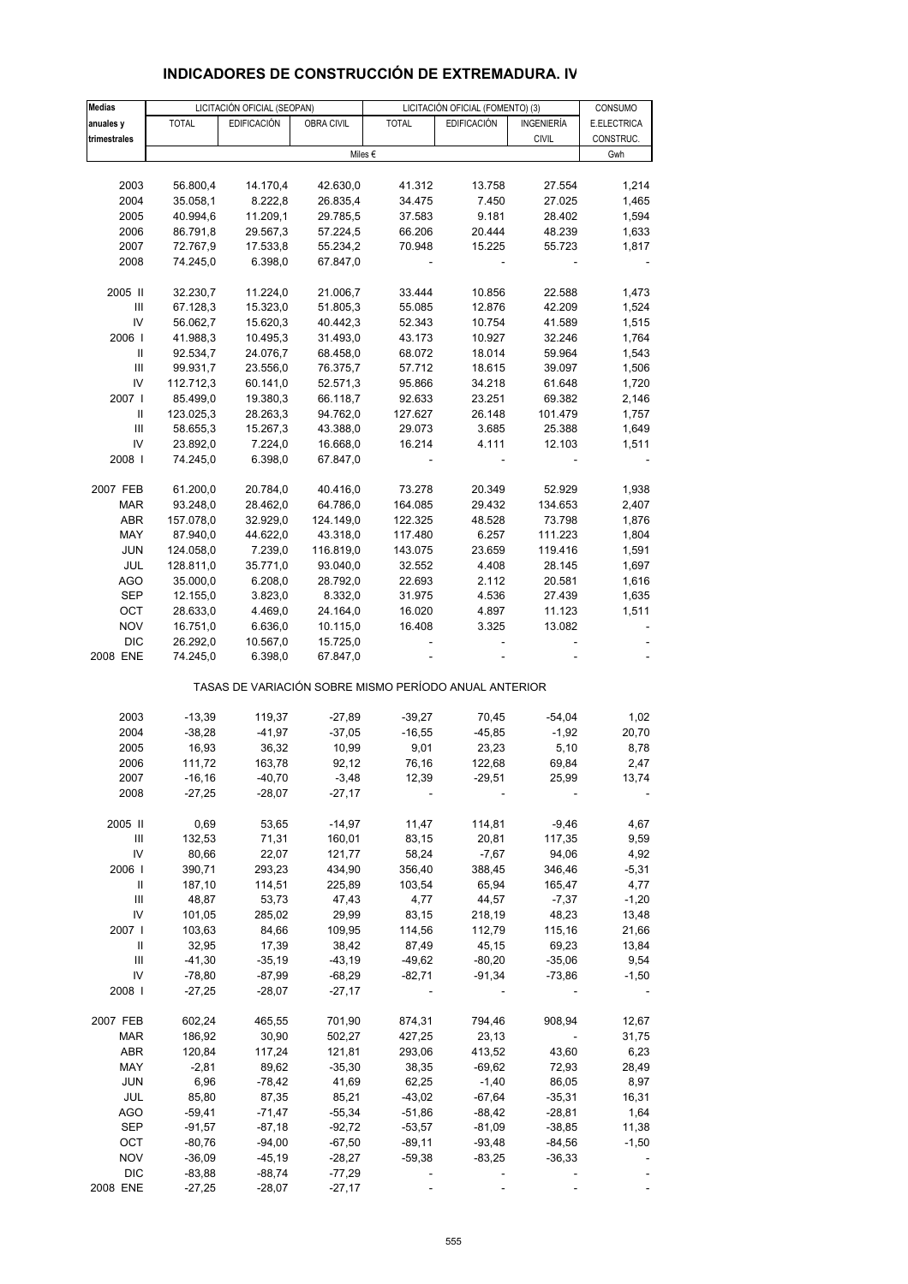| <b>Medias</b>                      |                                                       | LICITACIÓN OFICIAL (SEOPAN) |                    | LICITACIÓN OFICIAL (FOMENTO) (3) | CONSUMO            |                  |                 |  |  |  |  |
|------------------------------------|-------------------------------------------------------|-----------------------------|--------------------|----------------------------------|--------------------|------------------|-----------------|--|--|--|--|
| anuales y                          | <b>TOTAL</b>                                          | <b>EDIFICACIÓN</b>          | OBRA CIVIL         | <b>TOTAL</b>                     | <b>EDIFICACIÓN</b> | INGENIERÍA       | E.ELECTRICA     |  |  |  |  |
| trimestrales                       |                                                       |                             |                    |                                  |                    | <b>CIVIL</b>     | CONSTRUC.       |  |  |  |  |
|                                    |                                                       |                             |                    | Miles €                          |                    |                  | Gwh             |  |  |  |  |
|                                    |                                                       |                             |                    |                                  |                    |                  |                 |  |  |  |  |
| 2003                               | 56.800,4                                              | 14.170,4                    | 42.630,0           | 41.312                           | 13.758             | 27.554           | 1,214           |  |  |  |  |
| 2004                               | 35.058,1                                              | 8.222,8                     | 26.835,4           | 34.475                           | 7.450              | 27.025           | 1,465           |  |  |  |  |
| 2005                               | 40.994,6                                              | 11.209,1                    | 29.785,5           | 37.583                           | 9.181              | 28.402           | 1,594           |  |  |  |  |
| 2006                               | 86.791,8                                              | 29.567,3                    | 57.224,5           | 66.206                           | 20.444             | 48.239           | 1,633           |  |  |  |  |
| 2007                               | 72.767,9                                              | 17.533,8                    | 55.234,2           | 70.948                           | 15.225             | 55.723           | 1,817           |  |  |  |  |
| 2008                               | 74.245,0                                              | 6.398,0                     | 67.847,0           |                                  |                    |                  |                 |  |  |  |  |
|                                    |                                                       |                             |                    |                                  |                    |                  |                 |  |  |  |  |
| 2005 II                            | 32.230,7                                              | 11.224,0                    | 21.006,7           | 33.444                           | 10.856             | 22.588           | 1,473           |  |  |  |  |
| $\ensuremath{\mathsf{III}}\xspace$ | 67.128,3                                              | 15.323,0                    | 51.805,3           | 55.085                           | 12.876             | 42.209           | 1,524           |  |  |  |  |
| IV                                 | 56.062,7                                              | 15.620,3                    | 40.442,3           | 52.343                           | 10.754             | 41.589           | 1,515           |  |  |  |  |
| 2006                               | 41.988,3                                              | 10.495,3                    | 31.493,0           | 43.173                           | 10.927             | 32.246           | 1,764           |  |  |  |  |
| Ш                                  | 92.534,7                                              | 24.076,7                    | 68.458,0           | 68.072                           | 18.014             | 59.964           | 1,543           |  |  |  |  |
| III                                | 99.931,7                                              | 23.556,0                    | 76.375,7           | 57.712                           | 18.615             | 39.097           | 1,506           |  |  |  |  |
| IV                                 | 112.712,3                                             | 60.141,0                    | 52.571,3           | 95.866                           | 34.218             | 61.648           | 1,720           |  |  |  |  |
| 2007 l                             | 85.499,0                                              | 19.380,3                    | 66.118,7           | 92.633                           | 23.251             | 69.382           | 2,146           |  |  |  |  |
| Ш                                  | 123.025,3                                             | 28.263,3                    | 94.762,0           | 127.627                          | 26.148             | 101.479          | 1,757           |  |  |  |  |
| III                                | 58.655,3                                              | 15.267,3                    | 43.388,0           | 29.073                           | 3.685              | 25.388           | 1,649           |  |  |  |  |
| IV                                 | 23.892,0                                              | 7.224,0                     | 16.668,0           | 16.214                           | 4.111              | 12.103           | 1,511           |  |  |  |  |
| 2008                               | 74.245,0                                              | 6.398,0                     | 67.847,0           |                                  |                    |                  |                 |  |  |  |  |
|                                    |                                                       |                             |                    |                                  |                    |                  |                 |  |  |  |  |
| 2007 FEB                           | 61.200,0                                              | 20.784,0                    | 40.416,0           | 73.278                           | 20.349             | 52.929           | 1,938           |  |  |  |  |
| <b>MAR</b>                         | 93.248,0                                              | 28.462,0                    | 64.786,0           | 164.085                          | 29.432             | 134.653          | 2,407           |  |  |  |  |
| <b>ABR</b>                         | 157.078,0                                             | 32.929,0                    | 124.149,0          | 122.325                          | 48.528             | 73.798           | 1,876           |  |  |  |  |
| MAY                                | 87.940,0                                              | 44.622,0                    | 43.318,0           | 117.480                          | 6.257              | 111.223          | 1,804           |  |  |  |  |
| <b>JUN</b>                         | 124.058,0                                             | 7.239,0                     | 116.819,0          | 143.075                          | 23.659             | 119.416          | 1,591           |  |  |  |  |
| JUL                                | 128.811,0                                             | 35.771,0                    | 93.040,0           | 32.552                           | 4.408              | 28.145           | 1,697           |  |  |  |  |
| <b>AGO</b>                         | 35.000,0                                              | 6.208,0                     | 28.792,0           | 22.693                           | 2.112              | 20.581           | 1,616           |  |  |  |  |
| <b>SEP</b>                         | 12.155,0                                              | 3.823,0                     | 8.332,0            | 31.975                           | 4.536              | 27.439           | 1,635           |  |  |  |  |
| OCT                                | 28.633,0                                              | 4.469,0                     | 24.164,0           | 16.020                           | 4.897              | 11.123           | 1,511           |  |  |  |  |
| <b>NOV</b>                         | 16.751,0                                              | 6.636,0                     | 10.115,0           | 16.408                           | 3.325              | 13.082           |                 |  |  |  |  |
| <b>DIC</b>                         | 26.292,0                                              | 10.567,0                    | 15.725,0           |                                  |                    |                  |                 |  |  |  |  |
| 2008 ENE                           | 74.245,0                                              | 6.398,0                     | 67.847,0           |                                  |                    |                  |                 |  |  |  |  |
|                                    | TASAS DE VARIACIÓN SOBRE MISMO PERÍODO ANUAL ANTERIOR |                             |                    |                                  |                    |                  |                 |  |  |  |  |
|                                    |                                                       |                             |                    |                                  |                    |                  |                 |  |  |  |  |
| 2003                               | $-13,39$                                              | 119,37                      | $-27,89$           | $-39,27$                         | 70,45              | $-54,04$         | 1,02            |  |  |  |  |
| 2004                               | $-38,28$                                              | $-41,97$                    | $-37,05$           | $-16,55$                         | $-45,85$           | $-1,92$          | 20,70           |  |  |  |  |
| 2005                               | 16,93                                                 | 36,32                       | 10,99              | 9,01                             | 23,23              | 5,10             | 8,78            |  |  |  |  |
| 2006                               | 111,72                                                | 163,78                      | 92,12              | 76,16                            | 122,68             | 69,84            | 2,47            |  |  |  |  |
| 2007                               | $-16,16$                                              | $-40,70$                    | $-3,48$            | 12.39                            | $-29,51$           | 25.99            | 13.74           |  |  |  |  |
| 2008                               | -27,25                                                | $-28,07$                    | $-27,17$           |                                  |                    |                  |                 |  |  |  |  |
| 2005 II                            |                                                       |                             |                    |                                  |                    |                  |                 |  |  |  |  |
|                                    | 0,69                                                  | 53,65                       | $-14,97$           | 11,47                            | 114,81             | $-9,46$          | 4,67            |  |  |  |  |
| Ш<br>IV                            | 132,53                                                | 71,31<br>22,07              | 160,01<br>121,77   | 83,15<br>58,24                   | 20,81<br>$-7,67$   | 117,35<br>94,06  | 9,59<br>4,92    |  |  |  |  |
| 2006                               | 80,66                                                 |                             |                    |                                  |                    |                  |                 |  |  |  |  |
| Ш                                  | 390,71<br>187,10                                      | 293,23<br>114,51            | 434,90<br>225,89   | 356,40<br>103,54                 | 388,45<br>65,94    | 346,46<br>165,47 | $-5,31$<br>4,77 |  |  |  |  |
|                                    |                                                       |                             |                    |                                  |                    |                  |                 |  |  |  |  |
| $\ensuremath{\mathsf{III}}\xspace$ | 48,87                                                 | 53,73                       | 47,43              | 4,77                             | 44,57              | $-7,37$          | $-1,20$         |  |  |  |  |
| IV                                 | 101,05                                                | 285,02                      | 29,99              | 83,15                            | 218,19             | 48,23            | 13,48           |  |  |  |  |
| 2007 l                             | 103,63                                                | 84,66                       | 109,95             | 114,56                           | 112,79             | 115,16           | 21,66           |  |  |  |  |
| Ш                                  | 32,95                                                 | 17,39                       | 38,42              | 87,49                            | 45,15              | 69,23            | 13,84           |  |  |  |  |
| Ш                                  | $-41,30$                                              | $-35,19$                    | $-43,19$           | $-49,62$                         | $-80,20$           | $-35,06$         | 9,54            |  |  |  |  |
| IV<br>2008                         | $-78,80$<br>$-27,25$                                  | $-87,99$<br>$-28,07$        | -68,29<br>$-27,17$ | $-82,71$                         | $-91,34$           | $-73,86$         | $-1,50$         |  |  |  |  |
|                                    |                                                       |                             |                    |                                  |                    |                  |                 |  |  |  |  |
| 2007 FEB                           | 602,24                                                | 465,55                      | 701,90             | 874,31                           | 794,46             | 908,94           | 12,67           |  |  |  |  |
| <b>MAR</b>                         | 186,92                                                | 30,90                       | 502,27             | 427,25                           | 23,13              |                  | 31,75           |  |  |  |  |
| <b>ABR</b>                         | 120,84                                                | 117,24                      | 121,81             | 293,06                           | 413,52             | 43,60            | 6,23            |  |  |  |  |
| MAY                                | $-2,81$                                               | 89,62                       | $-35,30$           | 38,35                            | -69,62             | 72,93            | 28,49           |  |  |  |  |
| <b>JUN</b>                         | 6,96                                                  | $-78,42$                    | 41,69              | 62,25                            | $-1,40$            | 86,05            | 8,97            |  |  |  |  |
| JUL                                | 85,80                                                 | 87,35                       | 85,21              | $-43,02$                         | $-67,64$           | $-35,31$         | 16,31           |  |  |  |  |
| <b>AGO</b>                         | $-59,41$                                              | $-71,47$                    | $-55,34$           | $-51,86$                         | -88,42             | $-28,81$         | 1,64            |  |  |  |  |
| SEP                                | $-91,57$                                              | $-87,18$                    | -92,72             | $-53,57$                         | $-81,09$           | $-38,85$         | 11,38           |  |  |  |  |
| OCT                                | $-80,76$                                              | $-94,00$                    | $-67,50$           | $-89,11$                         | $-93,48$           | $-84,56$         | $-1,50$         |  |  |  |  |
| <b>NOV</b>                         | $-36,09$                                              | $-45,19$                    | $-28,27$           | $-59,38$                         | $-83,25$           | $-36,33$         |                 |  |  |  |  |
| DIC                                | $-83,88$                                              | $-88,74$                    | $-77,29$           |                                  |                    |                  |                 |  |  |  |  |

#### **INDICADORES DE CONSTRUCCIÓN DE EXTREMADURA. IV**

2008 ENE -27,25 -28,07 -27,17 ----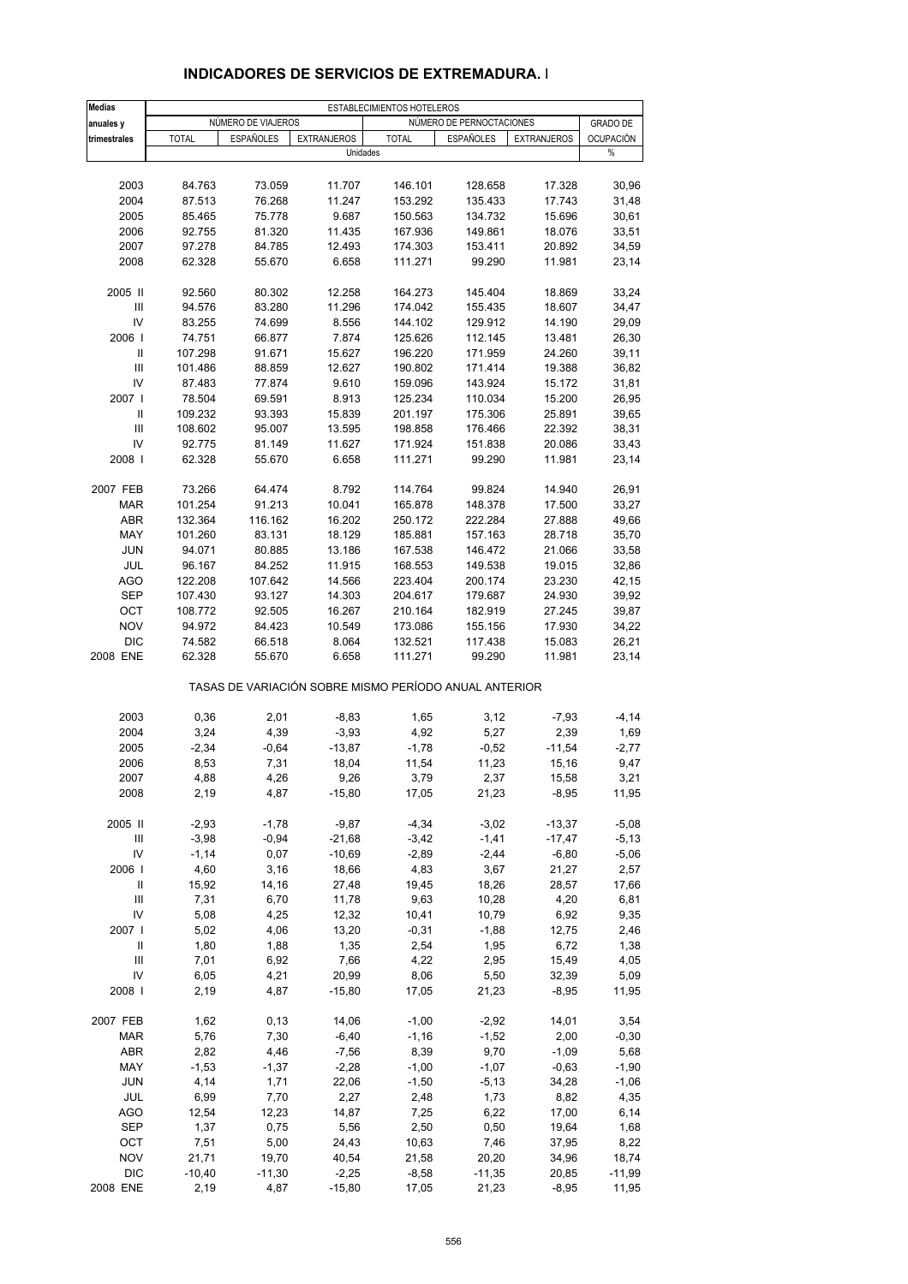| <b>Medias</b>                                         | ESTABLECIMIENTOS HOTELEROS |                    |                    |                    |                          |                    |                  |  |  |
|-------------------------------------------------------|----------------------------|--------------------|--------------------|--------------------|--------------------------|--------------------|------------------|--|--|
| anuales y                                             |                            | NÚMERO DE VIAJEROS |                    |                    | NÚMERO DE PERNOCTACIONES |                    | <b>GRADO DE</b>  |  |  |
| trimestrales                                          | <b>TOTAL</b>               | <b>ESPAÑOLES</b>   | <b>EXTRANJEROS</b> | <b>TOTAL</b>       | <b>ESPAÑOLES</b>         | <b>EXTRANJEROS</b> | <b>OCUPACIÓN</b> |  |  |
|                                                       |                            |                    | Unidades           |                    |                          |                    | %                |  |  |
|                                                       |                            |                    |                    |                    |                          |                    |                  |  |  |
| 2003<br>2004                                          | 84.763                     | 73.059             | 11.707             | 146.101            | 128.658                  | 17.328             | 30,96            |  |  |
| 2005                                                  | 87.513<br>85.465           | 76.268<br>75.778   | 11.247             | 153.292            | 135.433                  | 17.743<br>15.696   | 31,48<br>30,61   |  |  |
| 2006                                                  | 92.755                     | 81.320             | 9.687<br>11.435    | 150.563<br>167.936 | 134.732<br>149.861       | 18.076             | 33,51            |  |  |
| 2007                                                  | 97.278                     | 84.785             | 12.493             | 174.303            | 153.411                  | 20.892             | 34,59            |  |  |
| 2008                                                  | 62.328                     | 55.670             | 6.658              | 111.271            | 99.290                   | 11.981             | 23,14            |  |  |
|                                                       |                            |                    |                    |                    |                          |                    |                  |  |  |
| 2005 II                                               | 92.560                     | 80.302             | 12.258             | 164.273            | 145.404                  | 18.869             | 33,24            |  |  |
| $\ensuremath{\mathsf{III}}\xspace$                    | 94.576                     | 83.280             | 11.296             | 174.042            | 155.435                  | 18.607             | 34,47            |  |  |
| IV                                                    | 83.255                     | 74.699             | 8.556              | 144.102            | 129.912                  | 14.190             | 29,09            |  |  |
| 2006                                                  | 74.751                     | 66.877             | 7.874              | 125.626            | 112.145                  | 13.481             | 26,30            |  |  |
| Ш                                                     | 107.298                    | 91.671             | 15.627             | 196.220            | 171.959                  | 24.260             | 39,11            |  |  |
| III                                                   | 101.486                    | 88.859             | 12.627             | 190.802            | 171.414                  | 19.388             | 36,82            |  |  |
| IV                                                    | 87.483                     | 77.874             | 9.610              | 159.096            | 143.924                  | 15.172             | 31,81            |  |  |
| 2007 l                                                | 78.504                     | 69.591             | 8.913              | 125.234            | 110.034                  | 15.200             | 26,95            |  |  |
| Ш                                                     | 109.232                    | 93.393             | 15.839             | 201.197            | 175.306                  | 25.891             | 39,65            |  |  |
| III                                                   | 108.602                    | 95.007             | 13.595             | 198.858            | 176.466                  | 22.392             | 38,31            |  |  |
| IV<br>2008                                            | 92.775<br>62.328           | 81.149<br>55.670   | 11.627<br>6.658    | 171.924<br>111.271 | 151.838<br>99.290        | 20.086<br>11.981   | 33,43<br>23,14   |  |  |
|                                                       |                            |                    |                    |                    |                          |                    |                  |  |  |
| 2007 FEB                                              | 73.266                     | 64.474             | 8.792              | 114.764            | 99.824                   | 14.940             | 26,91            |  |  |
| <b>MAR</b>                                            | 101.254                    | 91.213             | 10.041             | 165.878            | 148.378                  | 17.500             | 33,27            |  |  |
| <b>ABR</b>                                            | 132.364                    | 116.162            | 16.202             | 250.172            | 222.284                  | 27.888             | 49,66            |  |  |
| MAY                                                   | 101.260                    | 83.131             | 18.129             | 185.881            | 157.163                  | 28.718             | 35,70            |  |  |
| <b>JUN</b>                                            | 94.071                     | 80.885             | 13.186             | 167.538            | 146.472                  | 21.066             | 33,58            |  |  |
| JUL                                                   | 96.167                     | 84.252             | 11.915             | 168.553            | 149.538                  | 19.015             | 32,86            |  |  |
| <b>AGO</b>                                            | 122.208                    | 107.642            | 14.566             | 223.404            | 200.174                  | 23.230             | 42,15            |  |  |
| <b>SEP</b>                                            | 107.430                    | 93.127             | 14.303             | 204.617            | 179.687                  | 24.930             | 39,92            |  |  |
| OCT                                                   | 108.772                    | 92.505             | 16.267             | 210.164            | 182.919                  | 27.245             | 39,87            |  |  |
| <b>NOV</b>                                            | 94.972                     | 84.423             | 10.549             | 173.086            | 155.156                  | 17.930             | 34,22            |  |  |
| <b>DIC</b>                                            | 74.582                     | 66.518             | 8.064              | 132.521            | 117.438                  | 15.083             | 26,21            |  |  |
| 2008 ENE                                              | 62.328                     | 55.670             | 6.658              | 111.271            | 99.290                   | 11.981             | 23,14            |  |  |
| TASAS DE VARIACIÓN SOBRE MISMO PERÍODO ANUAL ANTERIOR |                            |                    |                    |                    |                          |                    |                  |  |  |
| 2003                                                  | 0,36                       | 2,01               | $-8,83$            | 1,65               | 3,12                     | $-7,93$            | $-4, 14$         |  |  |
| 2004                                                  | 3,24                       | 4,39               | $-3,93$            | 4,92               | 5,27                     | 2,39               | 1,69             |  |  |
| 2005                                                  | $-2,34$                    | $-0,64$            | $-13,87$           | $-1,78$            | $-0,52$                  | $-11,54$           | $-2,77$          |  |  |
| 2006                                                  | 8,53                       | 7,31               | 18,04              | 11,54              | 11,23                    | 15,16              | 9,47             |  |  |
| 2007                                                  | 4,88                       | 4,26               | 9,26               | 3,79               | 2,37                     | 15,58              | 3,21             |  |  |
| 2008                                                  | 2,19                       | 4,87               | $-15,80$           | 17,05              | 21,23                    | $-8,95$            | 11,95            |  |  |
| 2005 II                                               | $-2,93$                    | $-1,78$            | $-9,87$            | $-4,34$            | $-3,02$                  | $-13,37$           | $-5,08$          |  |  |
| Ш                                                     | $-3,98$                    | $-0,94$            | $-21,68$           | $-3,42$            | $-1,41$                  | $-17,47$           | $-5,13$          |  |  |
| IV                                                    | $-1,14$                    | 0,07               | $-10,69$           | $-2,89$            | $-2,44$                  | $-6,80$            | $-5,06$          |  |  |
| 2006                                                  | 4,60                       | 3,16               | 18,66              | 4,83               | 3,67                     | 21,27              | 2,57             |  |  |
| Ш                                                     | 15,92                      | 14,16              | 27,48              | 19,45              | 18,26                    | 28,57              | 17,66            |  |  |
| Ш                                                     | 7,31                       | 6,70               | 11,78              | 9,63               | 10,28                    | 4,20               | 6,81             |  |  |
| IV                                                    | 5,08                       | 4,25               | 12,32              | 10,41              | 10,79                    | 6,92               | 9,35             |  |  |
| 2007 l                                                | 5,02                       | 4,06               | 13,20              | $-0,31$            | $-1,88$                  | 12,75              | 2,46             |  |  |
| Ш                                                     | 1,80                       | 1,88               | 1,35               | 2,54               | 1,95                     | 6,72               | 1,38             |  |  |
| Ш                                                     | 7,01                       | 6,92               | 7,66               | 4,22               | 2,95                     | 15,49              | 4,05             |  |  |
| IV                                                    | 6,05                       | 4,21               | 20,99              | 8,06               | 5,50                     | 32,39              | 5,09             |  |  |
| 2008                                                  | 2,19                       | 4,87               | $-15,80$           | 17,05              | 21,23                    | $-8,95$            | 11,95            |  |  |
| 2007 FEB                                              | 1,62                       | 0,13               | 14,06              | $-1,00$            | $-2,92$                  | 14,01              | 3,54             |  |  |
| MAR                                                   | 5,76                       | 7,30               | $-6,40$            | $-1,16$            | $-1,52$                  | 2,00               | $-0,30$          |  |  |
| ABR                                                   | 2,82                       | 4,46               | $-7,56$            | 8,39               | 9,70                     | $-1,09$            | 5,68             |  |  |
| MAY                                                   | $-1,53$                    | $-1,37$            | $-2,28$            | $-1,00$            | $-1,07$                  | $-0,63$            | $-1,90$          |  |  |
| <b>JUN</b>                                            | 4,14                       | 1,71               | 22,06              | $-1,50$            | $-5,13$                  | 34,28              | $-1,06$          |  |  |
| JUL                                                   | 6,99                       | 7,70               | 2,27               | 2,48               | 1,73                     | 8,82               | 4,35             |  |  |
| AGO                                                   | 12,54                      | 12,23              | 14,87              | 7,25               | 6,22                     | 17,00              | 6,14             |  |  |
| SEP                                                   | 1,37                       | 0,75               | 5,56               | 2,50               | 0,50                     | 19,64              | 1,68             |  |  |
| OCT                                                   | 7,51                       | 5,00               | 24,43              | 10,63              | 7,46                     | 37,95              | 8,22             |  |  |
| <b>NOV</b>                                            | 21,71                      | 19,70              | 40,54              | 21,58              | 20,20                    | 34,96              | 18,74            |  |  |
| <b>DIC</b>                                            | $-10,40$                   | $-11,30$           | $-2,25$            | $-8,58$            | $-11,35$                 | 20,85              | $-11,99$         |  |  |
| 2008 ENE                                              | 2,19                       | 4,87               | $-15,80$           | 17,05              | 21,23                    | $-8,95$            | 11,95            |  |  |

## **INDICADORES DE SERVICIOS DE EXTREMADURA. I**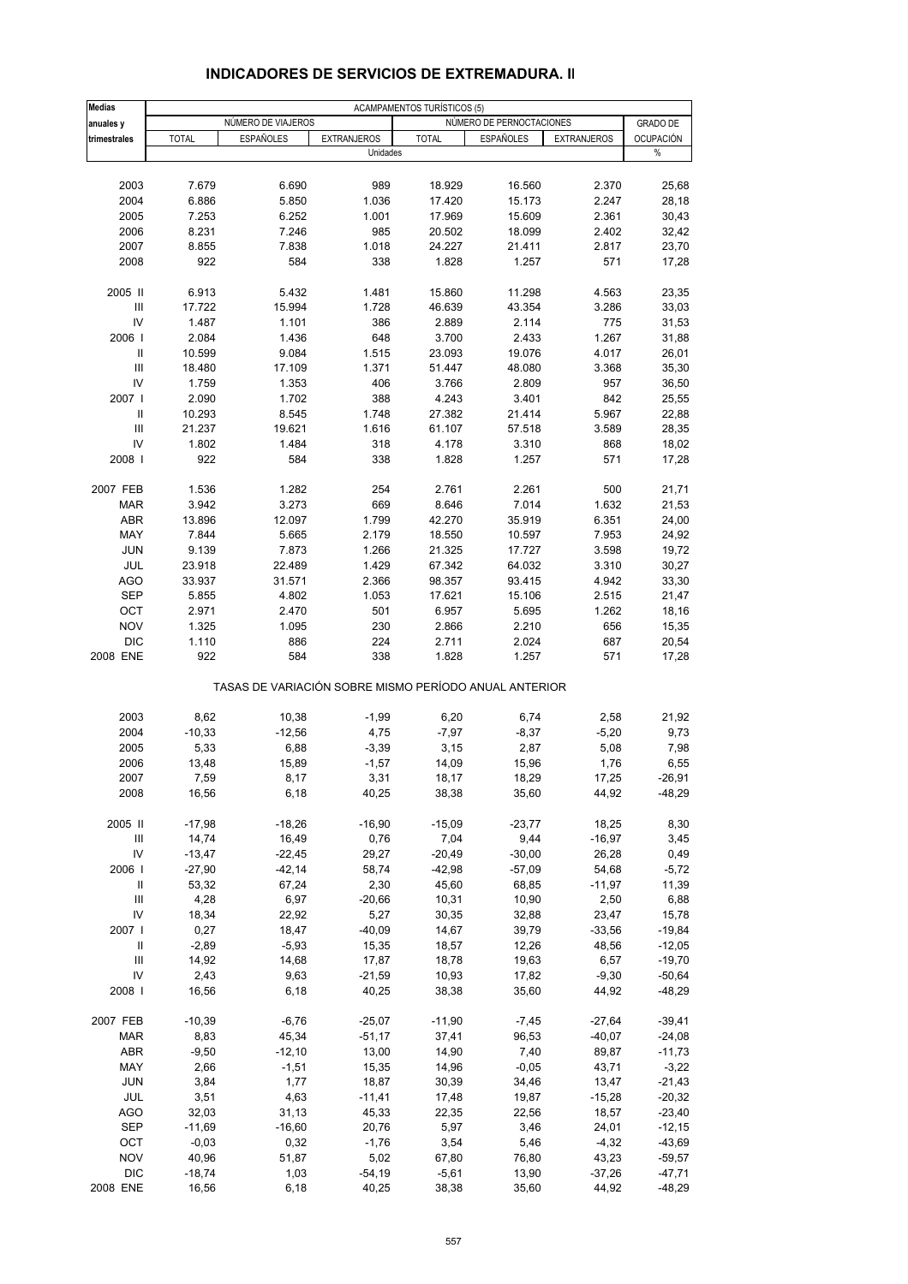#### **Medias** ACAMPAMENTOS TURÍSTICOS (5) **anuales y NÚMERO DE VIAJEROS NÚMERO DE PERNOCTACIONES GRADO DE PERNOCTACIONES trimestrales** TOTAL ESPAÑOLES EXTRANJEROS TOTAL ESPAÑOLES EXTRANJEROS OCUPACIÓN Unidades % 2003 7.679 6.690 989 18.929 16.560 2.370 25,68 2004 6.886 5.850 1.036 17.420 15.173 2.247 28,18 2005 7.253 6.252 1.001 17.969 15.609 2.361 30,43 2006 8.231 7.246 985 20.502 18.099 2.402 32,42 2007 8.855 7.838 1.018 24.227 21.411 2.817 23,70 2008 922 584 338 1.828 1.257 571 17,28 2005 II 6.913 5.432 1.481 15.860 11.298 4.563 23,35 III 17.722 15.994 1.728 46.639 43.354 3.286 33,03 IV 1.487 1.101 386 2.889 2.114 775 31,53 2006 I 2.084 1.436 648 3.700 2.433 1.267 31,88 II 10.599 9.084 1.515 23.093 19.076 4.017 26,01 III 18.480 17.109 1.371 51.447 48.080 3.368 35,30 IV 1.759 1.353 406 3.766 2.809 957 36,50 2007 I 2.090 1.702 388 4.243 3.401 842 25,55 II 10.293 8.545 1.748 27.382 21.414 5.967 22,88 III 21.237 19.621 1.616 61.107 57.518 3.589 28,35 IV 1.802 1.484 318 4.178 3.310 868 18,02 2008 I 922 584 338 1.828 1.257 571 17,28 2007 FEB 1.536 1.282 254 2.761 2.261 500 21,71 MAR 3.942 3.273 669 8.646 7.014 1.632 21,53 ABR 13.896 12.097 1.799 42.270 35.919 6.351 24,00 MAY 7.844 5.665 2.179 18.550 10.597 7.953 24,92 JUN 9.139 7.873 1.266 21.325 17.727 3.598 19,72 JUL 23.918 22.489 1.429 67.342 64.032 3.310 30,27 AGO 33.937 31.571 2.366 98.357 93.415 4.942 33,30 SEP 5.855 4.802 1.053 17.621 15.106 2.515 21,47 OCT 2.971 2.470 501 6.957 5.695 1.262 18,16 NOV 1.325 1.095 230 2.866 2.210 656 15,35 DIC 1.110 886 224 2.711 2.024 687 20,54 2008 ENE 922 584 338 1.828 1.257 571 17,28 TASAS DE VARIACIÓN SOBRE MISMO PERÍODO ANUAL ANTERIOR 2003 8,62 10,38 -1,99 6,20 6,74 2,58 21,92 2004 -10,33 -12,56 4,75 -7,97 -8,37 -5,20 9,73 2005 5,33 6,88 -3,39 3,15 2,87 5,08 7,98 2006 13,48 15,89 -1,57 14,09 15,96 1,76 6,55 2007 7,59 8,17 3,31 18,17 18,29 17,25 -26,91 2008 16,56 6,18 40,25 38,38 35,60 44,92 -48,29 2005 II -17,98 -18,26 -16,90 -15,09 -23,77 18,25 8,30 III 14,74 16,49 0,76 7,04 9,44 -16,97 3,45 IV -13,47 -22,45 29,27 -20,49 -30,00 26,28 0,49 2006 I -27,90 -42,14 58,74 -42,98 -57,09 54,68 -5,72 II 53,32 67,24 2,30 45,60 68,85 -11,97 11,39 III 4,28 6,97 -20,66 10,31 10,90 2,50 6,88 IV 18,34 22,92 5,27 30,35 32,88 23,47 15,78 2007 I 0,27 18,47 -40,09 14,67 39,79 -33,56 -19,84 II -2,89 -5,93 15,35 18,57 12,26 48,56 -12,05 III 14,92 14,68 17,87 18,78 19,63 6,57 -19,70 IV 2,43 9,63 -21,59 10,93 17,82 -9,30 -50,64 2008 I 16,56 6,18 40,25 38,38 35,60 44,92 -48,29 2007 FEB -10,39 -6,76 -25,07 -11,90 -7,45 -27,64 -39,41 MAR 8,83 45,34 -51,17 37,41 96,53 -40,07 -24,08 ABR -9,50 -12,10 13,00 14,90 7,40 89,87 -11,73 MAY 2,66 -1,51 15,35 14,96 -0,05 43,71 -3,22 JUN 3,84 1,77 18,87 30,39 34,46 13,47 -21,43 JUL 3,51 4,63 -11,41 17,48 19,87 -15,28 -20,32 AGO 32,03 31,13 45,33 22,35 22,56 18,57 -23,40 SEP -11,69 -16,60 20,76 5,97 3,46 24,01 -12,15 OCT -0,03 0,32 -1,76 3,54 5,46 -4,32 -43,69 NOV 40,96 51,87 5,02 67,80 76,80 43,23 -59,57 DIC -18,74 1,03 -54,19 -5,61 13,90 -37,26 -47,71

#### **INDICADORES DE SERVICIOS DE EXTREMADURA. II**

2008 ENE 16,56 6,18 40,25 38,38 35,60 44,92 -48,29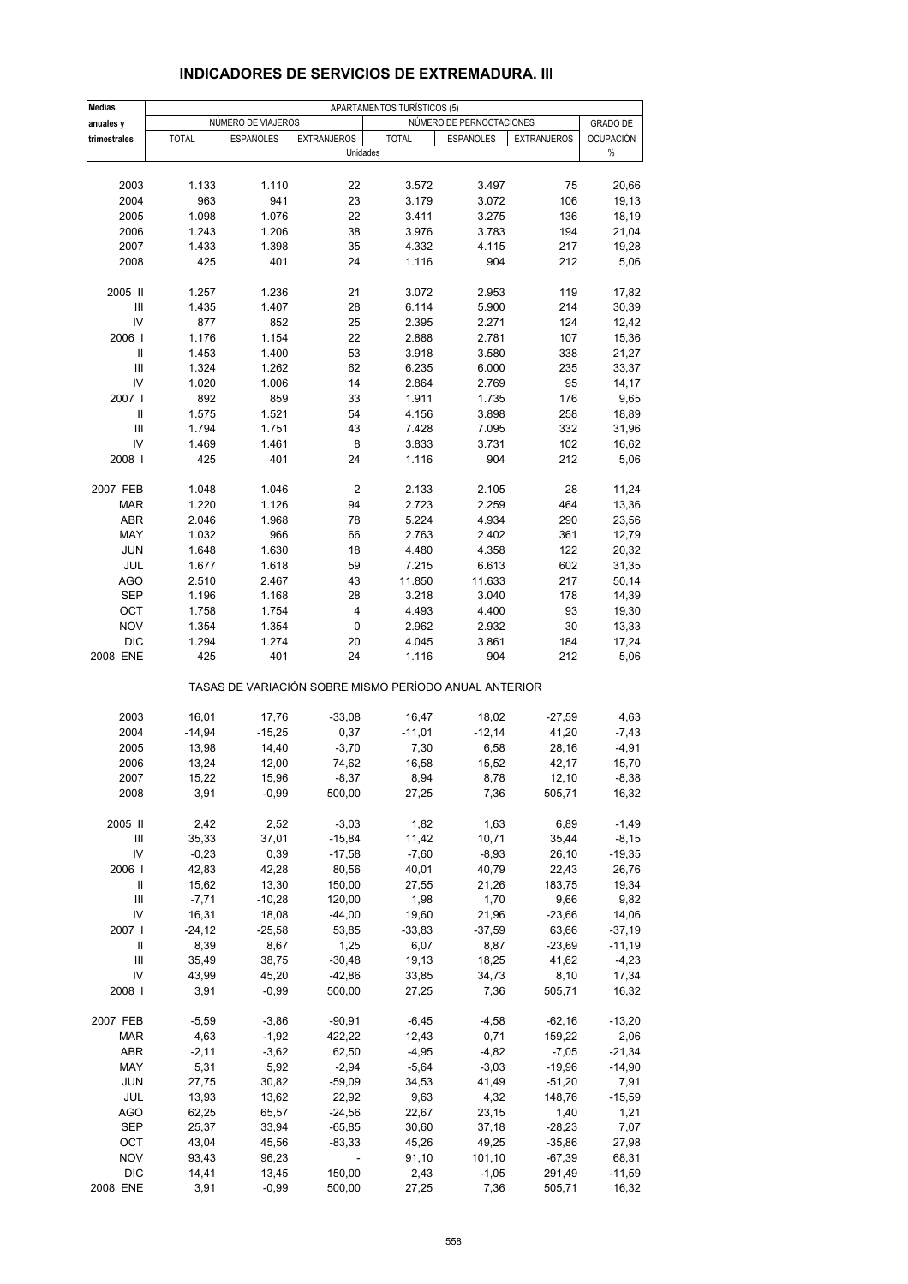| <b>Medias</b>  | APARTAMENTOS TURÍSTICOS (5) |                    |                    |                                                       |                          |                    |                  |  |
|----------------|-----------------------------|--------------------|--------------------|-------------------------------------------------------|--------------------------|--------------------|------------------|--|
| anuales y      |                             | NÚMERO DE VIAJEROS |                    |                                                       | NÚMERO DE PERNOCTACIONES |                    | <b>GRADO DE</b>  |  |
| trimestrales   | <b>TOTAL</b>                | <b>ESPAÑOLES</b>   | <b>EXTRANJEROS</b> | <b>TOTAL</b>                                          | <b>ESPAÑOLES</b>         | <b>EXTRANJEROS</b> | <b>OCUPACIÓN</b> |  |
|                |                             |                    | Unidades           |                                                       |                          |                    | %                |  |
|                |                             |                    |                    |                                                       |                          |                    |                  |  |
| 2003           | 1.133                       | 1.110              | 22                 | 3.572                                                 | 3.497                    | 75                 | 20,66            |  |
| 2004           | 963                         | 941                | 23                 | 3.179                                                 | 3.072                    | 106                | 19,13            |  |
| 2005           | 1.098                       | 1.076              | 22                 | 3.411                                                 | 3.275                    | 136                | 18,19            |  |
| 2006           | 1.243                       | 1.206              | 38                 | 3.976                                                 | 3.783                    | 194                | 21,04            |  |
| 2007           | 1.433                       | 1.398              | 35                 | 4.332                                                 | 4.115                    | 217                | 19,28            |  |
| 2008           | 425                         | 401                | 24                 | 1.116                                                 | 904                      | 212                | 5,06             |  |
| 2005 II        | 1.257                       | 1.236              | 21                 | 3.072                                                 | 2.953                    | 119                | 17,82            |  |
| III            | 1.435                       | 1.407              | 28                 | 6.114                                                 | 5.900                    | 214                | 30,39            |  |
| IV             | 877                         | 852                | 25                 | 2.395                                                 | 2.271                    | 124                | 12,42            |  |
| 2006           | 1.176                       | 1.154              | 22                 | 2.888                                                 | 2.781                    | 107                | 15,36            |  |
| Ш              | 1.453                       | 1.400              | 53                 | 3.918                                                 | 3.580                    | 338                | 21,27            |  |
| III            | 1.324                       | 1.262              | 62                 | 6.235                                                 | 6.000                    | 235                | 33,37            |  |
| IV             | 1.020                       | 1.006              | 14                 | 2.864                                                 | 2.769                    | 95                 | 14,17            |  |
| 2007 l         | 892                         | 859                | 33                 | 1.911                                                 | 1.735                    | 176                | 9,65             |  |
| Ш              | 1.575                       | 1.521              | 54                 | 4.156                                                 | 3.898                    | 258                | 18,89            |  |
| $\mathbf{III}$ | 1.794                       | 1.751              | 43                 | 7.428                                                 | 7.095                    | 332                | 31,96            |  |
| IV             | 1.469                       | 1.461              | 8                  | 3.833                                                 | 3.731                    | 102                | 16,62            |  |
| 2008           | 425                         | 401                | 24                 | 1.116                                                 | 904                      | 212                | 5,06             |  |
| 2007 FEB       | 1.048                       | 1.046              | $\mathbf 2$        | 2.133                                                 | 2.105                    | 28                 | 11,24            |  |
| <b>MAR</b>     | 1.220                       | 1.126              | 94                 | 2.723                                                 | 2.259                    | 464                | 13,36            |  |
| <b>ABR</b>     | 2.046                       | 1.968              | 78                 | 5.224                                                 | 4.934                    | 290                | 23,56            |  |
| MAY            | 1.032                       | 966                | 66                 | 2.763                                                 | 2.402                    | 361                | 12,79            |  |
| JUN            | 1.648                       | 1.630              | 18                 | 4.480                                                 | 4.358                    | 122                | 20,32            |  |
| JUL            | 1.677                       | 1.618              | 59                 | 7.215                                                 | 6.613                    | 602                | 31,35            |  |
| <b>AGO</b>     | 2.510                       | 2.467              | 43                 | 11.850                                                | 11.633                   | 217                | 50,14            |  |
| <b>SEP</b>     | 1.196                       | 1.168              | 28                 | 3.218                                                 | 3.040                    | 178                | 14,39            |  |
| OCT            | 1.758                       | 1.754              | 4                  | 4.493                                                 | 4.400                    | 93                 | 19,30            |  |
| <b>NOV</b>     | 1.354                       | 1.354              | 0                  | 2.962                                                 | 2.932                    | 30                 | 13,33            |  |
| <b>DIC</b>     | 1.294                       | 1.274              | 20                 | 4.045                                                 | 3.861                    | 184                | 17,24            |  |
| 2008 ENE       | 425                         | 401                | 24                 | 1.116                                                 | 904                      | 212                | 5,06             |  |
|                |                             |                    |                    | TASAS DE VARIACIÓN SOBRE MISMO PERÍODO ANUAL ANTERIOR |                          |                    |                  |  |
| 2003           | 16,01                       | 17,76              | $-33,08$           | 16,47                                                 | 18,02                    | $-27,59$           | 4,63             |  |
| 2004           | $-14,94$                    | $-15,25$           | 0,37               | $-11,01$                                              | $-12,14$                 | 41,20              | $-7,43$          |  |
| 2005           | 13,98                       | 14,40              | $-3,70$            | 7,30                                                  | 6,58                     | 28,16              | $-4,91$          |  |
| 2006           | 13,24                       | 12,00              | 74,62              | 16,58                                                 | 15,52                    | 42,17              | 15,70            |  |
| 2007           | 15,22                       | 15,96              | $-8,37$            | 8,94                                                  | 8,78                     | 12,10              | $-8,38$          |  |
| 2008           | 3,91                        | $-0,99$            | 500,00             | 27,25                                                 | 7,36                     | 505,71             | 16,32            |  |
| 2005 II        | 2,42                        | 2,52               | $-3,03$            | 1,82                                                  | 1,63                     | 6,89               | $-1,49$          |  |
| Ш              | 35,33                       | 37,01              | $-15,84$           | 11,42                                                 | 10,71                    | 35,44              | $-8,15$          |  |
| IV             | $-0,23$                     | 0,39               | $-17,58$           | $-7,60$                                               | $-8,93$                  | 26,10              | $-19,35$         |  |
| 2006           | 42,83                       | 42,28              | 80,56              | 40,01                                                 | 40,79                    | 22,43              | 26,76            |  |
| Ш              | 15,62                       | 13,30              | 150,00             | 27,55                                                 | 21,26                    | 183,75             | 19,34            |  |
| Ш              | $-7,71$                     | $-10,28$           | 120,00             | 1,98                                                  | 1,70                     | 9,66               | 9,82             |  |
| IV             | 16,31                       | 18,08              | $-44,00$           | 19,60                                                 | 21,96                    | $-23,66$           | 14,06            |  |
| 2007           | $-24,12$                    | $-25,58$           | 53,85              | $-33,83$                                              | $-37,59$                 | 63,66              | $-37,19$         |  |
| Ш              | 8,39                        | 8,67               | 1,25               | 6,07                                                  | 8,87                     | $-23,69$           | $-11,19$         |  |
| Ш              | 35,49                       | 38,75              | $-30,48$           | 19,13                                                 | 18,25                    | 41,62              | $-4,23$          |  |
| IV             | 43,99                       | 45,20              | $-42,86$           | 33,85                                                 | 34,73                    | 8,10               | 17,34            |  |
| 2008           | 3,91                        | $-0,99$            | 500,00             | 27,25                                                 | 7,36                     | 505,71             | 16,32            |  |
| 2007 FEB       | $-5,59$                     | $-3,86$            | $-90,91$           | $-6,45$                                               | $-4,58$                  | $-62,16$           | $-13,20$         |  |
| MAR            | 4,63                        | $-1,92$            | 422,22             | 12,43                                                 | 0,71                     | 159,22             | 2,06             |  |
| <b>ABR</b>     | $-2,11$                     | $-3,62$            | 62,50              | $-4,95$                                               | $-4,82$                  | $-7,05$            | $-21,34$         |  |
| MAY            | 5,31                        | 5,92               | $-2,94$            | $-5,64$                                               | $-3,03$                  | $-19,96$           | $-14,90$         |  |
| <b>JUN</b>     | 27,75                       | 30,82              | $-59,09$           | 34,53                                                 | 41,49                    | $-51,20$           | 7,91             |  |
| JUL            | 13,93                       | 13,62              | 22,92              | 9,63                                                  | 4,32                     | 148,76             | $-15,59$         |  |
| AGO            | 62,25                       | 65,57              | $-24,56$           | 22,67                                                 | 23,15                    | 1,40               | 1,21             |  |
| SEP            | 25,37                       | 33,94              | $-65,85$           | 30,60                                                 | 37,18                    | $-28,23$           | 7,07             |  |
| OCT            | 43,04                       | 45,56              | $-83,33$           | 45,26                                                 | 49,25                    | $-35,86$           | 27,98            |  |
| <b>NOV</b>     | 93,43                       | 96,23              |                    | 91,10                                                 | 101,10                   | $-67,39$           | 68,31            |  |
| <b>DIC</b>     | 14,41                       | 13,45              | 150,00             | 2,43                                                  | $-1,05$                  | 291,49             | $-11,59$         |  |
| 2008 ENE       | 3,91                        | $-0,99$            | 500,00             | 27,25                                                 | 7,36                     | 505,71             | 16,32            |  |

#### **INDICADORES DE SERVICIOS DE EXTREMADURA. III**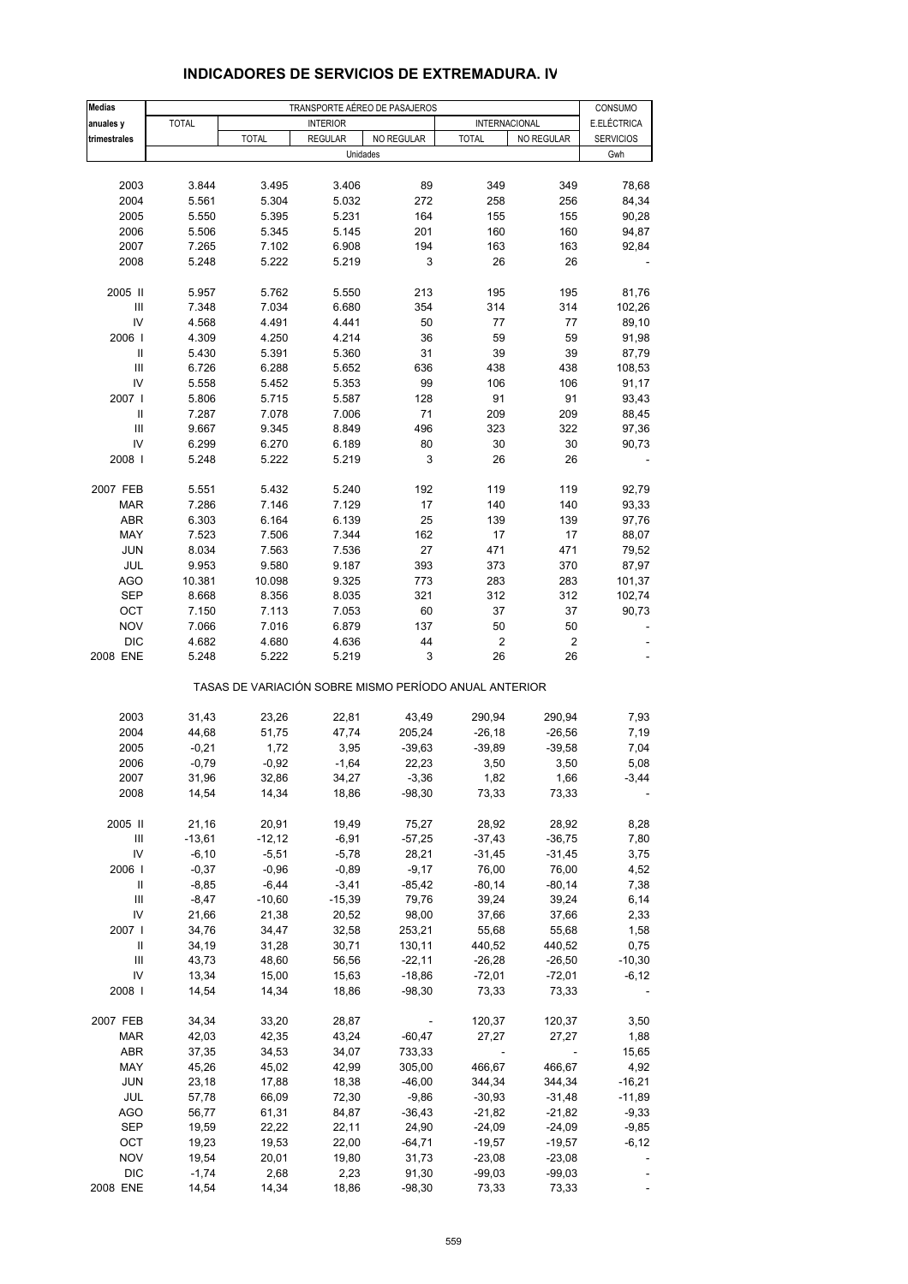| <b>Medias</b>                      |              |                                                       |                            | TRANSPORTE AÉREO DE PASAJEROS |              |                          | CONSUMO          |
|------------------------------------|--------------|-------------------------------------------------------|----------------------------|-------------------------------|--------------|--------------------------|------------------|
| anuales y                          | <b>TOTAL</b> |                                                       | <b>INTERIOR</b>            |                               |              | INTERNACIONAL            | E.ELÉCTRICA      |
|                                    |              |                                                       |                            |                               |              | NO REGULAR               |                  |
| trimestrales                       |              | <b>TOTAL</b>                                          | <b>REGULAR</b><br>Unidades | NO REGULAR                    | <b>TOTAL</b> |                          | <b>SERVICIOS</b> |
|                                    |              |                                                       |                            |                               |              |                          | Gwh              |
|                                    |              |                                                       |                            |                               |              |                          |                  |
| 2003                               | 3.844        | 3.495                                                 | 3.406                      | 89                            | 349          | 349                      | 78,68            |
| 2004                               | 5.561        | 5.304                                                 | 5.032                      | 272                           | 258          | 256                      | 84,34            |
| 2005                               | 5.550        | 5.395                                                 | 5.231                      | 164                           | 155          | 155                      | 90,28            |
| 2006                               | 5.506        | 5.345                                                 | 5.145                      | 201                           | 160          | 160                      | 94,87            |
| 2007                               | 7.265        | 7.102                                                 | 6.908                      | 194                           | 163          | 163                      | 92,84            |
| 2008                               | 5.248        | 5.222                                                 | 5.219                      | 3                             | 26           | 26                       |                  |
|                                    |              |                                                       |                            |                               |              |                          |                  |
| 2005 II                            | 5.957        | 5.762                                                 | 5.550                      | 213                           | 195          | 195                      | 81,76            |
| $\ensuremath{\mathsf{III}}\xspace$ | 7.348        | 7.034                                                 | 6.680                      | 354                           | 314          | 314                      | 102,26           |
| IV                                 | 4.568        | 4.491                                                 | 4.441                      | 50                            | 77           | 77                       | 89,10            |
| 2006                               | 4.309        | 4.250                                                 | 4.214                      | 36                            | 59           | 59                       | 91,98            |
| Ш                                  | 5.430        | 5.391                                                 | 5.360                      | 31                            | 39           | 39                       | 87,79            |
| Ш                                  | 6.726        | 6.288                                                 | 5.652                      | 636                           | 438          | 438                      | 108,53           |
| IV                                 | 5.558        | 5.452                                                 | 5.353                      | 99                            | 106          | 106                      | 91,17            |
| 2007 l                             | 5.806        | 5.715                                                 | 5.587                      | 128                           | 91           | 91                       | 93,43            |
| Ш                                  | 7.287        | 7.078                                                 | 7.006                      | 71                            | 209          | 209                      | 88,45            |
| III                                | 9.667        | 9.345                                                 | 8.849                      | 496                           | 323          | 322                      | 97,36            |
| IV                                 | 6.299        | 6.270                                                 | 6.189                      | 80                            | 30           | 30                       |                  |
|                                    |              |                                                       |                            |                               |              | 26                       | 90,73            |
| 2008                               | 5.248        | 5.222                                                 | 5.219                      | 3                             | 26           |                          |                  |
|                                    |              |                                                       |                            |                               |              |                          |                  |
| 2007 FEB                           | 5.551        | 5.432                                                 | 5.240                      | 192                           | 119          | 119                      | 92,79            |
| <b>MAR</b>                         | 7.286        | 7.146                                                 | 7.129                      | 17                            | 140          | 140                      | 93,33            |
| <b>ABR</b>                         | 6.303        | 6.164                                                 | 6.139                      | 25                            | 139          | 139                      | 97,76            |
| MAY                                | 7.523        | 7.506                                                 | 7.344                      | 162                           | 17           | 17                       | 88,07            |
| <b>JUN</b>                         | 8.034        | 7.563                                                 | 7.536                      | 27                            | 471          | 471                      | 79,52            |
| JUL                                | 9.953        | 9.580                                                 | 9.187                      | 393                           | 373          | 370                      | 87,97            |
| <b>AGO</b>                         | 10.381       | 10.098                                                | 9.325                      | 773                           | 283          | 283                      | 101,37           |
| <b>SEP</b>                         | 8.668        | 8.356                                                 | 8.035                      | 321                           | 312          | 312                      | 102,74           |
| OCT                                | 7.150        | 7.113                                                 | 7.053                      | 60                            | 37           | 37                       | 90,73            |
| <b>NOV</b>                         | 7.066        | 7.016                                                 | 6.879                      | 137                           | 50           | 50                       |                  |
| <b>DIC</b>                         | 4.682        | 4.680                                                 | 4.636                      | 44                            | 2            | 2                        |                  |
| 2008 ENE                           | 5.248        | 5.222                                                 | 5.219                      | 3                             | 26           | 26                       |                  |
|                                    |              | TASAS DE VARIACIÓN SOBRE MISMO PERÍODO ANUAL ANTERIOR |                            |                               |              |                          |                  |
|                                    |              |                                                       |                            |                               |              |                          |                  |
| 2003                               | 31,43        | 23,26                                                 | 22,81                      | 43,49                         | 290,94       | 290,94                   | 7,93             |
| 2004                               | 44,68        | 51,75                                                 | 47,74                      | 205,24                        | $-26,18$     | $-26,56$                 | 7,19             |
| 2005                               | $-0,21$      | 1,72                                                  | 3,95                       | $-39,63$                      | $-39,89$     | $-39,58$                 | 7,04             |
| 2006                               | $-0,79$      | $-0,92$                                               | $-1,64$                    | 22,23                         | 3,50         | 3,50                     | 5,08             |
| 2007                               | 31,96        | 32,86                                                 | 34,27                      | $-3,36$                       | 1,82         | 1,66                     | $-3,44$          |
| 2008                               | 14,54        | 14,34                                                 | 18,86                      | $-98,30$                      | 73,33        | 73,33                    |                  |
|                                    |              |                                                       |                            |                               |              |                          |                  |
| 2005 II                            | 21,16        | 20,91                                                 | 19,49                      | 75,27                         | 28,92        | 28,92                    | 8,28             |
| Ш                                  | $-13,61$     | $-12,12$                                              | $-6,91$                    | $-57,25$                      | $-37,43$     | $-36,75$                 | 7,80             |
| IV                                 | $-6,10$      | $-5,51$                                               | $-5,78$                    | 28,21                         | -31,45       | $-31,45$                 | 3,75             |
| 2006                               | $-0,37$      | $-0,96$                                               | $-0,89$                    | $-9,17$                       | 76,00        | 76,00                    | 4,52             |
| Ш                                  | $-8,85$      | $-6,44$                                               | $-3,41$                    | $-85,42$                      | $-80,14$     | $-80,14$                 | 7,38             |
| $\ensuremath{\mathsf{III}}\xspace$ | $-8,47$      | $-10,60$                                              | $-15,39$                   | 79,76                         | 39,24        | 39,24                    | 6,14             |
| IV                                 | 21,66        | 21,38                                                 | 20,52                      | 98,00                         | 37,66        | 37,66                    | 2,33             |
| 2007                               | 34,76        | 34,47                                                 | 32,58                      | 253,21                        | 55,68        | 55,68                    | 1,58             |
| Ш                                  | 34,19        | 31,28                                                 | 30,71                      | 130,11                        | 440,52       | 440,52                   | 0,75             |
| Ш                                  | 43,73        | 48,60                                                 | 56,56                      | $-22,11$                      | $-26,28$     | $-26,50$                 | $-10,30$         |
| IV                                 | 13,34        | 15,00                                                 | 15,63                      | $-18,86$                      | $-72,01$     | $-72,01$                 | $-6, 12$         |
| 2008                               | 14,54        | 14,34                                                 | 18,86                      | $-98,30$                      | 73,33        | 73,33                    |                  |
|                                    |              |                                                       |                            |                               |              |                          |                  |
| 2007 FEB                           | 34,34        | 33,20                                                 | 28,87                      |                               | 120,37       | 120,37                   | 3,50             |
| <b>MAR</b>                         | 42,03        | 42,35                                                 | 43,24                      | $-60,47$                      | 27,27        | 27,27                    | 1,88             |
|                                    |              |                                                       |                            |                               |              | $\overline{\phantom{a}}$ |                  |
| ABR                                | 37,35        | 34,53                                                 | 34,07                      | 733,33                        | $\sim$       |                          | 15,65            |
| MAY                                | 45,26        | 45,02                                                 | 42,99                      | 305,00                        | 466,67       | 466,67                   | 4,92             |
| <b>JUN</b>                         | 23,18        | 17,88                                                 | 18,38                      | $-46,00$                      | 344,34       | 344,34                   | $-16,21$         |
| JUL                                | 57,78        | 66,09                                                 | 72,30                      | $-9,86$                       | $-30,93$     | $-31,48$                 | $-11,89$         |
| AGO                                | 56,77        | 61,31                                                 | 84,87                      | $-36,43$                      | -21,82       | $-21,82$                 | $-9,33$          |
| SEP                                | 19,59        | 22,22                                                 | 22,11                      | 24,90                         | -24,09       | -24,09                   | $-9,85$          |
| OCT                                | 19,23        | 19,53                                                 | 22,00                      | $-64,71$                      | $-19,57$     | $-19,57$                 | $-6, 12$         |
| <b>NOV</b>                         | 19,54        | 20,01                                                 | 19,80                      | 31,73                         | $-23,08$     | $-23,08$                 |                  |
| <b>DIC</b>                         | $-1,74$      | 2,68                                                  | 2,23                       | 91,30                         | $-99,03$     | $-99,03$                 |                  |
| 2008 ENE                           | 14,54        | 14,34                                                 | 18,86                      | $-98,30$                      | 73,33        | 73,33                    |                  |

#### **INDICADORES DE SERVICIOS DE EXTREMADURA. IV**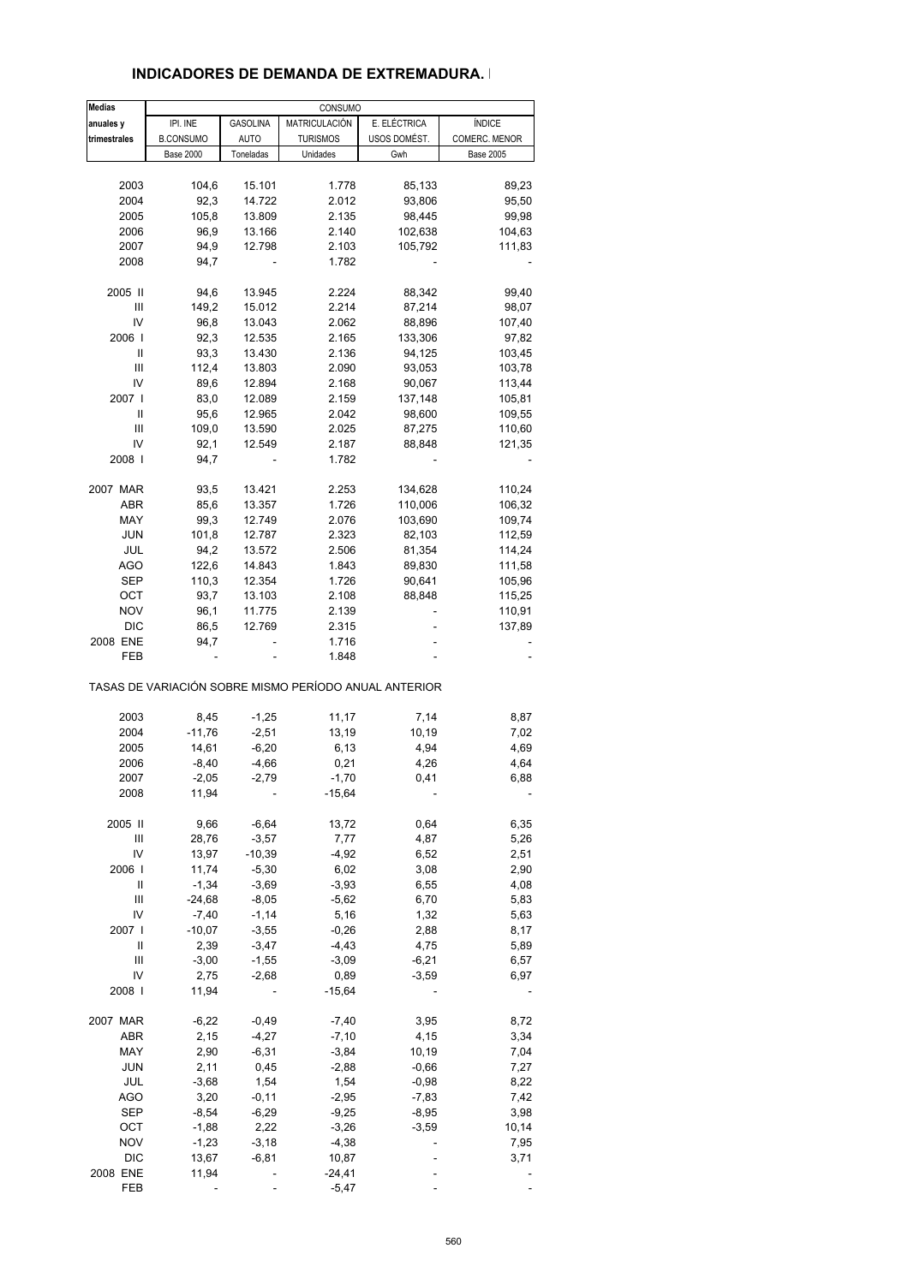#### **INDICADORES DE DEMANDA DE EXTREMADURA. I**

| <b>Medias</b>                                                                                                                                                                                                                                                                                                                                                                                                                                                                                                                            |                  |                 | CONSUMO         |                                                       |                  |
|------------------------------------------------------------------------------------------------------------------------------------------------------------------------------------------------------------------------------------------------------------------------------------------------------------------------------------------------------------------------------------------------------------------------------------------------------------------------------------------------------------------------------------------|------------------|-----------------|-----------------|-------------------------------------------------------|------------------|
| anuales y                                                                                                                                                                                                                                                                                                                                                                                                                                                                                                                                | IPI. INE         | <b>GASOLINA</b> | MATRICULACIÓN   | E. ELÉCTRICA                                          | <b>ÍNDICE</b>    |
| trimestrales                                                                                                                                                                                                                                                                                                                                                                                                                                                                                                                             | <b>B.CONSUMO</b> | <b>AUTO</b>     | <b>TURISMOS</b> | USOS DOMÉST.                                          | COMERC. MENOR    |
|                                                                                                                                                                                                                                                                                                                                                                                                                                                                                                                                          | <b>Base 2000</b> | Toneladas       | Unidades        | Gwh                                                   | <b>Base 2005</b> |
|                                                                                                                                                                                                                                                                                                                                                                                                                                                                                                                                          |                  |                 |                 |                                                       |                  |
| 2003                                                                                                                                                                                                                                                                                                                                                                                                                                                                                                                                     | 104,6            | 15.101          | 1.778           | 85,133                                                | 89,23            |
| 2004                                                                                                                                                                                                                                                                                                                                                                                                                                                                                                                                     | 92,3             | 14.722          | 2.012           | 93,806                                                | 95,50            |
| 2005                                                                                                                                                                                                                                                                                                                                                                                                                                                                                                                                     | 105,8            | 13.809          | 2.135           | 98,445                                                | 99,98            |
| 2006                                                                                                                                                                                                                                                                                                                                                                                                                                                                                                                                     | 96,9             | 13.166          | 2.140           | 102,638                                               | 104,63           |
| 2007                                                                                                                                                                                                                                                                                                                                                                                                                                                                                                                                     | 94,9             | 12.798          | 2.103           | 105,792                                               | 111,83           |
| 2008                                                                                                                                                                                                                                                                                                                                                                                                                                                                                                                                     | 94,7             | ä,              | 1.782           |                                                       |                  |
|                                                                                                                                                                                                                                                                                                                                                                                                                                                                                                                                          |                  |                 |                 |                                                       |                  |
| 2005 II                                                                                                                                                                                                                                                                                                                                                                                                                                                                                                                                  | 94,6             | 13.945          | 2.224           | 88,342                                                | 99,40            |
| Ш                                                                                                                                                                                                                                                                                                                                                                                                                                                                                                                                        | 149,2            | 15.012          | 2.214           | 87,214                                                | 98,07            |
| IV                                                                                                                                                                                                                                                                                                                                                                                                                                                                                                                                       | 96,8             | 13.043          | 2.062           | 88,896                                                | 107,40           |
| 2006                                                                                                                                                                                                                                                                                                                                                                                                                                                                                                                                     | 92,3             | 12.535          | 2.165           | 133,306                                               | 97,82            |
| Ш                                                                                                                                                                                                                                                                                                                                                                                                                                                                                                                                        | 93,3             | 13.430          | 2.136           | 94,125                                                | 103,45           |
| Ш                                                                                                                                                                                                                                                                                                                                                                                                                                                                                                                                        | 112,4            | 13.803          | 2.090           | 93,053                                                | 103,78           |
| IV                                                                                                                                                                                                                                                                                                                                                                                                                                                                                                                                       | 89,6             | 12.894          | 2.168           | 90,067                                                | 113,44           |
| 2007 l                                                                                                                                                                                                                                                                                                                                                                                                                                                                                                                                   | 83,0             | 12.089          | 2.159           | 137,148                                               | 105,81           |
| Ш                                                                                                                                                                                                                                                                                                                                                                                                                                                                                                                                        | 95,6             | 12.965          | 2.042           |                                                       | 109,55           |
| Ш                                                                                                                                                                                                                                                                                                                                                                                                                                                                                                                                        | 109,0            |                 |                 | 98,600                                                | 110,60           |
|                                                                                                                                                                                                                                                                                                                                                                                                                                                                                                                                          |                  | 13.590          | 2.025           | 87,275                                                |                  |
| IV                                                                                                                                                                                                                                                                                                                                                                                                                                                                                                                                       | 92,1             | 12.549          | 2.187           | 88,848                                                | 121,35           |
| 2008                                                                                                                                                                                                                                                                                                                                                                                                                                                                                                                                     | 94,7             |                 | 1.782           |                                                       |                  |
| 2007 MAR                                                                                                                                                                                                                                                                                                                                                                                                                                                                                                                                 | 93,5             | 13.421          | 2.253           | 134,628                                               | 110,24           |
| <b>ABR</b>                                                                                                                                                                                                                                                                                                                                                                                                                                                                                                                               | 85,6             | 13.357          | 1.726           | 110,006                                               | 106,32           |
| MAY                                                                                                                                                                                                                                                                                                                                                                                                                                                                                                                                      | 99,3             |                 |                 |                                                       |                  |
|                                                                                                                                                                                                                                                                                                                                                                                                                                                                                                                                          |                  | 12.749          | 2.076           | 103,690                                               | 109,74           |
| <b>JUN</b>                                                                                                                                                                                                                                                                                                                                                                                                                                                                                                                               | 101,8            | 12.787          | 2.323           | 82,103                                                | 112,59           |
| JUL                                                                                                                                                                                                                                                                                                                                                                                                                                                                                                                                      | 94,2             | 13.572          | 2.506           | 81,354                                                | 114,24           |
| <b>AGO</b>                                                                                                                                                                                                                                                                                                                                                                                                                                                                                                                               | 122,6            | 14.843          | 1.843           | 89,830                                                | 111,58           |
| SEP                                                                                                                                                                                                                                                                                                                                                                                                                                                                                                                                      | 110,3            | 12.354          | 1.726           | 90,641                                                | 105,96           |
| ОСТ                                                                                                                                                                                                                                                                                                                                                                                                                                                                                                                                      | 93,7             | 13.103          | 2.108           | 88,848                                                | 115,25           |
| <b>NOV</b>                                                                                                                                                                                                                                                                                                                                                                                                                                                                                                                               | 96,1             | 11.775          | 2.139           |                                                       | 110,91           |
| DIC                                                                                                                                                                                                                                                                                                                                                                                                                                                                                                                                      | 86,5             | 12.769          | 2.315           |                                                       | 137,89           |
| 2008 ENE                                                                                                                                                                                                                                                                                                                                                                                                                                                                                                                                 | 94,7             | -               | 1.716           | ä,                                                    |                  |
| FEB                                                                                                                                                                                                                                                                                                                                                                                                                                                                                                                                      |                  |                 | 1.848           |                                                       |                  |
|                                                                                                                                                                                                                                                                                                                                                                                                                                                                                                                                          |                  |                 |                 | TASAS DE VARIACIÓN SOBRE MISMO PERÍODO ANUAL ANTERIOR |                  |
|                                                                                                                                                                                                                                                                                                                                                                                                                                                                                                                                          |                  |                 |                 |                                                       |                  |
| 2003                                                                                                                                                                                                                                                                                                                                                                                                                                                                                                                                     | 8,45             | $-1,25$         | 11,17           | 7,14                                                  | 8,87             |
| 2004                                                                                                                                                                                                                                                                                                                                                                                                                                                                                                                                     | $-11,76$         | $-2,51$         | 13,19           | 10,19                                                 | 7,02             |
| 2005                                                                                                                                                                                                                                                                                                                                                                                                                                                                                                                                     | 14,61            | $-6,20$         | 6,13            | 4,94                                                  | 4,69             |
| 2006                                                                                                                                                                                                                                                                                                                                                                                                                                                                                                                                     | $-8,40$          | $-4,66$         | 0,21            | 4,26                                                  | 4,64             |
| 2007                                                                                                                                                                                                                                                                                                                                                                                                                                                                                                                                     | -2,05            | $-2,79$         | $-1,70$         | 0,41                                                  | 6.88             |
| 2008                                                                                                                                                                                                                                                                                                                                                                                                                                                                                                                                     | 11,94            |                 | $-15,64$        |                                                       |                  |
| 2005 II                                                                                                                                                                                                                                                                                                                                                                                                                                                                                                                                  |                  | $-6,64$         | 13,72           | 0,64                                                  |                  |
|                                                                                                                                                                                                                                                                                                                                                                                                                                                                                                                                          | 9,66             |                 |                 |                                                       | 6,35             |
| Ш                                                                                                                                                                                                                                                                                                                                                                                                                                                                                                                                        | 28,76            | $-3,57$         | 7,77            | 4,87                                                  | 5,26             |
| IV                                                                                                                                                                                                                                                                                                                                                                                                                                                                                                                                       | 13,97            | $-10,39$        | $-4,92$         | 6,52                                                  | 2,51             |
| 2006                                                                                                                                                                                                                                                                                                                                                                                                                                                                                                                                     | 11,74            | $-5,30$         | 6,02            | 3,08                                                  | 2,90             |
| $\mathop{\mathrm{II}}% \nolimits_{\mathop{\mathrm{II}}% \nolimits} \mathop{\mathrm{II}}% \nolimits_{\mathop{\mathrm{II}}% \nolimits} \mathop{\mathrm{II}}% \nolimits_{\mathop{\mathrm{II}}% \nolimits} \mathop{\mathrm{II}}% \nolimits_{\mathop{\mathrm{II}}% \nolimits} \mathop{\mathrm{II}}% \nolimits_{\mathop{\mathrm{II}}% \nolimits} \mathop{\mathrm{II}}% \nolimits_{\mathop{\mathrm{II}}% \nolimits} \mathop{\mathrm{II}}% \nolimits_{\mathop{\mathrm{II}}% \nolimits} \mathop{\mathrm{II}}% \nolimits_{\mathop{\mathrm{II}}% \$ | $-1,34$          | $-3,69$         | $-3,93$         | 6,55                                                  | 4,08             |
| Ш                                                                                                                                                                                                                                                                                                                                                                                                                                                                                                                                        | $-24,68$         | $-8,05$         | $-5,62$         | 6,70                                                  | 5,83             |
| IV                                                                                                                                                                                                                                                                                                                                                                                                                                                                                                                                       | $-7,40$          | $-1,14$         | 5,16            | 1,32                                                  | 5,63             |
| 2007 l                                                                                                                                                                                                                                                                                                                                                                                                                                                                                                                                   | $-10,07$         | $-3,55$         | $-0,26$         | 2,88                                                  | 8,17             |
| Ш                                                                                                                                                                                                                                                                                                                                                                                                                                                                                                                                        | 2,39             | $-3,47$         | $-4,43$         | 4,75                                                  | 5,89             |
| Ш                                                                                                                                                                                                                                                                                                                                                                                                                                                                                                                                        | $-3,00$          | $-1,55$         | $-3,09$         | $-6,21$                                               | 6,57             |
| IV                                                                                                                                                                                                                                                                                                                                                                                                                                                                                                                                       | 2,75             | $-2,68$         | 0,89            | $-3,59$                                               | 6,97             |
| 2008                                                                                                                                                                                                                                                                                                                                                                                                                                                                                                                                     | 11,94            |                 | $-15,64$        |                                                       |                  |
| 2007 MAR                                                                                                                                                                                                                                                                                                                                                                                                                                                                                                                                 |                  |                 | $-7,40$         |                                                       |                  |
|                                                                                                                                                                                                                                                                                                                                                                                                                                                                                                                                          | $-6,22$          | $-0,49$         |                 | 3,95                                                  | 8,72             |
| ABR                                                                                                                                                                                                                                                                                                                                                                                                                                                                                                                                      | 2,15             | $-4,27$         | $-7,10$         | 4,15                                                  | 3,34             |
| MAY                                                                                                                                                                                                                                                                                                                                                                                                                                                                                                                                      | 2,90             | $-6,31$         | $-3,84$         | 10,19                                                 | 7,04             |
| <b>JUN</b>                                                                                                                                                                                                                                                                                                                                                                                                                                                                                                                               | 2,11             | 0,45            | $-2,88$         | $-0,66$                                               | 7,27             |
| JUL                                                                                                                                                                                                                                                                                                                                                                                                                                                                                                                                      | $-3,68$          | 1,54            | 1,54            | $-0,98$                                               | 8,22             |
| <b>AGO</b>                                                                                                                                                                                                                                                                                                                                                                                                                                                                                                                               | 3,20             | $-0, 11$        | $-2,95$         | $-7,83$                                               | 7,42             |
| <b>SEP</b>                                                                                                                                                                                                                                                                                                                                                                                                                                                                                                                               | $-8,54$          | $-6,29$         | $-9,25$         | -8,95                                                 | 3,98             |
| ОСТ                                                                                                                                                                                                                                                                                                                                                                                                                                                                                                                                      | $-1,88$          | 2,22            | $-3,26$         | $-3,59$                                               | 10,14            |
| <b>NOV</b>                                                                                                                                                                                                                                                                                                                                                                                                                                                                                                                               | $-1,23$          | $-3,18$         | $-4,38$         |                                                       | 7,95             |
| <b>DIC</b>                                                                                                                                                                                                                                                                                                                                                                                                                                                                                                                               | 13,67            | $-6, 81$        | 10,87           |                                                       | 3,71             |
| 2008 ENE                                                                                                                                                                                                                                                                                                                                                                                                                                                                                                                                 | 11,94            |                 | $-24,41$        |                                                       |                  |
| FEB                                                                                                                                                                                                                                                                                                                                                                                                                                                                                                                                      |                  |                 | $-5,47$         |                                                       |                  |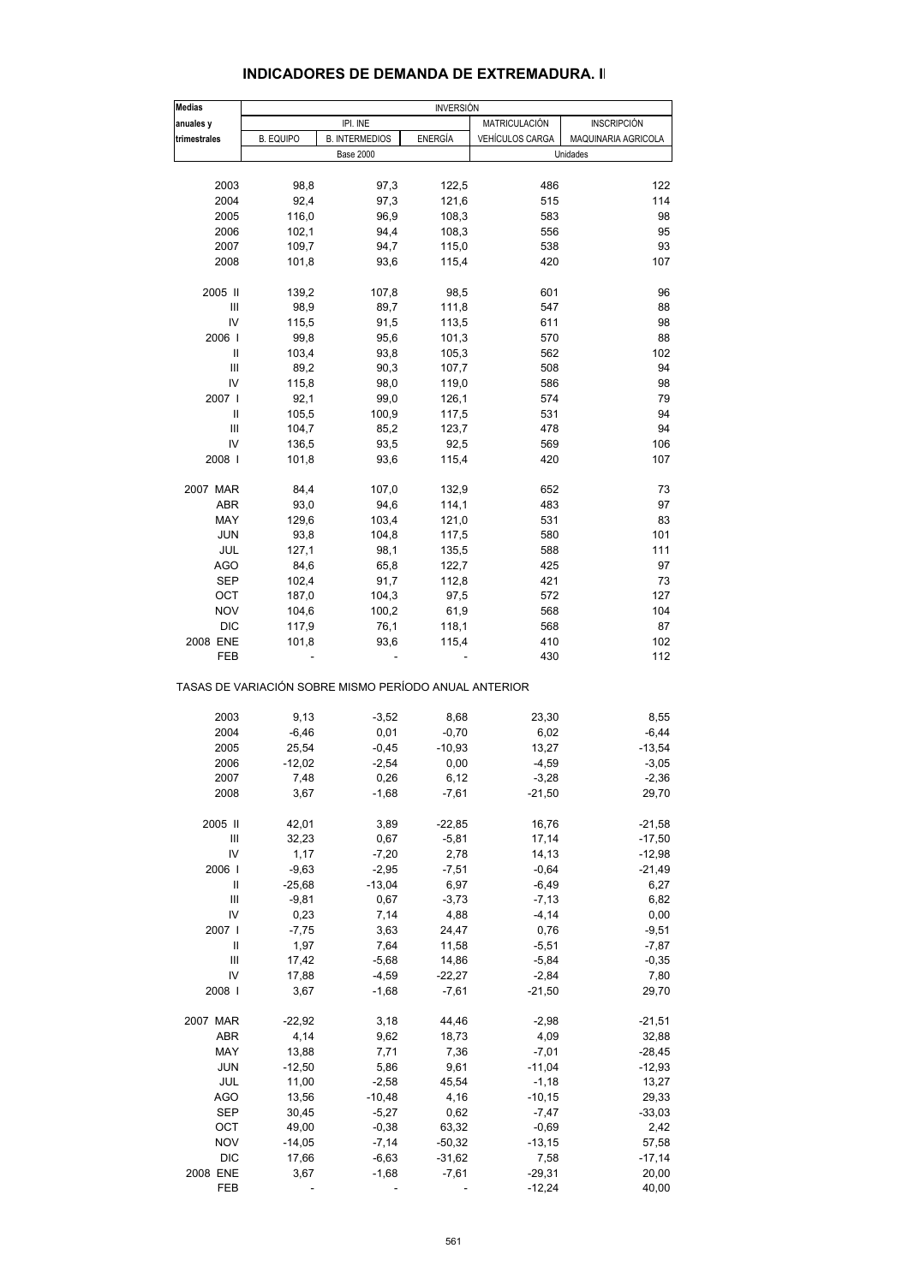| <b>INDICADORES DE DEMANDA DE EXTREMADURA. II</b> |  |
|--------------------------------------------------|--|
|--------------------------------------------------|--|

| <b>Medias</b> | <b>INVERSIÓN</b>                                      |                       |                |                        |                     |
|---------------|-------------------------------------------------------|-----------------------|----------------|------------------------|---------------------|
| anuales y     |                                                       | IPI. INE              |                | <b>MATRICULACIÓN</b>   | <b>INSCRIPCIÓN</b>  |
| trimestrales  | <b>B. EQUIPO</b>                                      | <b>B. INTERMEDIOS</b> | <b>ENERGÍA</b> | <b>VEHÍCULOS CARGA</b> | MAQUINARIA AGRICOLA |
|               |                                                       | <b>Base 2000</b>      |                |                        | Unidades            |
|               |                                                       |                       |                |                        |                     |
| 2003          | 98,8                                                  | 97,3                  | 122,5          | 486                    | 122                 |
| 2004          | 92,4                                                  | 97,3                  | 121,6          | 515                    | 114                 |
| 2005          | 116,0                                                 | 96,9                  | 108,3          | 583                    | 98                  |
| 2006          | 102,1                                                 | 94,4                  | 108,3          | 556                    | 95                  |
| 2007          | 109,7                                                 | 94,7                  | 115,0          | 538                    | 93                  |
| 2008          | 101,8                                                 | 93,6                  | 115,4          | 420                    | 107                 |
|               |                                                       |                       |                |                        |                     |
| 2005 II       | 139,2                                                 | 107,8                 | 98,5           | 601                    | 96                  |
| Ш             | 98,9                                                  | 89,7                  | 111,8          | 547                    | 88                  |
| IV            | 115,5                                                 | 91,5                  | 113,5          | 611                    | 98                  |
| 2006          | 99,8                                                  | 95,6                  | 101,3          | 570                    | 88                  |
| Ш             | 103,4                                                 | 93,8                  | 105,3          | 562                    | 102                 |
| Ш             | 89,2                                                  | 90,3                  | 107,7          | 508                    | 94                  |
| IV            | 115,8                                                 | 98,0                  | 119,0          | 586                    | 98                  |
| 2007 l        |                                                       |                       |                | 574                    | 79                  |
|               | 92,1                                                  | 99,0                  | 126,1          |                        |                     |
| Ш             | 105,5                                                 | 100,9                 | 117,5          | 531                    | 94                  |
| Ш             | 104,7                                                 | 85,2                  | 123,7          | 478                    | 94                  |
| IV            | 136,5                                                 | 93,5                  | 92,5           | 569                    | 106                 |
| 2008          | 101,8                                                 | 93,6                  | 115,4          | 420                    | 107                 |
| 2007 MAR      | 84,4                                                  | 107,0                 | 132,9          | 652                    | 73                  |
| ABR           | 93,0                                                  | 94,6                  | 114,1          | 483                    | 97                  |
| MAY           |                                                       |                       |                |                        |                     |
|               | 129,6                                                 | 103,4                 | 121,0          | 531                    | 83                  |
| <b>JUN</b>    | 93,8                                                  | 104,8                 | 117,5          | 580                    | 101                 |
| JUL           | 127,1                                                 | 98,1                  | 135,5          | 588                    | 111                 |
| AGO           | 84,6                                                  | 65,8                  | 122,7          | 425                    | 97                  |
| SEP           | 102,4                                                 | 91,7                  | 112,8          | 421                    | 73                  |
| OCT           | 187,0                                                 | 104,3                 | 97,5           | 572                    | 127                 |
| <b>NOV</b>    | 104,6                                                 | 100,2                 | 61,9           | 568                    | 104                 |
| <b>DIC</b>    | 117,9                                                 | 76,1                  | 118,1          | 568                    | 87                  |
| 2008 ENE      | 101,8                                                 | 93,6                  | 115,4          | 410                    | 102                 |
| FEB           |                                                       |                       |                | 430                    | 112                 |
|               | TASAS DE VARIACIÓN SOBRE MISMO PERÍODO ANUAL ANTERIOR |                       |                |                        |                     |
| 2003          | 9,13                                                  | $-3,52$               | 8,68           | 23,30                  | 8,55                |
| 2004          | $-6,46$                                               | 0,01                  | $-0,70$        | 6,02                   | $-6,44$             |
| 2005          | 25,54                                                 | $-0,45$               | $-10,93$       | 13,27                  | $-13,54$            |
| 2006          | $-12,02$                                              | $-2,54$               | 0,00           | $-4,59$                | $-3,05$             |
| 2007          | 7,48                                                  | 0,26                  | 6,12           | $-3,28$                | $-2,36$             |
| 2008          | 3,67                                                  | $-1,68$               | $-7,61$        | $-21,50$               | 29,70               |
|               |                                                       |                       |                |                        |                     |
| 2005 II       | 42,01                                                 | 3,89                  | $-22,85$       | 16,76                  | $-21,58$            |
| Ш             | 32,23                                                 | 0,67                  | $-5,81$        | 17,14                  | $-17,50$            |
| IV            | 1,17                                                  | $-7,20$               | 2,78           | 14,13                  | $-12,98$            |
| 2006          | $-9,63$                                               | $-2,95$               | $-7,51$        | $-0,64$                | $-21,49$            |
| Ш             | $-25,68$                                              | $-13,04$              | 6,97           | $-6,49$                | 6,27                |
| Ш             | $-9,81$                                               | 0,67                  | $-3,73$        | $-7,13$                | 6,82                |
| IV            | 0,23                                                  | 7,14                  | 4,88           | $-4, 14$               | 0,00                |
| 2007 l        | $-7,75$                                               | 3,63                  | 24,47          | 0,76                   | $-9,51$             |
| Ш             | 1,97                                                  | 7,64                  | 11,58          | $-5,51$                | $-7,87$             |
| Ш             | 17,42                                                 | $-5,68$               | 14,86          | $-5,84$                | $-0,35$             |
| IV            | 17,88                                                 | $-4,59$               | $-22,27$       | $-2,84$                | 7,80                |
| 2008          | 3,67                                                  | $-1,68$               | $-7,61$        | $-21,50$               | 29,70               |
|               |                                                       |                       |                |                        |                     |
| 2007 MAR      | $-22,92$                                              | 3,18                  | 44,46          | $-2,98$                | $-21,51$            |
| ABR           | 4,14                                                  | 9,62                  | 18,73          | 4,09                   | 32,88               |
| MAY           | 13,88                                                 | 7,71                  | 7,36           | $-7,01$                | $-28,45$            |
| JUN           | $-12,50$                                              | 5,86                  | 9,61           | $-11,04$               | $-12,93$            |
| JUL           | 11,00                                                 | $-2,58$               | 45,54          | $-1,18$                | 13,27               |
| AGO           | 13,56                                                 | $-10,48$              | 4,16           | $-10,15$               | 29,33               |
| SEP           | 30,45                                                 | $-5,27$               | 0,62           | $-7,47$                | $-33,03$            |
| OCT           | 49,00                                                 | $-0,38$               | 63,32          | $-0,69$                | 2,42                |
| <b>NOV</b>    | $-14,05$                                              | $-7,14$               | $-50,32$       | $-13,15$               | 57,58               |
| DIC           | 17,66                                                 | $-6,63$               | $-31,62$       | 7,58                   | $-17,14$            |
| 2008 ENE      | 3,67                                                  | $-1,68$               | $-7,61$        | $-29,31$               | 20,00               |
| FEB           |                                                       |                       |                | $-12,24$               | 40,00               |
|               |                                                       |                       |                |                        |                     |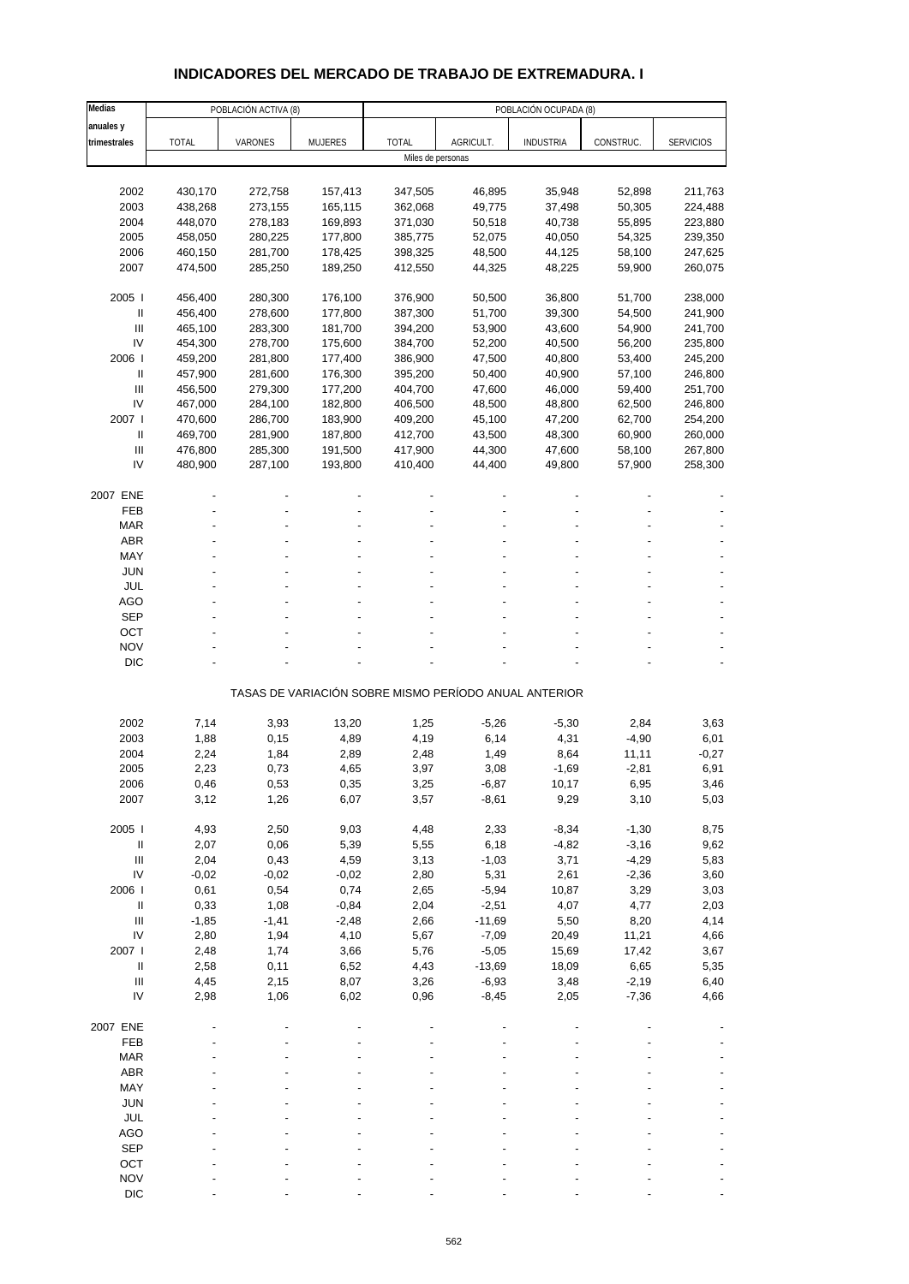# **INDICADORES DEL MERCADO DE TRABAJO DE EXTREMADURA. I**

| Medias                             |              | POBLACIÓN ACTIVA (8) |                |                   |           | POBLACIÓN OCUPADA (8)                                 |           |                  |
|------------------------------------|--------------|----------------------|----------------|-------------------|-----------|-------------------------------------------------------|-----------|------------------|
| anuales y                          |              |                      |                |                   |           |                                                       |           |                  |
| trimestrales                       | <b>TOTAL</b> | VARONES              | <b>MUJERES</b> | <b>TOTAL</b>      | AGRICULT. | <b>INDUSTRIA</b>                                      | CONSTRUC. | <b>SERVICIOS</b> |
|                                    |              |                      |                | Miles de personas |           |                                                       |           |                  |
|                                    |              |                      |                |                   |           |                                                       |           |                  |
| 2002                               | 430,170      | 272,758              | 157,413        | 347,505           | 46,895    | 35,948                                                | 52,898    | 211,763          |
| 2003                               | 438,268      | 273,155              | 165,115        | 362,068           | 49,775    | 37,498                                                | 50,305    | 224,488          |
| 2004                               | 448,070      | 278,183              | 169,893        | 371,030           | 50,518    | 40,738                                                | 55,895    | 223,880          |
| 2005                               | 458,050      | 280,225              | 177,800        | 385,775           | 52,075    | 40,050                                                | 54,325    | 239,350          |
| 2006                               | 460,150      | 281,700              | 178,425        | 398,325           | 48,500    | 44,125                                                | 58,100    | 247,625          |
| 2007                               | 474,500      | 285,250              | 189,250        | 412,550           | 44,325    | 48,225                                                | 59,900    | 260,075          |
| 2005                               | 456,400      | 280,300              | 176,100        | 376,900           | 50,500    | 36,800                                                | 51,700    | 238,000          |
| Ш                                  | 456,400      | 278,600              | 177,800        | 387,300           | 51,700    | 39,300                                                | 54,500    | 241,900          |
| Ш                                  | 465,100      | 283,300              | 181,700        | 394,200           | 53,900    | 43,600                                                | 54,900    | 241,700          |
| IV                                 | 454,300      | 278,700              | 175,600        | 384,700           | 52,200    | 40,500                                                | 56,200    | 235,800          |
| 2006                               | 459,200      | 281,800              | 177,400        | 386,900           | 47,500    | 40,800                                                | 53,400    | 245,200          |
| Ш                                  | 457,900      | 281,600              | 176,300        | 395,200           | 50,400    | 40,900                                                | 57,100    | 246,800          |
| Ш                                  | 456,500      | 279,300              | 177,200        | 404,700           | 47,600    | 46,000                                                | 59,400    | 251,700          |
| IV                                 | 467,000      | 284,100              | 182,800        | 406,500           | 48,500    | 48,800                                                | 62,500    | 246,800          |
| 2007 l                             | 470,600      | 286,700              | 183,900        | 409,200           | 45,100    | 47,200                                                | 62,700    | 254,200          |
| Ш                                  | 469,700      | 281,900              | 187,800        | 412,700           | 43,500    | 48,300                                                | 60,900    | 260,000          |
| $\mathbf{III}$                     | 476,800      | 285,300              | 191,500        | 417,900           | 44,300    | 47,600                                                | 58,100    | 267,800          |
| IV                                 | 480,900      | 287,100              | 193,800        | 410,400           | 44,400    | 49,800                                                | 57,900    | 258,300          |
| 2007 ENE                           |              |                      |                |                   |           |                                                       |           |                  |
| FEB                                |              |                      |                |                   |           |                                                       |           |                  |
| <b>MAR</b>                         |              |                      |                |                   |           |                                                       |           |                  |
| <b>ABR</b>                         |              |                      |                |                   |           |                                                       |           |                  |
| MAY                                |              |                      |                |                   |           |                                                       |           |                  |
| <b>JUN</b>                         |              |                      |                |                   |           |                                                       |           |                  |
| <b>JUL</b>                         |              |                      |                |                   |           |                                                       |           |                  |
| <b>AGO</b>                         |              |                      |                |                   |           |                                                       |           |                  |
| <b>SEP</b>                         |              |                      |                |                   |           |                                                       |           |                  |
| OCT                                |              |                      |                |                   |           |                                                       |           |                  |
| <b>NOV</b>                         |              |                      |                |                   |           |                                                       |           |                  |
| <b>DIC</b>                         |              |                      |                |                   |           |                                                       |           |                  |
|                                    |              |                      |                |                   |           | TASAS DE VARIACIÓN SOBRE MISMO PERÍODO ANUAL ANTERIOR |           |                  |
|                                    |              |                      |                |                   |           |                                                       |           |                  |
| 2002                               | 7,14         | 3,93                 | 13,20          | 1,25              | $-5,26$   | $-5,30$                                               | 2,84      | 3,63             |
| 2003                               | 1,88         | 0,15                 | 4,89           | 4,19              | 6,14      | 4,31                                                  | $-4,90$   | 6,01             |
| 2004                               | 2,24         | 1,84                 | 2,89           | 2,48              | 1,49      | 8,64                                                  | 11,11     | $-0,27$          |
| 2005                               | 2,23         | 0,73                 | 4,65           | 3,97              | 3,08      | $-1,69$                                               | $-2,81$   | 6,91             |
| 2006                               | 0,46         | 0,53                 | 0,35           | 3,25              | $-6,87$   | 10,17                                                 | 6,95      | 3,46             |
| 2007                               | 3,12         | 1,26                 | 6,07           | 3,57              | $-8,61$   | 9,29                                                  | 3,10      | 5,03             |
| 2005 l                             | 4,93         | 2,50                 | 9,03           | 4,48              | 2,33      | $-8,34$                                               | $-1,30$   | 8,75             |
| $\ensuremath{\mathsf{II}}$         | 2,07         | 0,06                 | 5,39           | 5,55              | 6,18      | $-4,82$                                               | $-3,16$   | 9,62             |
| $\ensuremath{\mathsf{III}}\xspace$ | 2,04         | 0,43                 | 4,59           | 3,13              | $-1,03$   | 3,71                                                  | $-4,29$   | 5,83             |
| IV                                 | $-0,02$      | $-0,02$              | $-0,02$        | 2,80              | 5,31      | 2,61                                                  | $-2,36$   | 3,60             |
| 2006                               | 0,61         | 0,54                 | 0,74           | 2,65              | $-5,94$   | 10,87                                                 | 3,29      | 3,03             |
| $\, \parallel$                     | 0,33         | 1,08                 | $-0,84$        | 2,04              | $-2,51$   | 4,07                                                  | 4,77      | 2,03             |
| $\ensuremath{\mathsf{III}}\xspace$ | $-1,85$      | $-1,41$              | $-2,48$        | 2,66              | $-11,69$  | 5,50                                                  | 8,20      | 4,14             |
| IV                                 | 2,80         | 1,94                 | 4,10           | 5,67              | $-7,09$   | 20,49                                                 | 11,21     | 4,66             |
| 2007 l                             | 2,48         | 1,74                 | 3,66           | 5,76              | $-5,05$   | 15,69                                                 | 17,42     | 3,67             |
| $\, \parallel$                     | 2,58         | 0,11                 | 6,52           | 4,43              | $-13,69$  | 18,09                                                 | 6,65      | 5,35             |
| $\ensuremath{\mathsf{III}}\xspace$ | 4,45         | 2,15                 | 8,07           | 3,26              | $-6,93$   | 3,48                                                  | $-2,19$   | 6,40             |
| IV                                 | 2,98         | 1,06                 | 6,02           | 0,96              | $-8,45$   | 2,05                                                  | $-7,36$   | 4,66             |
| 2007 ENE                           |              |                      |                |                   |           |                                                       |           |                  |
| FEB                                |              |                      |                |                   |           |                                                       |           |                  |
| <b>MAR</b>                         |              |                      |                |                   |           |                                                       |           |                  |
| <b>ABR</b>                         |              |                      |                |                   |           |                                                       |           |                  |
| MAY                                |              |                      |                |                   |           |                                                       |           |                  |
| <b>JUN</b>                         |              |                      |                |                   |           |                                                       |           |                  |
| <b>JUL</b>                         |              |                      |                |                   |           |                                                       |           |                  |
| AGO                                |              |                      |                |                   |           |                                                       |           |                  |
| <b>SEP</b>                         |              |                      |                |                   |           |                                                       |           |                  |
| OCT                                |              |                      |                |                   |           |                                                       |           |                  |
| <b>NOV</b>                         |              |                      |                |                   |           |                                                       |           |                  |
| <b>DIC</b>                         |              |                      |                |                   |           |                                                       |           |                  |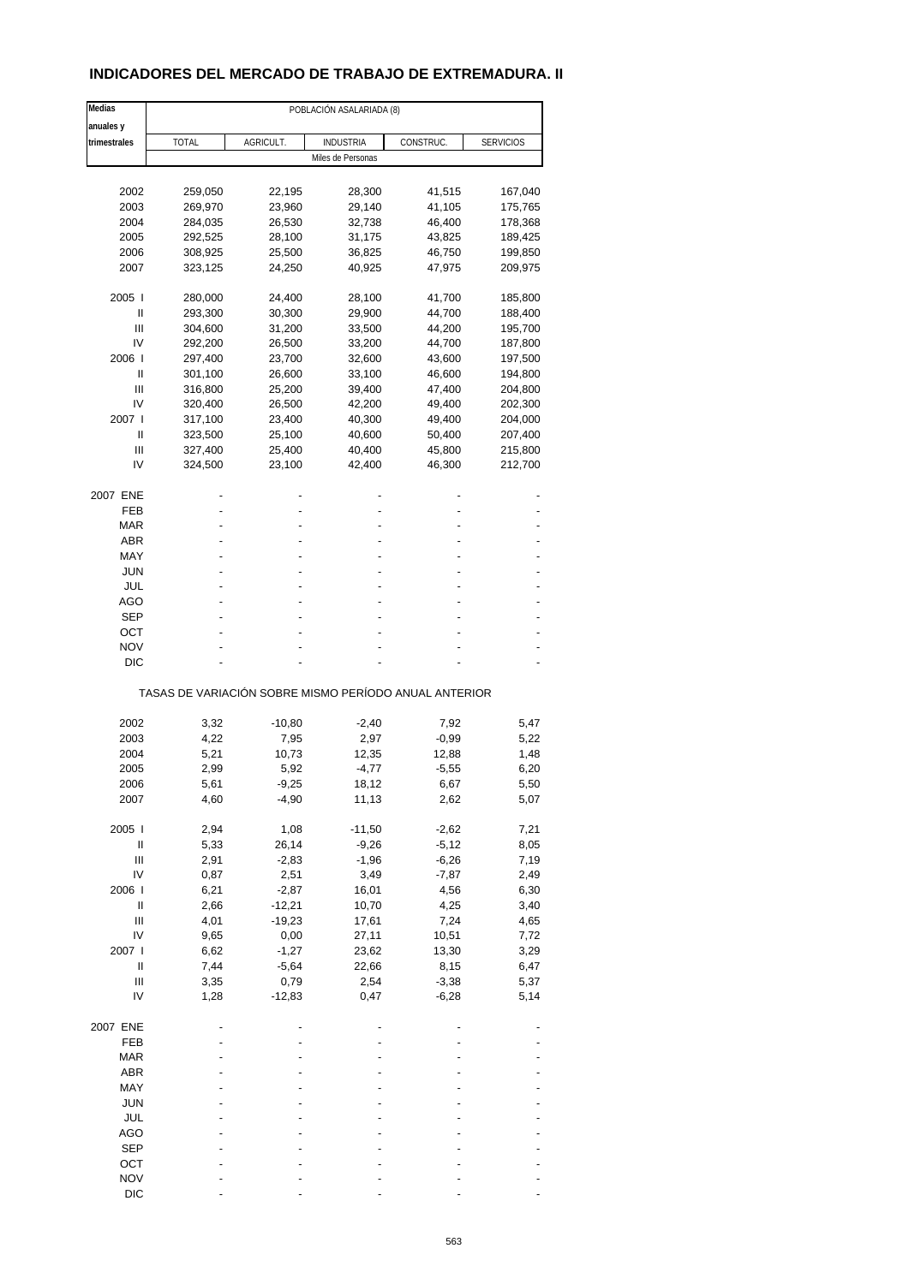# **INDICADORES DEL MERCADO DE TRABAJO DE EXTREMADURA. II**

| Medias                             |              |           | POBLACIÓN ASALARIADA (8)                              |           |                  |
|------------------------------------|--------------|-----------|-------------------------------------------------------|-----------|------------------|
| anuales y                          |              |           |                                                       |           |                  |
| trimestrales                       | <b>TOTAL</b> | AGRICULT. | <b>INDUSTRIA</b>                                      | CONSTRUC. | <b>SERVICIOS</b> |
|                                    |              |           | Miles de Personas                                     |           |                  |
|                                    |              |           |                                                       |           |                  |
| 2002                               | 259,050      | 22,195    | 28,300                                                | 41,515    | 167,040          |
| 2003                               | 269,970      | 23,960    | 29,140                                                | 41,105    | 175,765          |
| 2004                               | 284,035      | 26,530    | 32,738                                                | 46,400    | 178,368          |
| 2005                               | 292,525      | 28,100    | 31,175                                                | 43,825    | 189,425          |
| 2006                               | 308,925      | 25,500    | 36,825                                                | 46,750    | 199,850          |
| 2007                               | 323,125      | 24,250    | 40,925                                                | 47,975    | 209,975          |
| 2005                               | 280,000      | 24,400    | 28,100                                                | 41,700    | 185,800          |
| Ш                                  | 293,300      | 30,300    | 29,900                                                | 44,700    | 188,400          |
| Ш                                  | 304,600      | 31,200    | 33,500                                                | 44,200    | 195,700          |
| IV                                 | 292,200      | 26,500    | 33,200                                                | 44,700    | 187,800          |
| 2006                               | 297,400      | 23,700    | 32,600                                                | 43,600    | 197,500          |
| Ш                                  | 301,100      | 26,600    | 33,100                                                | 46,600    | 194,800          |
| Ш                                  | 316,800      | 25,200    | 39,400                                                | 47,400    | 204,800          |
| IV                                 | 320,400      | 26,500    | 42,200                                                | 49,400    | 202,300          |
| 2007 l                             |              |           |                                                       |           |                  |
|                                    | 317,100      | 23,400    | 40,300                                                | 49,400    | 204,000          |
| Ш                                  | 323,500      | 25,100    | 40,600                                                | 50,400    | 207,400          |
| Ш                                  | 327,400      | 25,400    | 40,400                                                | 45,800    | 215,800          |
| IV                                 | 324,500      | 23,100    | 42,400                                                | 46,300    | 212,700          |
| 2007 ENE                           |              |           |                                                       |           |                  |
| FEB                                |              |           |                                                       |           |                  |
| MAR                                |              |           |                                                       |           |                  |
| <b>ABR</b>                         |              |           |                                                       |           |                  |
| MAY                                |              |           |                                                       |           |                  |
| JUN                                |              |           |                                                       |           |                  |
|                                    |              |           |                                                       |           |                  |
| JUL                                |              |           |                                                       |           |                  |
| AGO                                |              |           |                                                       |           |                  |
| <b>SEP</b>                         |              |           |                                                       |           |                  |
| ост                                |              |           |                                                       |           |                  |
| <b>NOV</b>                         |              |           |                                                       |           |                  |
| DIC                                |              |           |                                                       |           |                  |
|                                    |              |           | TASAS DE VARIACIÓN SOBRE MISMO PERÍODO ANUAL ANTERIOR |           |                  |
|                                    |              |           |                                                       |           |                  |
| 2002                               | 3,32         | $-10,80$  | $-2,40$                                               | 7,92      | 5,47             |
| 2003                               | 4,22         | 7,95      | 2,97                                                  | $-0,99$   | 5,22             |
| 2004                               | 5,21         | 10,73     | 12,35                                                 | 12,88     | 1,48             |
| 2005                               | 2,99         | 5,92      | $-4,77$                                               | $-5,55$   | 6,20             |
| 2006                               | 5,61         | -9,25     | 18,12                                                 | 6,67      | 5,50             |
| 2007                               | 4,60         | $-4,90$   | 11,13                                                 | 2,62      | 5,07             |
| 2005 l                             | 2,94         | 1,08      | $-11,50$                                              | $-2,62$   | 7,21             |
| $\sf II$                           | 5,33         | 26,14     | $-9,26$                                               | $-5,12$   | 8,05             |
| Ш                                  | 2,91         | $-2,83$   | $-1,96$                                               | $-6,26$   | 7,19             |
| IV                                 | 0,87         | 2,51      | 3,49                                                  | $-7,87$   | 2,49             |
| 2006                               | 6,21         | $-2,87$   | 16,01                                                 | 4,56      | 6,30             |
| $\sf II$                           | 2,66         | $-12,21$  | 10,70                                                 | 4,25      | 3,40             |
|                                    |              |           |                                                       |           |                  |
| $\ensuremath{\mathsf{III}}\xspace$ | 4,01         | $-19,23$  | 17,61                                                 | 7,24      | 4,65             |
| IV                                 | 9,65         | 0,00      | 27,11                                                 | 10,51     | 7,72             |
| 2007 l                             | 6,62         | $-1,27$   | 23,62                                                 | 13,30     | 3,29             |
| Ш                                  | 7,44         | $-5,64$   | 22,66                                                 | 8,15      | 6,47             |
| Ш                                  | 3,35         | 0,79      | 2,54                                                  | $-3,38$   | 5,37             |
| IV                                 | 1,28         | $-12,83$  | 0,47                                                  | $-6,28$   | 5,14             |
| 2007 ENE                           |              |           |                                                       |           |                  |
| FEB                                |              |           |                                                       |           |                  |
| <b>MAR</b>                         |              |           |                                                       |           |                  |
| ABR                                |              |           |                                                       |           |                  |
| MAY                                |              |           |                                                       |           |                  |
|                                    |              |           |                                                       |           |                  |
| <b>JUN</b>                         |              |           |                                                       |           |                  |
| JUL                                |              |           |                                                       |           |                  |
| <b>AGO</b>                         |              |           |                                                       |           |                  |
| <b>SEP</b>                         |              |           |                                                       |           |                  |
| OCT                                |              |           |                                                       |           |                  |
| <b>NOV</b>                         |              |           |                                                       |           |                  |
| <b>DIC</b>                         |              |           |                                                       |           |                  |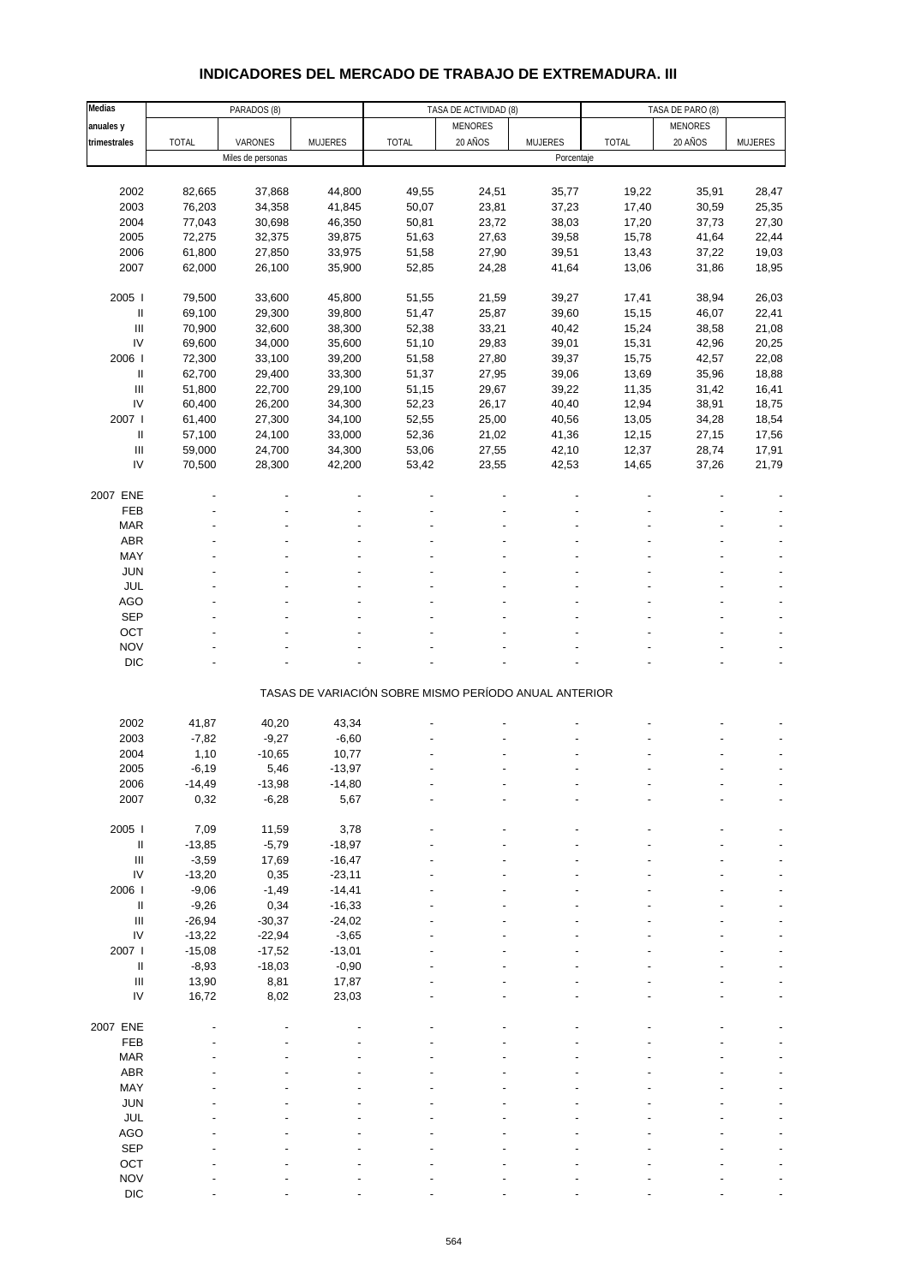# **INDICADORES DEL MERCADO DE TRABAJO DE EXTREMADURA. III**

| Medias                                  |                | PARADOS (8)       |          |                                                       | TASA DE ACTIVIDAD (8) |            |       | TASA DE PARO (8) |         |
|-----------------------------------------|----------------|-------------------|----------|-------------------------------------------------------|-----------------------|------------|-------|------------------|---------|
| anuales y                               |                |                   |          |                                                       | <b>MENORES</b>        |            |       | <b>MENORES</b>   |         |
| trimestrales                            | TOTAL          | VARONES           | MUJERES  | <b>TOTAL</b>                                          | 20 AÑOS               | MUJERES    | TOTAL | 20 AÑOS          | MUJERES |
|                                         |                | Miles de personas |          |                                                       |                       | Porcentaje |       |                  |         |
|                                         |                |                   |          |                                                       |                       |            |       |                  |         |
| 2002                                    | 82,665         | 37,868            | 44,800   | 49,55                                                 | 24,51                 | 35,77      | 19,22 | 35,91            | 28,47   |
| 2003                                    | 76,203         | 34,358            | 41,845   | 50,07                                                 | 23,81                 | 37,23      | 17,40 | 30,59            | 25,35   |
| 2004                                    | 77,043         | 30,698            | 46,350   | 50,81                                                 | 23,72                 | 38,03      | 17,20 | 37,73            | 27,30   |
| 2005                                    | 72,275         | 32,375            | 39,875   | 51,63                                                 | 27,63                 | 39,58      | 15,78 | 41,64            | 22,44   |
| 2006                                    | 61,800         | 27,850            | 33,975   | 51,58                                                 | 27,90                 | 39,51      | 13,43 | 37,22            | 19,03   |
|                                         |                |                   |          |                                                       |                       |            |       |                  |         |
| 2007                                    | 62,000         | 26,100            | 35,900   | 52,85                                                 | 24,28                 | 41,64      | 13,06 | 31,86            | 18,95   |
| 2005                                    | 79,500         | 33,600            | 45,800   | 51,55                                                 | 21,59                 | 39,27      | 17,41 | 38,94            | 26,03   |
|                                         |                |                   |          |                                                       |                       |            |       |                  |         |
| Ш                                       | 69,100         | 29,300            | 39,800   | 51,47                                                 | 25,87                 | 39,60      | 15,15 | 46,07            | 22,41   |
| III                                     | 70,900         | 32,600            | 38,300   | 52,38                                                 | 33,21                 | 40,42      | 15,24 | 38,58            | 21,08   |
| ${\sf IV}$                              | 69,600         | 34,000            | 35,600   | 51,10                                                 | 29,83                 | 39,01      | 15,31 | 42,96            | 20,25   |
| 2006                                    | 72,300         | 33,100            | 39,200   | 51,58                                                 | 27,80                 | 39,37      | 15,75 | 42,57            | 22,08   |
| Ш                                       | 62,700         | 29,400            | 33,300   | 51,37                                                 | 27,95                 | 39,06      | 13,69 | 35,96            | 18,88   |
| $\ensuremath{\mathsf{III}}\xspace$      | 51,800         | 22,700            | 29,100   | 51,15                                                 | 29,67                 | 39,22      | 11,35 | 31,42            | 16,41   |
| IV                                      | 60,400         | 26,200            | 34,300   | 52,23                                                 | 26,17                 | 40,40      | 12,94 | 38,91            | 18,75   |
| 2007                                    | 61,400         | 27,300            | 34,100   | 52,55                                                 | 25,00                 | 40,56      | 13,05 | 34,28            | 18,54   |
| Ш                                       | 57,100         | 24,100            | 33,000   | 52,36                                                 | 21,02                 | 41,36      | 12,15 | 27,15            | 17,56   |
| $\ensuremath{\mathsf{III}}\xspace$      | 59,000         | 24,700            | 34,300   | 53,06                                                 | 27,55                 | 42,10      | 12,37 | 28,74            | 17,91   |
| IV                                      | 70,500         | 28,300            | 42,200   | 53,42                                                 | 23,55                 | 42,53      | 14,65 | 37,26            | 21,79   |
|                                         |                |                   |          |                                                       |                       |            |       |                  |         |
| 2007 ENE                                |                |                   |          |                                                       |                       |            |       |                  |         |
| FEB                                     |                |                   |          |                                                       |                       |            |       |                  |         |
| <b>MAR</b>                              |                |                   |          |                                                       |                       |            |       |                  |         |
| ABR                                     |                |                   |          |                                                       |                       |            |       |                  |         |
| MAY                                     |                |                   |          |                                                       |                       |            |       |                  |         |
| <b>JUN</b>                              |                |                   |          |                                                       |                       |            |       |                  |         |
| JUL                                     |                |                   |          |                                                       |                       |            |       |                  |         |
| <b>AGO</b>                              |                |                   |          |                                                       |                       |            |       |                  |         |
| SEP                                     |                |                   |          |                                                       |                       |            |       |                  |         |
| OCT                                     |                |                   |          |                                                       |                       |            |       |                  |         |
| <b>NOV</b>                              |                |                   |          |                                                       |                       |            |       |                  |         |
| <b>DIC</b>                              |                |                   |          |                                                       |                       |            |       |                  |         |
|                                         |                |                   |          |                                                       |                       |            |       |                  |         |
|                                         |                |                   |          | TASAS DE VARIACIÓN SOBRE MISMO PERÍODO ANUAL ANTERIOR |                       |            |       |                  |         |
|                                         |                |                   |          |                                                       |                       |            |       |                  |         |
| 2002                                    | 41,87          | 40,20             | 43,34    |                                                       |                       |            |       |                  |         |
| 2003                                    | $-7,82$        | $-9,27$           | $-6,60$  |                                                       |                       |            |       |                  |         |
| 2004                                    | 1,10           | $-10,65$          | 10,77    |                                                       |                       |            |       |                  |         |
| 2005                                    | $-6,19$        | 5,46              | $-13,97$ |                                                       |                       |            |       |                  |         |
| 2006                                    |                | $-13,98$          | $-14,80$ |                                                       |                       |            |       |                  |         |
| 2007                                    | -14,49<br>0,32 | $-6,28$           | 5,67     |                                                       |                       |            |       |                  |         |
|                                         |                |                   |          |                                                       |                       |            |       |                  |         |
| 2005 l                                  | 7,09           | 11,59             | 3,78     |                                                       |                       |            |       |                  |         |
|                                         |                |                   |          |                                                       |                       |            |       |                  |         |
| Ш<br>$\ensuremath{\mathsf{III}}\xspace$ | $-13,85$       | $-5,79$           | $-18,97$ |                                                       |                       |            |       |                  |         |
|                                         | $-3,59$        | 17,69             | $-16,47$ |                                                       |                       |            |       |                  |         |
| ${\sf IV}$                              | $-13,20$       | 0,35              | $-23,11$ |                                                       |                       |            |       |                  |         |
| 2006                                    | $-9,06$        | $-1,49$           | $-14,41$ |                                                       |                       |            |       |                  |         |
| Ш                                       | $-9,26$        | 0,34              | $-16,33$ |                                                       |                       |            |       |                  |         |
| Ш                                       | $-26,94$       | $-30,37$          | $-24,02$ |                                                       |                       |            |       |                  |         |
| ${\sf IV}$                              | $-13,22$       | $-22,94$          | $-3,65$  |                                                       |                       |            |       |                  |         |
| 2007 l                                  | $-15,08$       | $-17,52$          | $-13,01$ |                                                       |                       |            |       |                  |         |
| $\ensuremath{\mathsf{II}}$              | $-8,93$        | $-18,03$          | $-0,90$  |                                                       |                       |            |       |                  |         |
| $\ensuremath{\mathsf{III}}\xspace$      | 13,90          | 8,81              | 17,87    |                                                       |                       |            |       |                  |         |
| IV                                      | 16,72          | 8,02              | 23,03    |                                                       |                       |            |       |                  |         |
|                                         |                |                   |          |                                                       |                       |            |       |                  |         |
| 2007 ENE                                |                |                   |          |                                                       |                       |            |       |                  |         |
| FEB                                     |                |                   |          |                                                       |                       |            |       |                  |         |
| <b>MAR</b>                              |                |                   |          |                                                       |                       |            |       |                  |         |
| ABR                                     |                |                   |          |                                                       |                       |            |       |                  |         |
| MAY                                     |                |                   |          |                                                       |                       |            |       |                  |         |
| JUN                                     |                |                   |          |                                                       |                       |            |       |                  |         |
| JUL                                     |                |                   |          |                                                       |                       |            |       |                  |         |
| AGO                                     |                |                   |          |                                                       |                       |            |       |                  |         |
| <b>SEP</b>                              |                |                   |          |                                                       |                       |            |       |                  |         |
| OCT                                     |                |                   |          |                                                       |                       |            |       |                  |         |
| <b>NOV</b>                              |                |                   |          |                                                       |                       |            |       |                  |         |
| DIC                                     |                |                   |          |                                                       |                       |            |       |                  |         |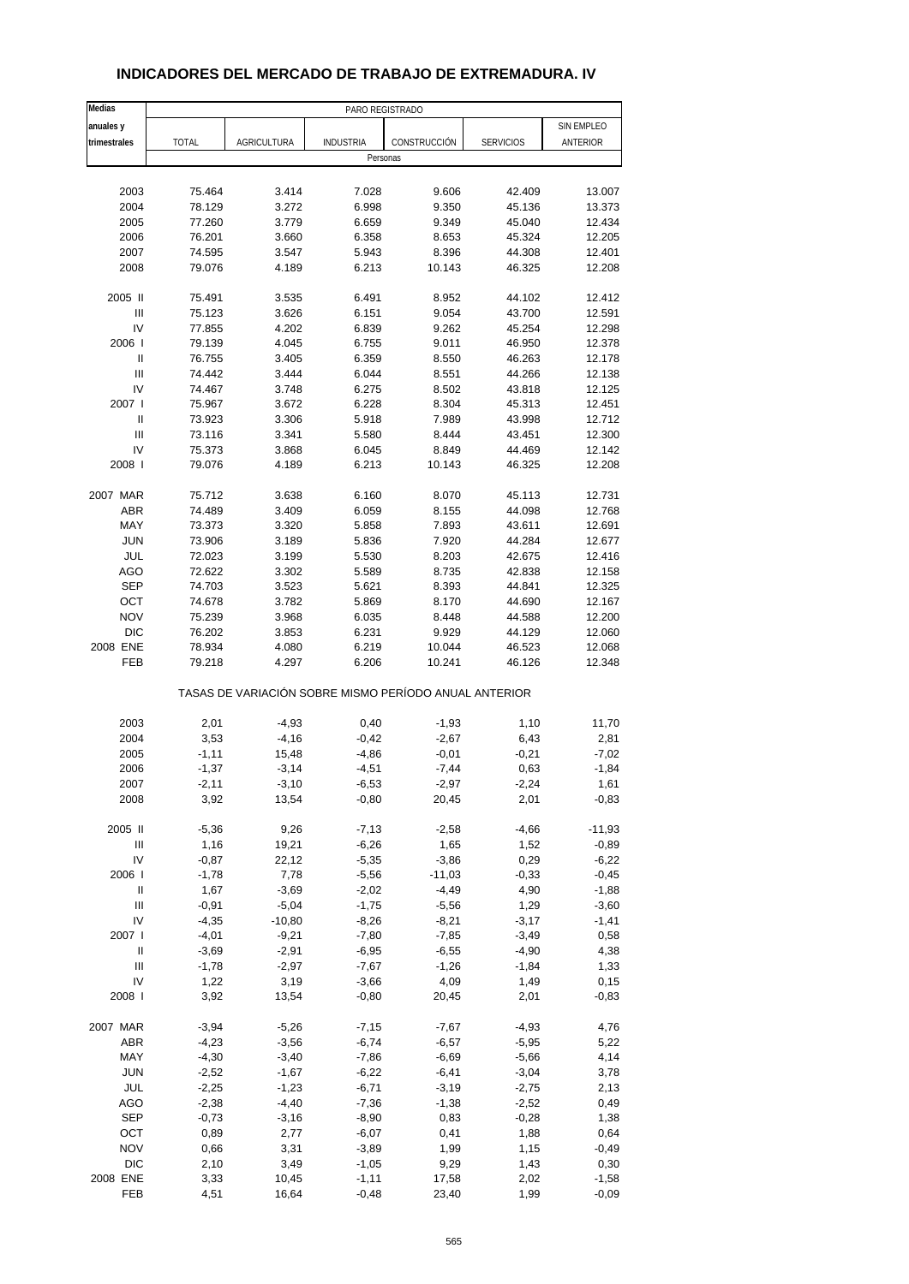| Medias                     |              |                                                       | PARO REGISTRADO  |              |                  |            |
|----------------------------|--------------|-------------------------------------------------------|------------------|--------------|------------------|------------|
| anuales y                  |              |                                                       |                  |              |                  | SIN EMPLEO |
| trimestrales               | <b>TOTAL</b> | <b>AGRICULTURA</b>                                    | <b>INDUSTRIA</b> | CONSTRUCCIÓN | <b>SERVICIOS</b> | ANTERIOR   |
|                            |              |                                                       | Personas         |              |                  |            |
|                            |              |                                                       |                  |              |                  |            |
| 2003                       | 75.464       | 3.414                                                 | 7.028            | 9.606        | 42.409           | 13.007     |
| 2004                       | 78.129       | 3.272                                                 | 6.998            | 9.350        | 45.136           | 13.373     |
| 2005                       | 77.260       | 3.779                                                 | 6.659            | 9.349        | 45.040           | 12.434     |
| 2006                       | 76.201       | 3.660                                                 | 6.358            | 8.653        | 45.324           | 12.205     |
| 2007                       | 74.595       | 3.547                                                 | 5.943            | 8.396        | 44.308           | 12.401     |
| 2008                       | 79.076       | 4.189                                                 | 6.213            | 10.143       | 46.325           | 12.208     |
| 2005 II                    | 75.491       | 3.535                                                 | 6.491            | 8.952        | 44.102           | 12.412     |
| $\mathsf{III}$             | 75.123       | 3.626                                                 | 6.151            | 9.054        | 43.700           | 12.591     |
| IV                         | 77.855       | 4.202                                                 | 6.839            | 9.262        | 45.254           | 12.298     |
| 2006                       | 79.139       | 4.045                                                 | 6.755            | 9.011        | 46.950           | 12.378     |
| $\sf II$                   | 76.755       | 3.405                                                 | 6.359            | 8.550        | 46.263           | 12.178     |
| $\mathsf{III}$             | 74.442       | 3.444                                                 | 6.044            | 8.551        | 44.266           | 12.138     |
| IV                         | 74.467       | 3.748                                                 | 6.275            | 8.502        | 43.818           | 12.125     |
| 2007                       | 75.967       | 3.672                                                 | 6.228            | 8.304        | 45.313           | 12.451     |
| $\sf II$                   | 73.923       | 3.306                                                 | 5.918            | 7.989        | 43.998           | 12.712     |
| III                        | 73.116       | 3.341                                                 | 5.580            | 8.444        | 43.451           | 12.300     |
| IV                         | 75.373       | 3.868                                                 | 6.045            | 8.849        | 44.469           | 12.142     |
| 2008                       | 79.076       | 4.189                                                 | 6.213            | 10.143       | 46.325           | 12.208     |
| 2007 MAR                   | 75.712       | 3.638                                                 | 6.160            | 8.070        | 45.113           | 12.731     |
| <b>ABR</b>                 | 74.489       | 3.409                                                 | 6.059            | 8.155        | 44.098           | 12.768     |
| MAY                        | 73.373       | 3.320                                                 | 5.858            | 7.893        | 43.611           | 12.691     |
| <b>JUN</b>                 | 73.906       | 3.189                                                 | 5.836            | 7.920        | 44.284           | 12.677     |
| JUL                        | 72.023       | 3.199                                                 | 5.530            | 8.203        | 42.675           | 12.416     |
| <b>AGO</b>                 | 72.622       | 3.302                                                 | 5.589            | 8.735        | 42.838           | 12.158     |
| <b>SEP</b>                 | 74.703       | 3.523                                                 | 5.621            | 8.393        | 44.841           | 12.325     |
| OCT                        | 74.678       | 3.782                                                 | 5.869            | 8.170        | 44.690           | 12.167     |
| <b>NOV</b>                 | 75.239       | 3.968                                                 | 6.035            | 8.448        | 44.588           | 12.200     |
| <b>DIC</b>                 | 76.202       | 3.853                                                 | 6.231            | 9.929        | 44.129           | 12.060     |
| 2008 ENE                   | 78.934       | 4.080                                                 | 6.219            | 10.044       | 46.523           | 12.068     |
| FEB                        | 79.218       | 4.297                                                 | 6.206            | 10.241       | 46.126           | 12.348     |
|                            |              | TASAS DE VARIACIÓN SOBRE MISMO PERÍODO ANUAL ANTERIOR |                  |              |                  |            |
| 2003                       | 2,01         | $-4,93$                                               | 0,40             | $-1,93$      | 1,10             | 11,70      |
| 2004                       | 3,53         | $-4,16$                                               | $-0,42$          | $-2,67$      | 6,43             | 2,81       |
| 2005                       | $-1,11$      | 15,48                                                 | -4,86            | $-0,01$      | $-0,21$          | $-7,02$    |
| 2006                       | $-1,37$      | $-3,14$                                               | $-4,51$          | $-7,44$      | 0,63             | $-1,84$    |
| 2007                       | -2,11        | -3,10                                                 | -6,53            | -2,97        | -2,24            | 1,61       |
| 2008                       | 3,92         | 13,54                                                 | $-0,80$          | 20,45        | 2,01             | $-0,83$    |
| 2005 II                    | $-5,36$      | 9,26                                                  | $-7, 13$         | $-2,58$      | $-4,66$          | $-11,93$   |
| Ш                          | 1,16         | 19,21                                                 | $-6,26$          | 1,65         | 1,52             | $-0,89$    |
| IV                         | $-0,87$      | 22,12                                                 | $-5,35$          | $-3,86$      | 0,29             | $-6,22$    |
| 2006                       | $-1,78$      | 7,78                                                  | $-5,56$          | $-11,03$     | $-0,33$          | $-0,45$    |
| $\ensuremath{\mathsf{II}}$ | 1,67         | $-3,69$                                               | $-2,02$          | $-4,49$      | 4,90             | $-1,88$    |
| $\mathsf{III}$             | $-0,91$      | $-5,04$                                               | $-1,75$          | $-5,56$      | 1,29             | $-3,60$    |
| IV                         | $-4,35$      | $-10,80$                                              | $-8,26$          | $-8,21$      | $-3,17$          | $-1,41$    |
| 2007 l                     | $-4,01$      | $-9,21$                                               | $-7,80$          | $-7,85$      | $-3,49$          | 0,58       |
| Ш                          | $-3,69$      | $-2,91$                                               | $-6,95$          | $-6,55$      | $-4,90$          | 4,38       |
| Ш                          | $-1,78$      | $-2,97$                                               | $-7,67$          | $-1,26$      | $-1,84$          | 1,33       |
| IV                         | 1,22         | 3,19                                                  | $-3,66$          | 4,09         | 1,49             | 0,15       |
| 2008                       | 3,92         | 13,54                                                 | $-0,80$          | 20,45        | 2,01             | $-0,83$    |
| 2007 MAR                   | $-3,94$      | $-5,26$                                               | $-7,15$          | $-7,67$      | $-4,93$          | 4,76       |
| ABR                        | $-4,23$      | $-3,56$                                               | $-6,74$          | $-6,57$      | $-5,95$          | 5,22       |
| MAY                        | $-4,30$      | $-3,40$                                               | $-7,86$          | $-6,69$      | $-5,66$          | 4,14       |
| <b>JUN</b>                 | $-2,52$      | $-1,67$                                               | $-6,22$          | $-6,41$      | $-3,04$          | 3,78       |
| JUL                        | $-2,25$      | $-1,23$                                               | $-6,71$          | $-3,19$      | $-2,75$          | 2,13       |
| AGO                        | $-2,38$      | $-4,40$                                               | $-7,36$          | $-1,38$      | $-2,52$          | 0,49       |
| <b>SEP</b>                 | $-0,73$      | $-3,16$                                               | $-8,90$          | 0,83         | $-0,28$          | 1,38       |
| OCT                        | 0,89         | 2,77                                                  | $-6,07$          | 0,41         | 1,88             | 0,64       |
| <b>NOV</b>                 | 0,66         | 3,31                                                  | $-3,89$          | 1,99         | 1,15             | $-0,49$    |
| $DIC$                      | 2,10         | 3,49                                                  | $-1,05$          | 9,29         | 1,43             | 0,30       |
| 2008 ENE                   | 3,33         | 10,45                                                 | $-1,11$          | 17,58        | 2,02             | $-1,58$    |
| FEB                        | 4,51         | 16,64                                                 | $-0,48$          | 23,40        | 1,99             | $-0,09$    |

## **INDICADORES DEL MERCADO DE TRABAJO DE EXTREMADURA. IV**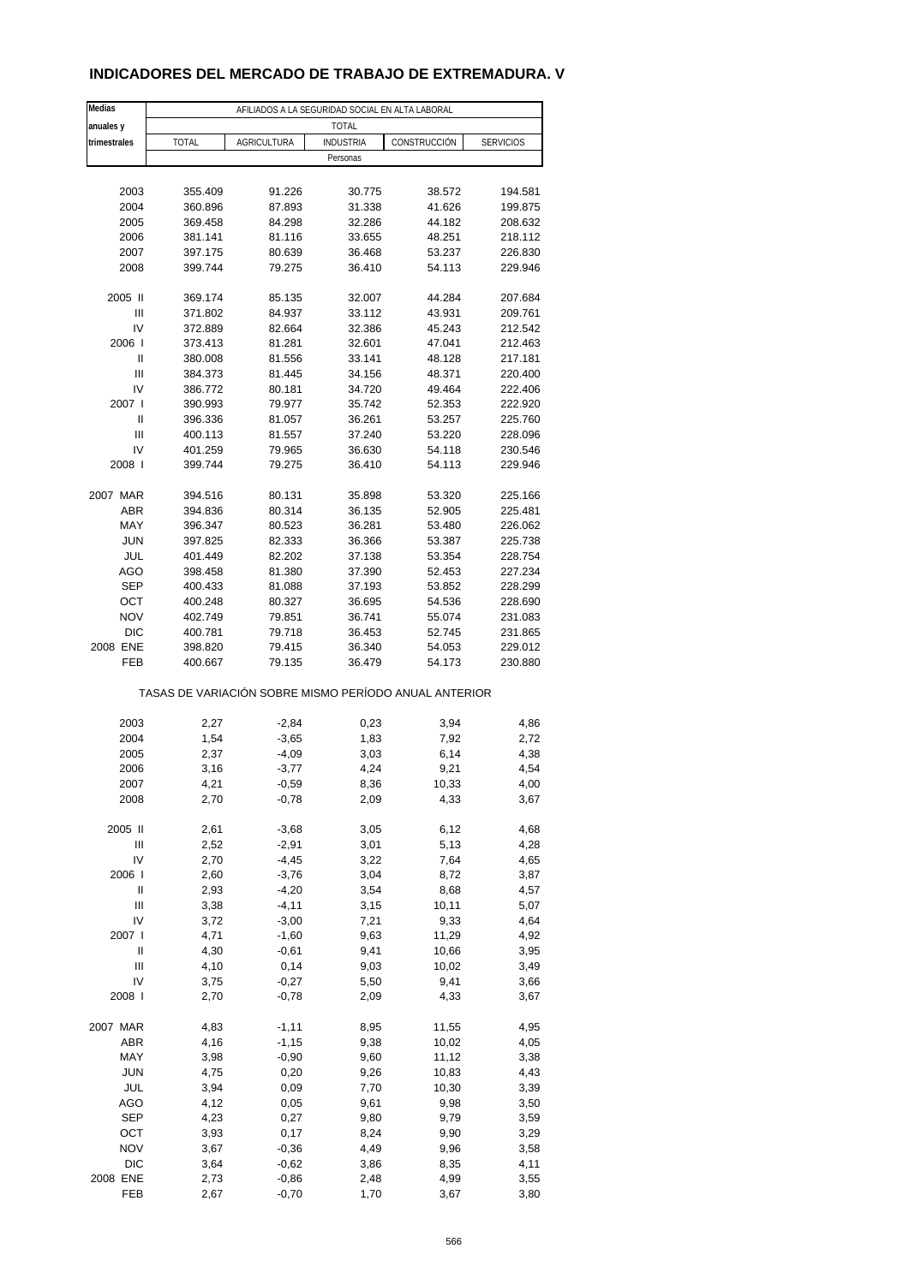#### **INDICADORES DEL MERCADO DE TRABAJO DE EXTREMADURA. V**

| Medias                 | AFILIADOS A LA SEGURIDAD SOCIAL EN ALTA LABORAL       |                    |                  |                  |                    |
|------------------------|-------------------------------------------------------|--------------------|------------------|------------------|--------------------|
| anuales y              |                                                       |                    | <b>TOTAL</b>     |                  |                    |
| trimestrales           | <b>TOTAL</b>                                          | <b>AGRICULTURA</b> | <b>INDUSTRIA</b> | CONSTRUCCIÓN     | <b>SERVICIOS</b>   |
|                        |                                                       |                    | Personas         |                  |                    |
|                        |                                                       |                    |                  |                  |                    |
| 2003                   | 355.409                                               | 91.226             | 30.775           | 38.572           | 194.581            |
| 2004                   | 360.896                                               | 87.893             | 31.338           | 41.626           | 199.875            |
| 2005                   | 369.458                                               | 84.298             | 32.286           | 44.182           | 208.632            |
| 2006                   | 381.141                                               | 81.116             | 33.655           | 48.251           | 218.112            |
| 2007                   | 397.175                                               | 80.639             | 36.468           | 53.237           | 226.830            |
| 2008                   | 399.744                                               | 79.275             | 36.410           | 54.113           | 229.946            |
| 2005 II                | 369.174                                               | 85.135             |                  |                  |                    |
| Ш                      | 371.802                                               | 84.937             | 32.007<br>33.112 | 44.284<br>43.931 | 207.684<br>209.761 |
| IV                     | 372.889                                               | 82.664             | 32.386           | 45.243           | 212.542            |
| 2006                   | 373.413                                               | 81.281             | 32.601           | 47.041           | 212.463            |
| $\mathbf{I}$           | 380.008                                               | 81.556             | 33.141           | 48.128           | 217.181            |
| Ш                      | 384.373                                               | 81.445             | 34.156           | 48.371           | 220.400            |
| IV                     | 386.772                                               | 80.181             | 34.720           | 49.464           | 222.406            |
| 2007 l                 | 390.993                                               | 79.977             | 35.742           | 52.353           | 222.920            |
| Ш                      | 396.336                                               | 81.057             | 36.261           | 53.257           | 225.760            |
| Ш                      | 400.113                                               | 81.557             | 37.240           | 53.220           | 228.096            |
| IV                     | 401.259                                               | 79.965             | 36.630           | 54.118           | 230.546            |
| 2008                   | 399.744                                               | 79.275             | 36.410           | 54.113           | 229.946            |
|                        |                                                       |                    |                  |                  |                    |
| 2007 MAR               | 394.516                                               | 80.131             | 35.898           | 53.320           | 225.166            |
| <b>ABR</b>             | 394.836                                               | 80.314             | 36.135           | 52.905           | 225.481            |
| MAY                    | 396.347                                               | 80.523             | 36.281           | 53.480           | 226.062            |
| <b>JUN</b>             | 397.825                                               | 82.333             | 36.366           | 53.387           | 225.738            |
| JUL                    | 401.449                                               | 82.202             | 37.138           | 53.354           | 228.754            |
| AGO                    | 398.458                                               | 81.380             | 37.390           | 52.453           | 227.234            |
| <b>SEP</b>             | 400.433                                               | 81.088             | 37.193           | 53.852           | 228.299            |
| OCT                    | 400.248                                               | 80.327             | 36.695           | 54.536           | 228.690            |
| <b>NOV</b>             | 402.749                                               | 79.851             | 36.741           | 55.074           | 231.083            |
| <b>DIC</b><br>2008 ENE | 400.781                                               | 79.718             | 36.453           | 52.745           | 231.865            |
| FEB                    | 398.820<br>400.667                                    | 79.415<br>79.135   | 36.340<br>36.479 | 54.053<br>54.173 | 229.012<br>230.880 |
|                        |                                                       |                    |                  |                  |                    |
|                        | TASAS DE VARIACIÓN SOBRE MISMO PERÍODO ANUAL ANTERIOR |                    |                  |                  |                    |
|                        |                                                       |                    |                  |                  |                    |
| 2003                   | 2,27                                                  | $-2,84$            | 0,23             | 3,94             | 4,86               |
| 2004                   | 1,54                                                  | $-3,65$            | 1,83             | 7,92             | 2,72               |
| 2005                   | 2,37                                                  | $-4,09$            | 3,03             | 6,14             | 4,38               |
| 2006                   | 3,16                                                  | $-3,77$            | 4,24             | 9,21             | 4,54               |
| 2007<br>2008           | 4,21<br>2,70                                          | $-0,59$<br>$-0,78$ | 8,36<br>2,09     | 10,33<br>4,33    | 4,00<br>3,67       |
|                        |                                                       |                    |                  |                  |                    |
| 2005 II                | 2,61                                                  | $-3,68$            | 3,05             | 6,12             | 4,68               |
| Ш                      | 2,52                                                  | $-2,91$            | 3,01             | 5,13             | 4,28               |
| IV                     | 2,70                                                  | $-4,45$            | 3,22             | 7,64             | 4,65               |
| 2006                   | 2,60                                                  | $-3,76$            | 3,04             | 8,72             | 3,87               |
| Ш                      | 2,93                                                  | $-4,20$            | 3,54             | 8,68             | 4,57               |
| Ш                      | 3,38                                                  | $-4, 11$           | 3,15             | 10,11            | 5,07               |
| IV                     | 3,72                                                  | $-3,00$            | 7,21             | 9,33             | 4,64               |
| 2007 l                 | 4,71                                                  | $-1,60$            | 9,63             | 11,29            | 4,92               |
| Ш                      | 4,30                                                  | $-0,61$            | 9,41             | 10,66            | 3,95               |
| Ш                      | 4,10                                                  | 0,14               | 9,03             | 10,02            | 3,49               |
| IV                     | 3,75                                                  | $-0,27$            | 5,50             | 9,41             | 3,66               |
| 2008                   | 2,70                                                  | $-0,78$            | 2,09             | 4,33             | 3,67               |
| 2007 MAR               | 4,83                                                  | $-1,11$            | 8,95             | 11,55            | 4,95               |
| ABR                    | 4,16                                                  | $-1, 15$           | 9,38             | 10,02            | 4,05               |
| MAY                    | 3,98                                                  | $-0,90$            | 9,60             | 11,12            | 3,38               |
| <b>JUN</b>             | 4,75                                                  | 0,20               | 9,26             | 10,83            | 4,43               |
| JUL                    | 3,94                                                  | 0,09               | 7,70             | 10,30            | 3,39               |
| AGO                    | 4,12                                                  | 0,05               | 9,61             | 9,98             | 3,50               |
| <b>SEP</b>             | 4,23                                                  | 0,27               | 9,80             | 9,79             | 3,59               |
| OCT                    | 3,93                                                  | 0,17               | 8,24             | 9,90             | 3,29               |
| <b>NOV</b>             | 3,67                                                  | $-0,36$            | 4,49             | 9,96             | 3,58               |
| $DIC$                  | 3,64                                                  | $-0,62$            | 3,86             | 8,35             | 4,11               |
| 2008 ENE               | 2,73                                                  | $-0,86$            | 2,48             | 4,99             | 3,55               |
| FEB                    | 2,67                                                  | $-0,70$            | 1,70             | 3,67             | 3,80               |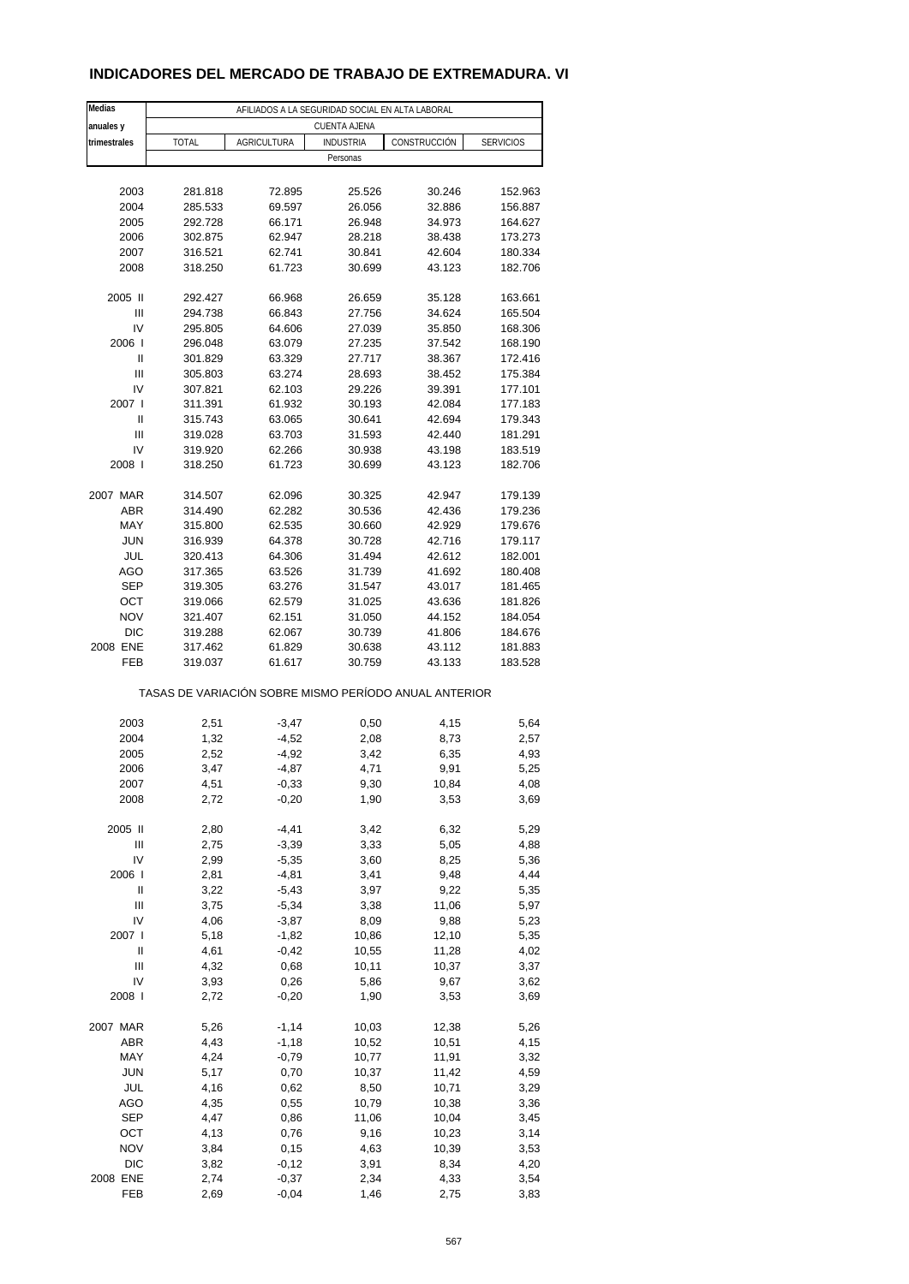#### **INDICADORES DEL MERCADO DE TRABAJO DE EXTREMADURA. VI**

| Medias              | AFILIADOS A LA SEGURIDAD SOCIAL EN ALTA LABORAL       |                    |                     |                  |                    |
|---------------------|-------------------------------------------------------|--------------------|---------------------|------------------|--------------------|
| anuales y           |                                                       |                    | <b>CUENTA AJENA</b> |                  |                    |
| trimestrales        | <b>TOTAL</b>                                          | <b>AGRICULTURA</b> | <b>INDUSTRIA</b>    | CONSTRUCCIÓN     | <b>SERVICIOS</b>   |
|                     |                                                       |                    | Personas            |                  |                    |
|                     |                                                       |                    |                     |                  |                    |
| 2003                | 281.818                                               | 72.895             | 25.526              | 30.246           | 152.963            |
| 2004                | 285.533                                               | 69.597             | 26.056              | 32.886           | 156.887            |
| 2005<br>2006        | 292.728<br>302.875                                    | 66.171<br>62.947   | 26.948<br>28.218    | 34.973<br>38.438 | 164.627<br>173.273 |
| 2007                | 316.521                                               | 62.741             | 30.841              | 42.604           | 180.334            |
| 2008                | 318.250                                               | 61.723             | 30.699              | 43.123           | 182.706            |
|                     |                                                       |                    |                     |                  |                    |
| 2005 II             | 292.427                                               | 66.968             | 26.659              | 35.128           | 163.661            |
| Ш                   | 294.738                                               | 66.843             | 27.756              | 34.624           | 165.504            |
| IV                  | 295.805                                               | 64.606             | 27.039              | 35.850           | 168.306            |
| 2006                | 296.048                                               | 63.079             | 27.235              | 37.542           | 168.190            |
| Ш                   | 301.829                                               | 63.329             | 27.717              | 38.367           | 172.416            |
| Ш                   | 305.803                                               | 63.274             | 28.693              | 38.452           | 175.384            |
| IV                  | 307.821                                               | 62.103             | 29.226              | 39.391           | 177.101            |
| 2007 l              | 311.391                                               | 61.932             | 30.193              | 42.084           | 177.183            |
| Ш                   | 315.743                                               | 63.065             | 30.641              | 42.694           | 179.343            |
| Ш                   | 319.028                                               | 63.703             | 31.593              | 42.440           | 181.291            |
| IV                  | 319.920                                               | 62.266             | 30.938              | 43.198           | 183.519            |
| 2008                | 318.250                                               | 61.723             | 30.699              | 43.123           | 182.706            |
|                     |                                                       |                    |                     |                  |                    |
| 2007 MAR            | 314.507                                               | 62.096             | 30.325              | 42.947           | 179.139            |
| <b>ABR</b>          | 314.490                                               | 62.282             | 30.536              | 42.436           | 179.236            |
| MAY                 | 315.800                                               | 62.535             | 30.660              | 42.929           | 179.676            |
| <b>JUN</b>          | 316.939                                               | 64.378             | 30.728              | 42.716           | 179.117            |
| JUL                 | 320.413                                               | 64.306             | 31.494              | 42.612           | 182.001            |
| AGO                 | 317.365                                               | 63.526             | 31.739              | 41.692           | 180.408            |
| <b>SEP</b>          | 319.305                                               | 63.276             | 31.547              | 43.017           | 181.465            |
| OCT                 | 319.066                                               | 62.579             | 31.025              | 43.636           | 181.826            |
| <b>NOV</b>          | 321.407                                               | 62.151             | 31.050              | 44.152           | 184.054            |
| <b>DIC</b>          | 319.288                                               | 62.067             | 30.739              | 41.806           | 184.676            |
| 2008 ENE            | 317.462                                               | 61.829             | 30.638              | 43.112           | 181.883            |
| FEB                 | 319.037                                               | 61.617             | 30.759              | 43.133           | 183.528            |
|                     | TASAS DE VARIACIÓN SOBRE MISMO PERÍODO ANUAL ANTERIOR |                    |                     |                  |                    |
|                     |                                                       |                    |                     |                  |                    |
| 2003                | 2,51                                                  | $-3,47$            | 0,50                | 4,15             | 5,64               |
| 2004                | 1,32                                                  | $-4,52$            | 2,08                | 8,73             | 2,57               |
| 2005                | 2,52<br>3,47                                          | $-4,92$            | 3,42                | 6,35             | 4,93               |
| 2006                |                                                       | $-4,87$            | 4,71                | 9,91             | 5,25               |
| 2007<br>2008        | 4,51<br>2,72                                          | -0,33<br>$-0,20$   | 9,30<br>1,90        | 10,84<br>3,53    | 4,08<br>3,69       |
|                     |                                                       |                    |                     |                  |                    |
| 2005 II             | 2,80                                                  | $-4,41$            | 3,42                | 6,32             | 5,29               |
| Ш                   | 2,75                                                  | $-3,39$            | 3,33                | 5,05             | 4,88               |
| IV                  | 2,99                                                  | $-5,35$            | 3,60                | 8,25             | 5,36               |
| 2006                | 2,81                                                  | $-4,81$            | 3,41                | 9,48             | 4,44               |
| Ш                   | 3,22                                                  | $-5,43$            | 3,97                | 9,22             | 5,35               |
| Ш                   | 3,75                                                  | $-5,34$            | 3,38                | 11,06            | 5,97               |
| IV                  | 4,06                                                  | $-3,87$            | 8,09                | 9,88             | 5,23               |
| 2007 l              | 5,18                                                  | $-1,82$            | 10,86               | 12,10            | 5,35               |
| Ш                   | 4,61                                                  | $-0,42$            | 10,55               | 11,28            | 4,02               |
| Ш                   | 4,32                                                  | 0,68               | 10,11               | 10,37            | 3,37               |
| IV                  | 3,93                                                  | 0,26               | 5,86                | 9,67             | 3,62               |
| 2008                | 2,72                                                  | $-0,20$            | 1,90                | 3,53             | 3,69               |
|                     |                                                       |                    |                     |                  |                    |
| 2007 MAR            | 5,26                                                  | $-1,14$            | 10,03               | 12,38            | 5,26               |
| ABR                 | 4,43                                                  | $-1,18$            | 10,52               | 10,51            | 4,15               |
| MAY                 | 4,24                                                  | $-0,79$            | 10,77               | 11,91            | 3,32               |
| <b>JUN</b>          | 5,17                                                  | 0,70               | 10,37               | 11,42            | 4,59               |
| JUL                 | 4,16                                                  | 0,62               | 8,50                | 10,71            | 3,29               |
| AGO<br><b>SEP</b>   | 4,35                                                  | 0,55               | 10,79               | 10,38            | 3,36               |
|                     | 4,47                                                  | 0,86               | 11,06               | 10,04            | 3,45               |
| OCT                 | 4,13                                                  | 0,76               | 9,16                | 10,23            | 3,14               |
| <b>NOV</b><br>$DIC$ | 3,84<br>3,82                                          | 0,15<br>$-0,12$    | 4,63<br>3,91        | 10,39<br>8,34    | 3,53<br>4,20       |
| 2008 ENE            | 2,74                                                  | $-0,37$            | 2,34                | 4,33             | 3,54               |
| FEB                 | 2,69                                                  | $-0,04$            | 1,46                | 2,75             | 3,83               |
|                     |                                                       |                    |                     |                  |                    |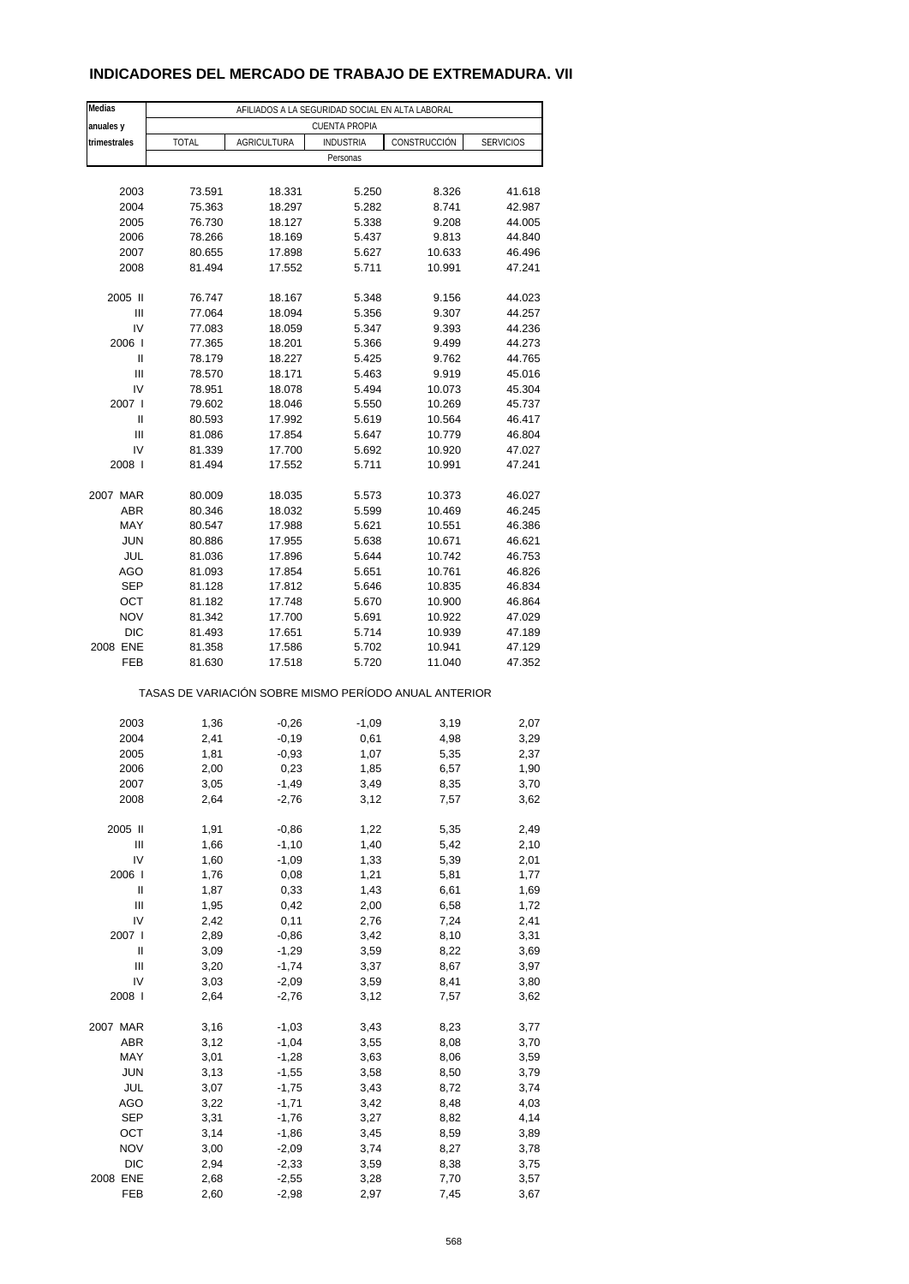# **INDICADORES DEL MERCADO DE TRABAJO DE EXTREMADURA. VII**

| Medias         |        |                    | AFILIADOS A LA SEGURIDAD SOCIAL EN ALTA LABORAL       |              |                  |
|----------------|--------|--------------------|-------------------------------------------------------|--------------|------------------|
| anuales y      |        |                    | <b>CUENTA PROPIA</b>                                  |              |                  |
| trimestrales   | TOTAL  | <b>AGRICULTURA</b> | <b>INDUSTRIA</b>                                      | CONSTRUCCIÓN | <b>SERVICIOS</b> |
|                |        |                    | Personas                                              |              |                  |
|                |        |                    |                                                       |              |                  |
| 2003           | 73.591 | 18.331             | 5.250                                                 | 8.326        | 41.618           |
| 2004           | 75.363 | 18.297             | 5.282                                                 | 8.741        | 42.987           |
| 2005           | 76.730 | 18.127             | 5.338                                                 | 9.208        | 44.005           |
| 2006           | 78.266 | 18.169             | 5.437                                                 | 9.813        | 44.840           |
| 2007           | 80.655 | 17.898             | 5.627                                                 | 10.633       | 46.496           |
| 2008           | 81.494 | 17.552             | 5.711                                                 | 10.991       | 47.241           |
|                |        |                    |                                                       |              |                  |
| 2005 II        | 76.747 | 18.167             | 5.348                                                 | 9.156        | 44.023           |
| $\mathsf{III}$ | 77.064 | 18.094             | 5.356                                                 | 9.307        | 44.257           |
| IV             | 77.083 | 18.059             | 5.347                                                 | 9.393        | 44.236           |
| 2006           | 77.365 | 18.201             | 5.366                                                 | 9.499        | 44.273           |
| Ш              | 78.179 | 18.227             | 5.425                                                 | 9.762        | 44.765           |
| Ш              | 78.570 | 18.171             | 5.463                                                 | 9.919        | 45.016           |
| IV             | 78.951 | 18.078             | 5.494                                                 | 10.073       | 45.304           |
| 2007 l         | 79.602 | 18.046             | 5.550                                                 | 10.269       | 45.737           |
| Ш              | 80.593 | 17.992             | 5.619                                                 | 10.564       | 46.417           |
| Ш              | 81.086 | 17.854             | 5.647                                                 | 10.779       | 46.804           |
| IV             | 81.339 | 17.700             | 5.692                                                 | 10.920       | 47.027           |
| 2008           | 81.494 | 17.552             | 5.711                                                 | 10.991       | 47.241           |
|                |        |                    |                                                       |              |                  |
| 2007 MAR       | 80.009 | 18.035             | 5.573                                                 | 10.373       | 46.027           |
| ABR            | 80.346 | 18.032             | 5.599                                                 | 10.469       | 46.245           |
| MAY            | 80.547 | 17.988             | 5.621                                                 | 10.551       | 46.386           |
| <b>JUN</b>     | 80.886 | 17.955             | 5.638                                                 | 10.671       | 46.621           |
| JUL            | 81.036 | 17.896             | 5.644                                                 | 10.742       | 46.753           |
| AGO            | 81.093 | 17.854             | 5.651                                                 | 10.761       | 46.826           |
| <b>SEP</b>     | 81.128 | 17.812             | 5.646                                                 | 10.835       | 46.834           |
| OCT            | 81.182 | 17.748             | 5.670                                                 | 10.900       | 46.864           |
| <b>NOV</b>     | 81.342 | 17.700             | 5.691                                                 | 10.922       | 47.029           |
| <b>DIC</b>     | 81.493 | 17.651             | 5.714                                                 | 10.939       | 47.189           |
| 2008 ENE       | 81.358 | 17.586             | 5.702                                                 | 10.941       | 47.129           |
| FEB            | 81.630 | 17.518             | 5.720                                                 | 11.040       | 47.352           |
|                |        |                    | TASAS DE VARIACIÓN SOBRE MISMO PERÍODO ANUAL ANTERIOR |              |                  |
|                |        |                    |                                                       |              |                  |
| 2003           | 1,36   | $-0,26$            | $-1,09$                                               | 3,19         | 2,07             |
| 2004           | 2,41   | $-0,19$            | 0,61                                                  | 4,98         | 3,29             |
| 2005           | 1,81   | $-0,93$            | 1,07                                                  | 5,35         | 2,37             |
| 2006           | 2,00   | 0,23               | 1,85                                                  | 6,57         | 1,90             |
| 2007           | 3,05   | -1,49              | 3,49                                                  | 8,35         | 3,70             |
| 2008           | 2,64   | $-2,76$            | 3,12                                                  | 7,57         | 3,62             |
|                |        |                    |                                                       |              |                  |
| 2005 II        | 1,91   | $-0,86$            | 1,22                                                  | 5,35         | 2,49             |
| Ш              | 1,66   | $-1,10$            | 1,40                                                  | 5,42         | 2,10             |
| IV             | 1,60   | $-1,09$            | 1,33                                                  | 5,39         | 2,01             |
| 2006           | 1,76   | 0,08               | 1,21                                                  | 5,81         | 1,77             |
| Ш              | 1,87   | 0,33               | 1,43                                                  | 6,61         | 1,69             |
| $\mathsf{III}$ | 1,95   | 0,42               | 2,00                                                  | 6,58         | 1,72             |
| IV             | 2,42   | 0,11               | 2,76                                                  | 7,24         | 2,41             |
| 2007 l         | 2,89   | $-0,86$            | 3,42                                                  | 8,10         | 3,31             |
| Ш              | 3,09   | $-1,29$            | 3,59                                                  | 8,22         | 3,69             |
| Ш              | 3,20   | $-1,74$            | 3,37                                                  | 8,67         | 3,97             |
| IV             | 3,03   | $-2,09$            | 3,59                                                  | 8,41         | 3,80             |
| 2008           | 2,64   | $-2,76$            | 3,12                                                  | 7,57         | 3,62             |
|                |        |                    |                                                       |              |                  |
| 2007 MAR       | 3,16   | $-1,03$            | 3,43                                                  | 8,23         | 3,77             |
| <b>ABR</b>     | 3,12   | $-1,04$            | 3,55                                                  | 8,08         | 3,70             |
| MAY            | 3,01   | $-1,28$            | 3,63                                                  | 8,06         | 3,59             |
| <b>JUN</b>     | 3,13   | $-1,55$            | 3,58                                                  | 8,50         | 3,79             |
| JUL            | 3,07   | $-1,75$            | 3,43                                                  | 8,72         | 3,74             |
| AGO            | 3,22   | $-1,71$            | 3,42                                                  | 8,48         | 4,03             |
| <b>SEP</b>     | 3,31   | $-1,76$            | 3,27                                                  | 8,82         | 4,14             |
| OCT            | 3,14   | $-1,86$            | 3,45                                                  | 8,59         | 3,89             |
| <b>NOV</b>     | 3,00   | $-2,09$            | 3,74                                                  | 8,27         | 3,78             |
| DIC            | 2,94   | $-2,33$            | 3,59                                                  | 8,38         | 3,75             |
| 2008 ENE       | 2,68   | $-2,55$            | 3,28                                                  | 7,70         | 3,57             |
| FEB            | 2,60   | $-2,98$            | 2,97                                                  | 7,45         | 3,67             |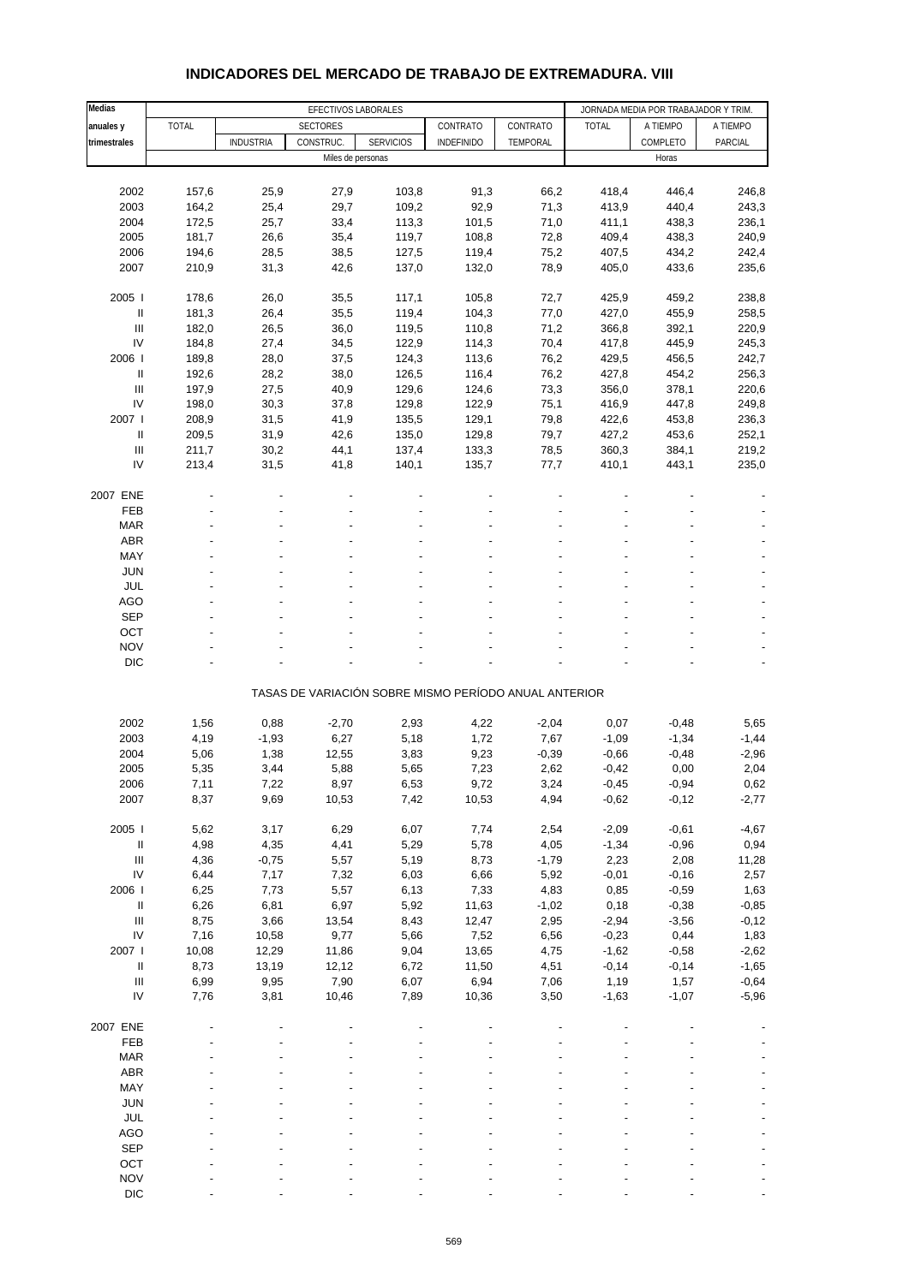| Medias                                   |                |                  | EFECTIVOS LABORALES |                  |                                                       |                 |                 | JORNADA MEDIA POR TRABAJADOR Y TRIM. |                |
|------------------------------------------|----------------|------------------|---------------------|------------------|-------------------------------------------------------|-----------------|-----------------|--------------------------------------|----------------|
| anuales y                                | <b>TOTAL</b>   |                  | <b>SECTORES</b>     |                  | CONTRATO                                              | CONTRATO        | <b>TOTAL</b>    | A TIEMPO                             | A TIEMPO       |
| trimestrales                             |                | <b>INDUSTRIA</b> | CONSTRUC.           | <b>SERVICIOS</b> | <b>INDEFINIDO</b>                                     | TEMPORAL        |                 | COMPLETO                             | PARCIAL        |
|                                          |                |                  | Miles de personas   |                  |                                                       |                 |                 | Horas                                |                |
|                                          |                |                  |                     |                  |                                                       |                 |                 |                                      |                |
| 2002                                     | 157,6          | 25,9             | 27,9                | 103,8            | 91,3                                                  | 66,2            | 418,4           | 446,4                                | 246,8          |
| 2003                                     | 164,2          | 25,4             | 29,7                | 109,2            | 92,9                                                  | 71,3            | 413,9           | 440,4                                | 243,3          |
| 2004<br>2005                             | 172,5<br>181,7 | 25,7<br>26,6     | 33,4<br>35,4        | 113,3<br>119,7   | 101,5<br>108,8                                        | 71,0<br>72,8    | 411,1<br>409,4  | 438,3<br>438,3                       | 236,1<br>240,9 |
| 2006                                     | 194,6          | 28,5             | 38,5                | 127,5            | 119,4                                                 | 75,2            | 407,5           | 434,2                                | 242,4          |
| 2007                                     | 210,9          | 31,3             | 42,6                | 137,0            | 132,0                                                 | 78,9            | 405,0           | 433,6                                | 235,6          |
|                                          |                |                  |                     |                  |                                                       |                 |                 |                                      |                |
| 2005                                     | 178,6          | 26,0             | 35,5                | 117,1            | 105,8                                                 | 72,7            | 425,9           | 459,2                                | 238,8          |
| Ш                                        | 181,3          | 26,4             | 35,5                | 119,4            | 104,3                                                 | 77,0            | 427,0           | 455,9                                | 258,5          |
| Ш                                        | 182,0          | 26,5             | 36,0                | 119,5            | 110,8                                                 | 71,2            | 366,8           | 392,1                                | 220,9          |
| IV                                       | 184,8          | 27,4             | 34,5                | 122,9            | 114,3                                                 | 70,4            | 417,8           | 445,9                                | 245,3          |
| 2006                                     | 189,8          | 28,0             | 37,5                | 124,3            | 113,6                                                 | 76,2            | 429,5           | 456,5                                | 242,7          |
| $\ensuremath{\mathsf{II}}$               | 192,6          | 28,2             | 38,0                | 126,5            | 116,4                                                 | 76,2            | 427,8           | 454,2                                | 256,3          |
| $\ensuremath{\mathsf{III}}\xspace$       | 197,9          | 27,5             | 40,9                | 129,6            | 124,6                                                 | 73,3            | 356,0           | 378,1                                | 220,6          |
| IV                                       | 198,0          | 30,3             | 37,8                | 129,8            | 122,9                                                 | 75,1            | 416,9           | 447,8                                | 249,8          |
| 2007 l                                   | 208,9          | 31,5             | 41,9                | 135,5            | 129,1                                                 | 79,8            | 422,6           | 453,8                                | 236,3          |
| $\ensuremath{\mathsf{II}}$               | 209,5          | 31,9             | 42,6                | 135,0            | 129,8                                                 | 79,7            | 427,2           | 453,6                                | 252,1          |
| $\ensuremath{\mathsf{III}}\xspace$<br>IV | 211,7          | 30,2             | 44,1                | 137,4            | 133,3                                                 | 78,5            | 360,3           | 384,1                                | 219,2          |
|                                          | 213,4          | 31,5             | 41,8                | 140,1            | 135,7                                                 | 77,7            | 410,1           | 443,1                                | 235,0          |
| 2007 ENE                                 |                |                  |                     |                  |                                                       |                 |                 |                                      |                |
| <b>FEB</b>                               |                |                  |                     |                  |                                                       |                 |                 |                                      |                |
| <b>MAR</b>                               |                |                  |                     |                  |                                                       |                 |                 |                                      |                |
| <b>ABR</b>                               |                |                  |                     |                  |                                                       |                 |                 |                                      |                |
| MAY                                      |                |                  |                     |                  |                                                       |                 |                 |                                      |                |
| <b>JUN</b>                               |                |                  |                     |                  |                                                       |                 |                 |                                      |                |
| <b>JUL</b>                               |                |                  |                     |                  |                                                       |                 |                 |                                      |                |
| <b>AGO</b>                               |                |                  |                     |                  |                                                       |                 |                 |                                      |                |
| <b>SEP</b>                               |                |                  |                     |                  |                                                       |                 |                 |                                      |                |
| OCT                                      |                |                  |                     |                  |                                                       |                 |                 |                                      |                |
| <b>NOV</b>                               |                |                  |                     |                  |                                                       |                 |                 |                                      |                |
| <b>DIC</b>                               |                |                  |                     |                  |                                                       |                 |                 |                                      |                |
|                                          |                |                  |                     |                  | TASAS DE VARIACIÓN SOBRE MISMO PERÍODO ANUAL ANTERIOR |                 |                 |                                      |                |
|                                          |                |                  |                     |                  |                                                       |                 |                 |                                      |                |
| 2002                                     | 1,56           | 0,88             | $-2,70$             | 2,93             | 4,22                                                  | $-2,04$         | 0,07            | $-0,48$                              | 5,65           |
| 2003                                     | 4,19           | $-1,93$          | 6,27                | 5,18             | 1,72                                                  | 7,67            | $-1,09$         | $-1,34$                              | $-1,44$        |
| 2004                                     | 5,06           | 1,38             | 12,55               | 3,83             | 9,23                                                  | $-0,39$         | $-0,66$         | $-0,48$                              | $-2,96$        |
| 2005                                     | 5,35           | 3,44             | 5,88                | 5,65             | 7,23                                                  | 2,62            | $-0,42$         | 0,00                                 | 2,04           |
| 2006                                     | 7,11           | 7,22             | 8,97                | 6,53             | 9,72                                                  | 3,24            | $-0,45$         | $-0,94$                              | 0,62           |
| 2007                                     | 8,37           | 9,69             | 10,53               | 7,42             | 10,53                                                 | 4,94            | $-0,62$         | $-0,12$                              | $-2,77$        |
|                                          |                |                  |                     |                  |                                                       |                 |                 |                                      |                |
| 2005 l                                   | 5,62           | 3,17             | 6,29                | 6,07             | 7,74                                                  | 2,54            | $-2,09$         | $-0,61$                              | $-4,67$        |
| $\sf II$<br>Ш                            | 4,98           | 4,35             | 4,41                | 5,29             | 5,78                                                  | 4,05            | $-1,34$         | $-0,96$                              | 0,94           |
| ${\sf IV}$                               | 4,36<br>6,44   | $-0,75$<br>7,17  | 5,57<br>7,32        | 5,19<br>6,03     | 8,73<br>6,66                                          | $-1,79$<br>5,92 | 2,23<br>$-0,01$ | 2,08<br>$-0,16$                      | 11,28<br>2,57  |
| 2006                                     | 6,25           | 7,73             | 5,57                | 6,13             | 7,33                                                  | 4,83            | 0,85            | $-0,59$                              | 1,63           |
| $\sf II$                                 | 6,26           | 6,81             | 6,97                | 5,92             | 11,63                                                 | $-1,02$         | 0,18            | $-0,38$                              | $-0,85$        |
| Ш                                        | 8,75           | 3,66             | 13,54               | 8,43             | 12,47                                                 | 2,95            | $-2,94$         | $-3,56$                              | $-0,12$        |
| IV                                       | 7,16           | 10,58            | 9,77                | 5,66             | 7,52                                                  | 6,56            | $-0,23$         | 0,44                                 | 1,83           |
| 2007                                     | 10,08          | 12,29            | 11,86               | 9,04             | 13,65                                                 | 4,75            | $-1,62$         | $-0,58$                              | $-2,62$        |
| $\sf II$                                 | 8,73           | 13,19            | 12,12               | 6,72             | 11,50                                                 | 4,51            | $-0,14$         | $-0,14$                              | $-1,65$        |
| $\ensuremath{\mathsf{III}}\xspace$       | 6,99           | 9,95             | 7,90                | 6,07             | 6,94                                                  | 7,06            | 1,19            | 1,57                                 | $-0,64$        |
| IV                                       | 7,76           | 3,81             | 10,46               | 7,89             | 10,36                                                 | 3,50            | $-1,63$         | $-1,07$                              | $-5,96$        |
|                                          |                |                  |                     |                  |                                                       |                 |                 |                                      |                |
| 2007 ENE                                 |                |                  |                     |                  |                                                       |                 |                 |                                      |                |
| FEB                                      |                |                  |                     |                  |                                                       |                 |                 |                                      |                |
| <b>MAR</b>                               |                |                  |                     |                  |                                                       |                 |                 |                                      |                |
| ABR<br>MAY                               |                |                  |                     |                  |                                                       |                 |                 |                                      |                |
| <b>JUN</b>                               |                |                  |                     |                  |                                                       |                 |                 |                                      |                |
| JUL                                      |                |                  |                     |                  |                                                       |                 |                 |                                      |                |
| AGO                                      |                |                  |                     |                  |                                                       |                 |                 |                                      |                |
| SEP                                      |                |                  |                     |                  |                                                       |                 |                 |                                      |                |
| OCT                                      |                |                  |                     |                  |                                                       |                 |                 |                                      |                |
| <b>NOV</b>                               |                |                  |                     |                  |                                                       |                 |                 |                                      |                |

#### **INDICADORES DEL MERCADO DE TRABAJO DE EXTREMADURA. VIII**

DIC  $\qquad \qquad \qquad \qquad \qquad \qquad \qquad \qquad \qquad \qquad \qquad \qquad \qquad \qquad \qquad \qquad \qquad \qquad -$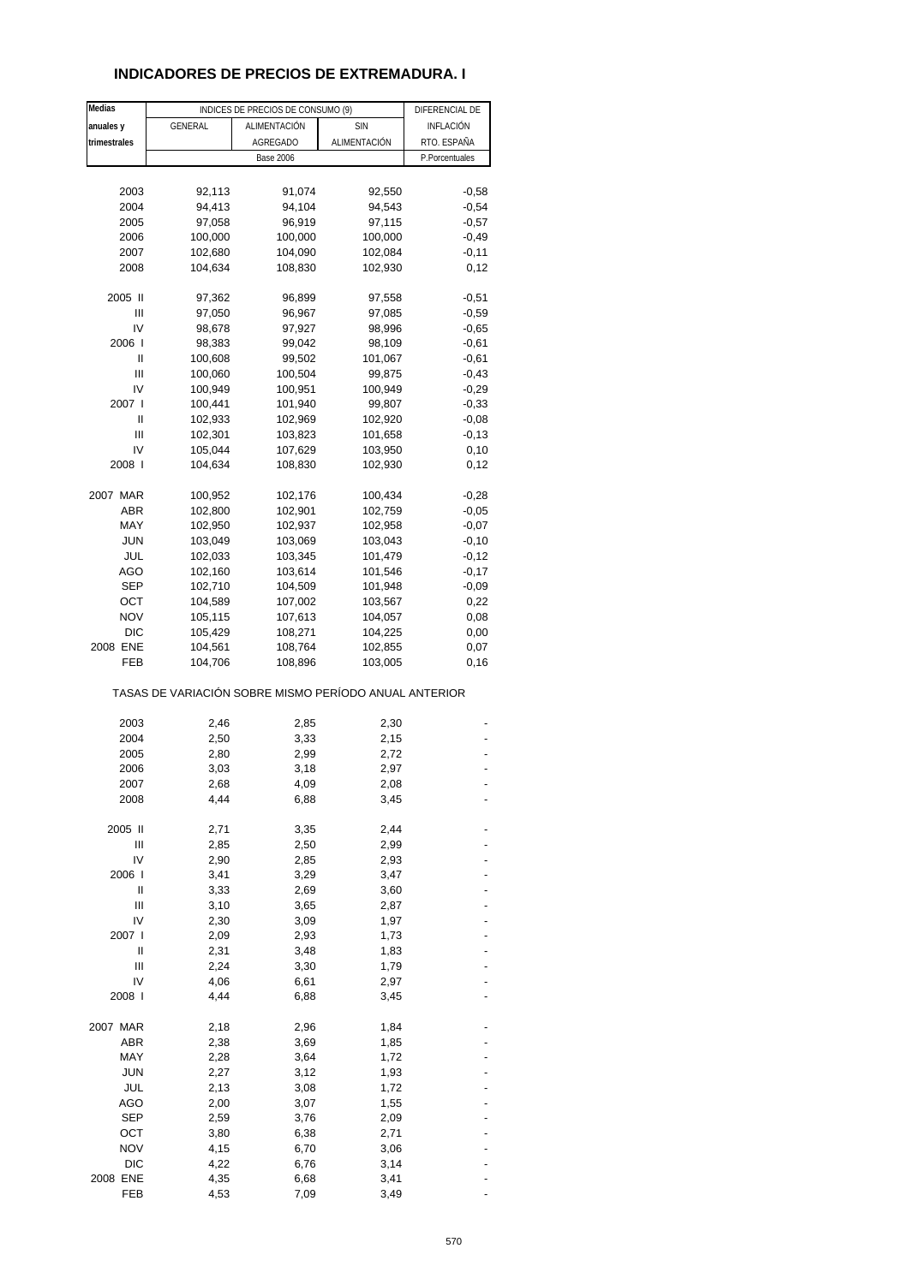## **INDICADORES DE PRECIOS DE EXTREMADURA. I**

| Medias       |                                                       | INDICES DE PRECIOS DE CONSUMO (9) |              | DIFERENCIAL DE |
|--------------|-------------------------------------------------------|-----------------------------------|--------------|----------------|
| anuales y    | GENERAL                                               | ALIMENTACIÓN                      | <b>SIN</b>   | INFLACIÓN      |
| trimestrales |                                                       | AGREGADO                          | ALIMENTACIÓN | RTO. ESPAÑA    |
|              |                                                       | <b>Base 2006</b>                  |              | P.Porcentuales |
|              |                                                       |                                   |              |                |
| 2003         | 92,113                                                | 91,074                            | 92,550       | $-0,58$        |
| 2004         | 94,413                                                | 94,104                            | 94,543       | $-0,54$        |
| 2005         | 97,058                                                | 96,919                            | 97,115       | $-0,57$        |
| 2006         | 100,000                                               | 100,000                           | 100,000      | $-0,49$        |
| 2007         | 102,680                                               | 104,090                           | 102,084      | $-0,11$        |
| 2008         | 104,634                                               | 108,830                           | 102,930      | 0,12           |
|              |                                                       |                                   |              |                |
| 2005 II      | 97,362                                                | 96,899                            | 97,558       | $-0,51$        |
| Ш            | 97,050                                                | 96,967                            | 97,085       | $-0,59$        |
| IV           | 98,678                                                | 97,927                            | 98,996       | $-0,65$        |
| 2006         | 98,383                                                | 99,042                            | 98,109       | $-0,61$        |
| Ш            | 100,608                                               | 99,502                            | 101,067      | $-0,61$        |
| Ш            | 100,060                                               | 100,504                           | 99,875       | $-0,43$        |
| IV           | 100,949                                               | 100,951                           | 100,949      | $-0,29$        |
| 2007         | 100,441                                               | 101,940                           | 99,807       | $-0,33$        |
| Ш            | 102,933                                               | 102,969                           | 102,920      | $-0,08$        |
| Ш            | 102,301                                               | 103,823                           | 101,658      | $-0,13$        |
| IV           | 105,044                                               | 107,629                           | 103,950      | 0,10           |
| 2008 l       | 104,634                                               | 108,830                           | 102,930      | 0,12           |
|              |                                                       |                                   |              |                |
| 2007 MAR     | 100,952                                               | 102,176                           | 100,434      | $-0,28$        |
| <b>ABR</b>   | 102,800                                               | 102,901                           | 102,759      | $-0,05$        |
| MAY          | 102,950                                               | 102,937                           | 102,958      | $-0,07$        |
| <b>JUN</b>   | 103,049                                               | 103,069                           | 103,043      | $-0,10$        |
| JUL          | 102,033                                               | 103,345                           | 101,479      | $-0,12$        |
| AGO          | 102,160                                               | 103,614                           | 101,546      | $-0,17$        |
| <b>SEP</b>   | 102,710                                               | 104,509                           | 101,948      | $-0,09$        |
| OCT          | 104,589                                               | 107,002                           | 103,567      | 0,22           |
| <b>NOV</b>   | 105,115                                               | 107,613                           | 104,057      | 0,08           |
| <b>DIC</b>   | 105,429                                               | 108,271                           | 104,225      | 0,00           |
| 2008 ENE     | 104,561                                               | 108,764                           | 102,855      | 0,07           |
| FEB          | 104,706                                               | 108,896                           | 103,005      | 0, 16          |
|              | TASAS DE VARIACIÓN SOBRE MISMO PERÍODO ANUAL ANTERIOR |                                   |              |                |
|              |                                                       |                                   |              |                |
| 2003         | 2,46                                                  | 2,85                              | 2,30         |                |
| 2004         | 2,50                                                  | 3,33                              | 2,15         |                |
| 2005         | 2,80                                                  | 2,99                              | 2,72         |                |
| 2006         | 3,03                                                  | 3,18                              | 2,97         |                |
| 2007         | 2,68<br>4,44                                          | 4,09                              | 2,08         |                |
| 2008         |                                                       | 6,88                              | 3,45         |                |
| 2005 II      | 2,71                                                  | 3,35                              | 2,44         |                |
| Ш            | 2,85                                                  | 2,50                              | 2,99         |                |
| IV           | 2,90                                                  | 2,85                              | 2,93         |                |
| 2006 l       | 3,41                                                  | 3,29                              | 3,47         |                |
| II           | 3,33                                                  | 2,69                              | 3,60         |                |
| Ш            |                                                       |                                   |              |                |
| IV           | 3,10<br>2,30                                          | 3,65<br>3,09                      | 2,87<br>1,97 |                |
| 2007 l       | 2,09                                                  |                                   |              |                |
| II           | 2,31                                                  | 2,93                              | 1,73         |                |
| Ш            | 2,24                                                  | 3,48<br>3,30                      | 1,83<br>1,79 |                |
| IV           | 4,06                                                  | 6,61                              | 2,97         |                |
| 2008 l       | 4,44                                                  | 6,88                              | 3,45         |                |
|              |                                                       |                                   |              |                |
| 2007 MAR     | 2,18                                                  | 2,96                              | 1,84         |                |
| ABR          | 2,38                                                  | 3,69                              | 1,85         |                |
| MAY          | 2,28                                                  | 3,64                              | 1,72         |                |
| <b>JUN</b>   | 2,27                                                  | 3,12                              | 1,93         |                |
| JUL          | 2,13                                                  | 3,08                              | 1,72         |                |
| AGO          | 2,00                                                  | 3,07                              | 1,55         |                |
| <b>SEP</b>   | 2,59                                                  | 3,76                              | 2,09         |                |
| ост          | 3,80                                                  | 6,38                              | 2,71         |                |
| <b>NOV</b>   | 4,15                                                  | 6,70                              | 3,06         |                |
| <b>DIC</b>   | 4,22                                                  | 6,76                              | 3,14         |                |
| 2008 ENE     | 4,35                                                  | 6,68                              | 3,41         |                |
| FEB          | 4,53                                                  | 7,09                              | 3,49         |                |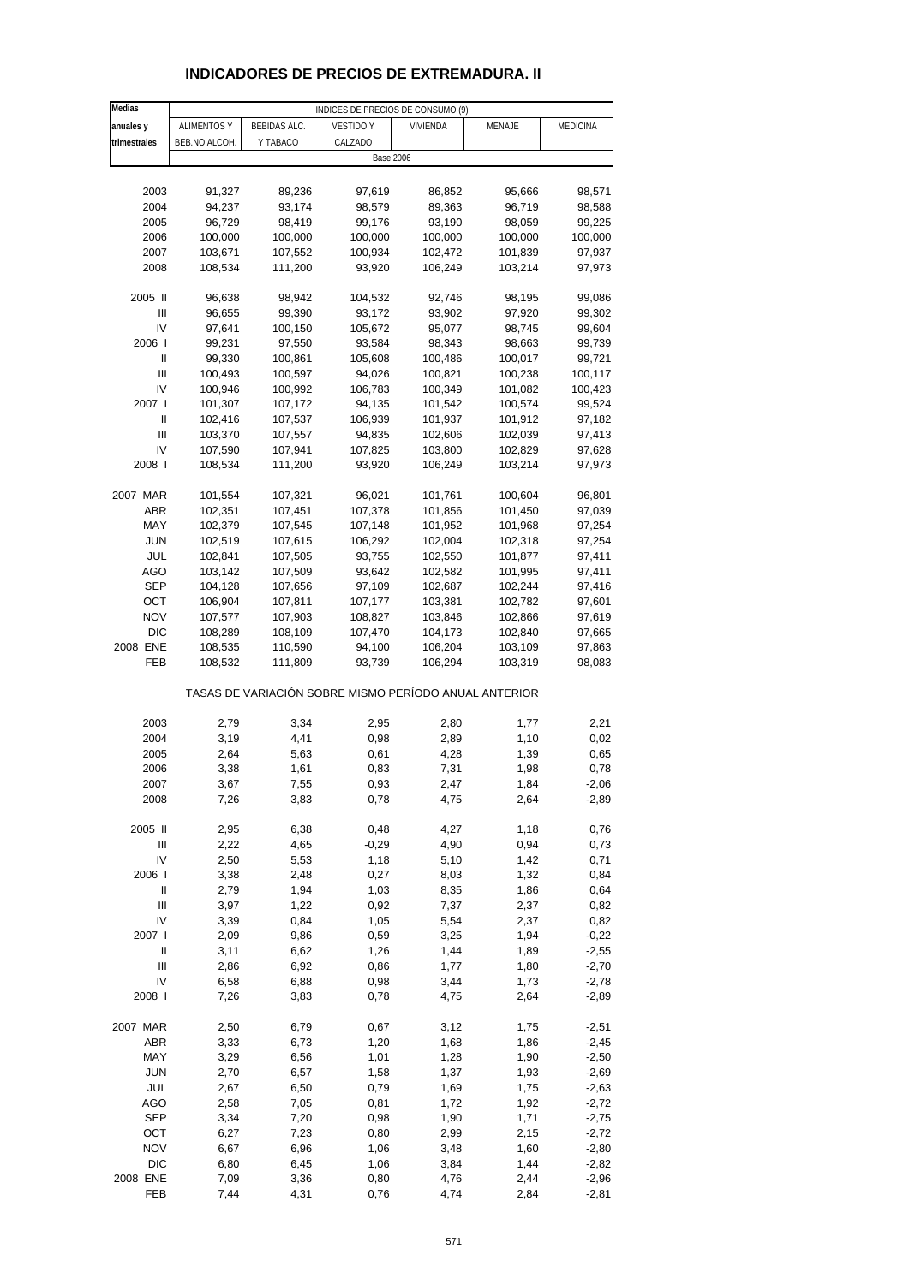| Medias       |                    |              | INDICES DE PRECIOS DE CONSUMO (9)                     |                  |         |                  |
|--------------|--------------------|--------------|-------------------------------------------------------|------------------|---------|------------------|
| anuales y    | <b>ALIMENTOS Y</b> | BEBIDAS ALC. | <b>VESTIDO Y</b>                                      | <b>VIVIENDA</b>  | MENAJE  | <b>MEDICINA</b>  |
| trimestrales | BEB.NO ALCOH.      | Y TABACO     | CALZADO                                               |                  |         |                  |
|              |                    |              |                                                       | <b>Base 2006</b> |         |                  |
|              |                    |              |                                                       |                  |         |                  |
| 2003         | 91,327             | 89,236       | 97,619                                                | 86,852           | 95,666  | 98,571           |
| 2004         | 94,237             | 93,174       | 98,579                                                | 89,363           | 96,719  | 98,588           |
| 2005         | 96,729             | 98,419       | 99,176                                                | 93,190           | 98,059  | 99,225           |
| 2006         | 100,000            | 100,000      | 100,000                                               | 100,000          | 100,000 | 100,000          |
| 2007         | 103,671            | 107,552      | 100,934                                               | 102,472          | 101,839 | 97,937           |
| 2008         | 108,534            | 111,200      | 93,920                                                | 106,249          | 103,214 | 97,973           |
|              |                    |              |                                                       |                  |         |                  |
| 2005 II      | 96,638             | 98,942       | 104,532                                               | 92,746           | 98,195  | 99,086           |
| Ш            | 96,655             | 99,390       | 93,172                                                | 93,902           | 97,920  | 99,302           |
| IV           | 97,641             | 100,150      | 105,672                                               | 95,077           | 98,745  | 99,604           |
| 2006         | 99,231             | 97,550       | 93,584                                                | 98,343           | 98,663  | 99,739           |
| Ш            | 99,330             | 100,861      | 105,608                                               | 100,486          | 100,017 | 99,721           |
| Ш            | 100,493            | 100,597      | 94,026                                                | 100,821          | 100,238 | 100,117          |
| IV           | 100,946            | 100,992      | 106,783                                               | 100,349          | 101,082 | 100,423          |
| 2007 l       | 101,307            | 107,172      | 94,135                                                | 101,542          | 100,574 | 99,524           |
| Ш            | 102,416            | 107,537      | 106,939                                               | 101,937          | 101,912 | 97,182           |
| Ш            | 103,370            | 107,557      | 94,835                                                | 102,606          | 102,039 | 97,413           |
| IV<br>2008   | 107,590<br>108,534 | 107,941      | 107,825                                               | 103,800          | 102,829 | 97,628<br>97,973 |
|              |                    | 111,200      | 93,920                                                | 106,249          | 103,214 |                  |
| 2007 MAR     | 101,554            | 107,321      | 96,021                                                | 101,761          | 100,604 | 96,801           |
| ABR          | 102,351            | 107,451      | 107,378                                               | 101,856          | 101,450 | 97,039           |
| MAY          | 102,379            | 107,545      | 107,148                                               | 101,952          | 101,968 | 97,254           |
| <b>JUN</b>   | 102,519            | 107,615      | 106,292                                               | 102,004          | 102,318 | 97,254           |
| JUL          | 102,841            | 107,505      | 93,755                                                | 102,550          | 101,877 | 97,411           |
| AGO          | 103,142            | 107,509      | 93,642                                                | 102,582          | 101,995 | 97,411           |
| <b>SEP</b>   | 104,128            | 107,656      | 97,109                                                | 102,687          | 102,244 | 97,416           |
| OCT          | 106,904            | 107,811      | 107,177                                               | 103,381          | 102,782 | 97,601           |
| <b>NOV</b>   | 107,577            | 107,903      | 108,827                                               | 103,846          | 102,866 | 97,619           |
| <b>DIC</b>   | 108,289            | 108,109      | 107,470                                               | 104,173          | 102,840 | 97,665           |
| 2008 ENE     | 108,535            | 110,590      | 94,100                                                | 106,204          | 103,109 | 97,863           |
| FEB          | 108,532            | 111,809      | 93,739                                                | 106,294          | 103,319 | 98,083           |
|              |                    |              | TASAS DE VARIACIÓN SOBRE MISMO PERÍODO ANUAL ANTERIOR |                  |         |                  |
|              |                    |              |                                                       |                  |         |                  |
| 2003         | 2,79               | 3,34         | 2,95                                                  | 2,80             | 1,77    | 2,21             |
| 2004         | 3,19               | 4,41         | 0,98                                                  | 2,89             | 1,10    | 0,02             |
| 2005         | 2,64               | 5,63         | 0,61                                                  | 4,28             | 1,39    | 0,65             |
| 2006         | 3,38               | 1,61         | 0,83                                                  | 7,31             | 1,98    | 0,78             |
| 2007         | 3,67               | 7,55         | 0,93                                                  | 2,47             | 1,84    | $-2,06$          |
| 2008         | 7,26               | 3,83         | 0,78                                                  | 4,75             | 2,64    | $-2,89$          |
| 2005 II      | 2,95               | 6,38         | 0,48                                                  | 4,27             | 1,18    | 0,76             |
| Ш            | 2,22               | 4,65         | $-0,29$                                               | 4,90             | 0,94    | 0,73             |
| IV           | 2,50               | 5,53         | 1,18                                                  | 5,10             | 1,42    | 0,71             |
| 2006         | 3,38               | 2,48         | 0,27                                                  | 8,03             | 1,32    | 0,84             |
| $\sf II$     | 2,79               | 1,94         | 1,03                                                  | 8,35             | 1,86    | 0,64             |
| Ш            | 3,97               | 1,22         | 0,92                                                  | 7,37             | 2,37    | 0,82             |
| IV           | 3,39               | 0,84         | 1,05                                                  | 5,54             | 2,37    | 0,82             |
| 2007 l       | 2,09               | 9,86         | 0,59                                                  | 3,25             | 1,94    | $-0,22$          |
| $\sf II$     | 3,11               | 6,62         | 1,26                                                  | 1,44             | 1,89    | $-2,55$          |
| Ш            | 2,86               | 6,92         | 0,86                                                  | 1,77             | 1,80    | $-2,70$          |
| IV           | 6,58               | 6,88         | 0,98                                                  | 3,44             | 1,73    | $-2,78$          |
| 2008         | 7,26               | 3,83         | 0,78                                                  | 4,75             | 2,64    | $-2,89$          |
| 2007 MAR     | 2,50               | 6,79         | 0,67                                                  | 3,12             | 1,75    | $-2,51$          |
| ABR          | 3,33               | 6,73         | 1,20                                                  | 1,68             | 1,86    | $-2,45$          |
| MAY          | 3,29               | 6,56         | 1,01                                                  | 1,28             | 1,90    | $-2,50$          |
| <b>JUN</b>   | 2,70               | 6,57         | 1,58                                                  | 1,37             | 1,93    | $-2,69$          |
| JUL          | 2,67               | 6,50         | 0,79                                                  | 1,69             | 1,75    | $-2,63$          |
| AGO          | 2,58               | 7,05         | 0,81                                                  | 1,72             | 1,92    | $-2,72$          |
| <b>SEP</b>   | 3,34               | 7,20         | 0,98                                                  | 1,90             | 1,71    | $-2,75$          |
| OCT          | 6,27               | 7,23         | 0,80                                                  | 2,99             | 2,15    | $-2,72$          |
| <b>NOV</b>   | 6,67               | 6,96         | 1,06                                                  | 3,48             | 1,60    | $-2,80$          |
| <b>DIC</b>   | 6,80               | 6,45         | 1,06                                                  | 3,84             | 1,44    | $-2,82$          |
| 2008 ENE     | 7,09               | 3,36         | 0,80                                                  | 4,76             | 2,44    | $-2,96$          |
| FEB          | 7,44               | 4,31         | 0,76                                                  | 4,74             | 2,84    | $-2,81$          |

# **INDICADORES DE PRECIOS DE EXTREMADURA. II**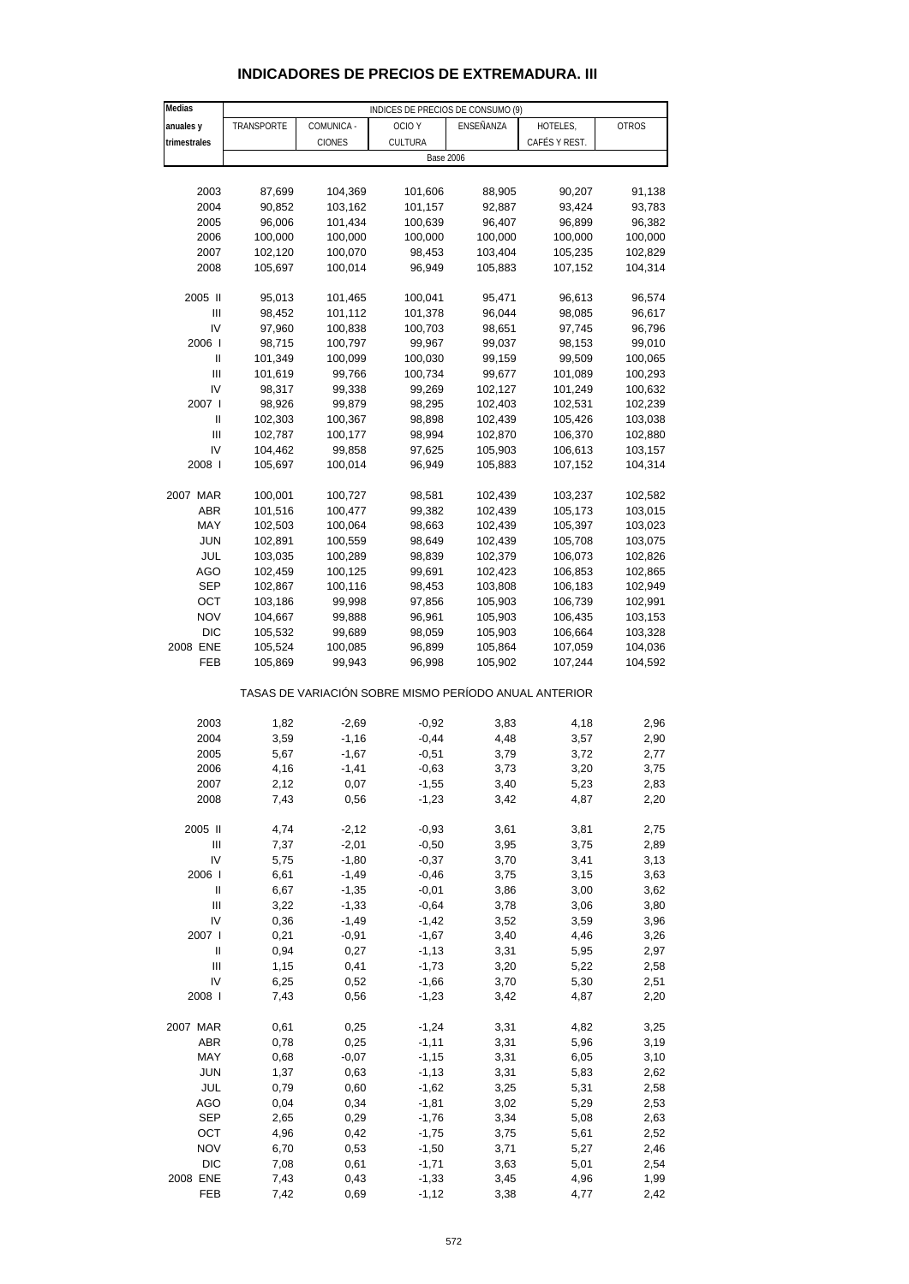| Medias                     | INDICES DE PRECIOS DE CONSUMO (9) |                    |                                                       |              |               |              |  |  |  |
|----------------------------|-----------------------------------|--------------------|-------------------------------------------------------|--------------|---------------|--------------|--|--|--|
| anuales y                  | TRANSPORTE                        | COMUNICA -         | OCIO Y                                                | ENSEÑANZA    | HOTELES,      | <b>OTROS</b> |  |  |  |
| trimestrales               |                                   | <b>CIONES</b>      | CULTURA                                               |              | CAFÉS Y REST. |              |  |  |  |
|                            | <b>Base 2006</b>                  |                    |                                                       |              |               |              |  |  |  |
|                            |                                   |                    |                                                       |              |               |              |  |  |  |
| 2003                       | 87,699                            | 104,369            | 101,606                                               | 88,905       | 90,207        | 91,138       |  |  |  |
| 2004                       | 90,852                            | 103,162            | 101,157                                               | 92,887       | 93,424        | 93,783       |  |  |  |
| 2005                       | 96,006                            | 101,434            | 100,639                                               | 96,407       | 96,899        | 96,382       |  |  |  |
| 2006                       | 100,000                           | 100,000            | 100,000                                               | 100,000      | 100,000       | 100,000      |  |  |  |
| 2007                       | 102,120                           | 100,070            | 98,453                                                | 103,404      | 105,235       | 102,829      |  |  |  |
| 2008                       | 105,697                           | 100,014            | 96,949                                                | 105,883      | 107,152       | 104,314      |  |  |  |
|                            |                                   |                    |                                                       |              |               |              |  |  |  |
| 2005 II                    | 95,013                            | 101,465            | 100,041                                               | 95,471       | 96,613        | 96,574       |  |  |  |
| Ш                          | 98,452                            | 101,112            | 101,378                                               | 96,044       | 98,085        | 96,617       |  |  |  |
| IV                         | 97,960                            | 100,838            | 100,703                                               | 98,651       | 97,745        | 96,796       |  |  |  |
| 2006                       | 98,715                            | 100,797            | 99,967                                                | 99,037       | 98,153        | 99,010       |  |  |  |
| Ш                          | 101,349                           | 100,099            | 100,030                                               | 99,159       | 99,509        | 100,065      |  |  |  |
| $\mathbf{III}$             | 101,619                           | 99,766             | 100,734                                               | 99,677       | 101,089       | 100,293      |  |  |  |
| IV                         | 98,317                            | 99,338             | 99,269                                                | 102,127      | 101,249       | 100,632      |  |  |  |
| 2007 l                     | 98,926                            | 99,879             | 98,295                                                | 102,403      | 102,531       | 102,239      |  |  |  |
| Ш                          | 102,303                           | 100,367            | 98,898                                                | 102,439      | 105,426       | 103,038      |  |  |  |
| Ш                          | 102,787                           | 100,177            | 98,994                                                | 102,870      | 106,370       | 102,880      |  |  |  |
| IV                         | 104,462                           | 99,858             | 97,625                                                | 105,903      | 106,613       | 103,157      |  |  |  |
| 2008                       | 105,697                           | 100,014            | 96,949                                                | 105,883      | 107,152       | 104,314      |  |  |  |
|                            |                                   |                    |                                                       |              |               |              |  |  |  |
| 2007 MAR                   | 100,001                           | 100,727            | 98,581                                                | 102,439      | 103,237       | 102,582      |  |  |  |
| <b>ABR</b>                 | 101,516                           | 100,477            | 99,382                                                | 102,439      | 105,173       | 103,015      |  |  |  |
| MAY                        | 102,503                           | 100,064            | 98,663                                                | 102,439      | 105,397       | 103,023      |  |  |  |
| <b>JUN</b>                 | 102,891                           | 100,559            | 98,649                                                | 102,439      | 105,708       | 103,075      |  |  |  |
| JUL                        | 103,035                           | 100,289            | 98,839                                                | 102,379      | 106,073       | 102,826      |  |  |  |
| AGO                        | 102,459                           | 100,125            | 99,691                                                | 102,423      | 106,853       | 102,865      |  |  |  |
| <b>SEP</b>                 | 102,867                           | 100,116            | 98,453                                                | 103,808      | 106,183       | 102,949      |  |  |  |
| ОСТ                        | 103,186                           | 99,998             | 97,856                                                | 105,903      | 106,739       | 102,991      |  |  |  |
| <b>NOV</b>                 | 104,667                           | 99,888             | 96,961                                                | 105,903      | 106,435       | 103,153      |  |  |  |
| <b>DIC</b>                 | 105,532                           | 99,689             | 98,059                                                | 105,903      | 106,664       | 103,328      |  |  |  |
| 2008 ENE                   | 105,524                           | 100,085            | 96,899                                                | 105,864      | 107,059       | 104,036      |  |  |  |
| FEB                        | 105,869                           | 99,943             | 96,998                                                | 105,902      | 107,244       | 104,592      |  |  |  |
|                            |                                   |                    | TASAS DE VARIACIÓN SOBRE MISMO PERÍODO ANUAL ANTERIOR |              |               |              |  |  |  |
|                            |                                   |                    |                                                       |              |               |              |  |  |  |
| 2003<br>2004               | 1,82                              | $-2,69$            | $-0,92$                                               | 3,83         | 4,18          | 2,96         |  |  |  |
| 2005                       | 3,59<br>5,67                      | $-1,16$            | $-0,44$<br>$-0,51$                                    | 4,48         | 3,57          | 2,90         |  |  |  |
| 2006                       |                                   | $-1,67$<br>$-1,41$ | $-0,63$                                               | 3,79         | 3,72<br>3,20  | 2,77<br>3,75 |  |  |  |
| 2007                       | 4,16<br>2,12                      | 0,07               | $-1,55$                                               | 3,73<br>3,40 | 5,23          | 2,83         |  |  |  |
| 2008                       | 7,43                              | 0,56               | $-1,23$                                               | 3,42         | 4,87          | 2,20         |  |  |  |
|                            |                                   |                    |                                                       |              |               |              |  |  |  |
| 2005 II                    | 4,74                              | $-2,12$            | $-0,93$                                               | 3,61         | 3,81          | 2,75         |  |  |  |
| Ш                          | 7,37                              | $-2,01$            | $-0,50$                                               | 3,95         | 3,75          | 2,89         |  |  |  |
| IV                         | 5,75                              | $-1,80$            | $-0,37$                                               | 3,70         | 3,41          | 3,13         |  |  |  |
| 2006                       | 6,61                              | $-1,49$            | $-0,46$                                               | 3,75         | 3,15          | 3,63         |  |  |  |
| $\ensuremath{\mathsf{II}}$ | 6,67                              | $-1,35$            | $-0,01$                                               | 3,86         | 3,00          | 3,62         |  |  |  |
| $\mathbf{III}$             | 3,22                              | $-1,33$            | $-0,64$                                               | 3,78         | 3,06          | 3,80         |  |  |  |
| IV                         | 0,36                              | $-1,49$            | $-1,42$                                               | 3,52         | 3,59          | 3,96         |  |  |  |
| 2007 l                     | 0,21                              | $-0,91$            | $-1,67$                                               | 3,40         | 4,46          | 3,26         |  |  |  |
| Ш                          | 0,94                              | 0,27               | $-1,13$                                               | 3,31         | 5,95          | 2,97         |  |  |  |
| Ш                          | 1,15                              | 0,41               | $-1,73$                                               | 3,20         | 5,22          | 2,58         |  |  |  |
| IV                         | 6,25                              | 0,52               | $-1,66$                                               | 3,70         | 5,30          | 2,51         |  |  |  |
| 2008                       | 7,43                              | 0,56               | $-1,23$                                               | 3,42         | 4,87          | 2,20         |  |  |  |
|                            |                                   |                    |                                                       |              |               |              |  |  |  |
| 2007 MAR                   | 0,61                              | 0,25               | $-1,24$                                               | 3,31         | 4,82          | 3,25         |  |  |  |
| <b>ABR</b>                 | 0,78                              | 0,25               | $-1,11$                                               | 3,31         | 5,96          | 3,19         |  |  |  |
| MAY                        | 0,68                              | $-0,07$            | $-1,15$                                               | 3,31         | 6,05          | 3,10         |  |  |  |
| <b>JUN</b>                 | 1,37                              | 0,63               | $-1, 13$                                              | 3,31         | 5,83          | 2,62         |  |  |  |
| JUL                        | 0,79                              | 0,60               | $-1,62$                                               | 3,25         | 5,31          | 2,58         |  |  |  |
| AGO                        | 0,04                              | 0,34               | $-1,81$                                               | 3,02         | 5,29          | 2,53         |  |  |  |
| <b>SEP</b>                 | 2,65                              | 0,29               | $-1,76$                                               | 3,34         | 5,08          | 2,63         |  |  |  |
| OCT                        | 4,96                              | 0,42               | $-1,75$                                               | 3,75         | 5,61          | 2,52         |  |  |  |
| <b>NOV</b>                 | 6,70                              | 0,53               | $-1,50$                                               | 3,71         | 5,27          | 2,46         |  |  |  |
| <b>DIC</b>                 | 7,08                              | 0,61               | $-1,71$                                               | 3,63         | 5,01          | 2,54         |  |  |  |
| 2008 ENE                   | 7,43                              | 0,43               | $-1,33$                                               | 3,45         | 4,96          | 1,99         |  |  |  |
| FEB                        | 7,42                              | 0,69               | $-1,12$                                               | 3,38         | 4,77          | 2,42         |  |  |  |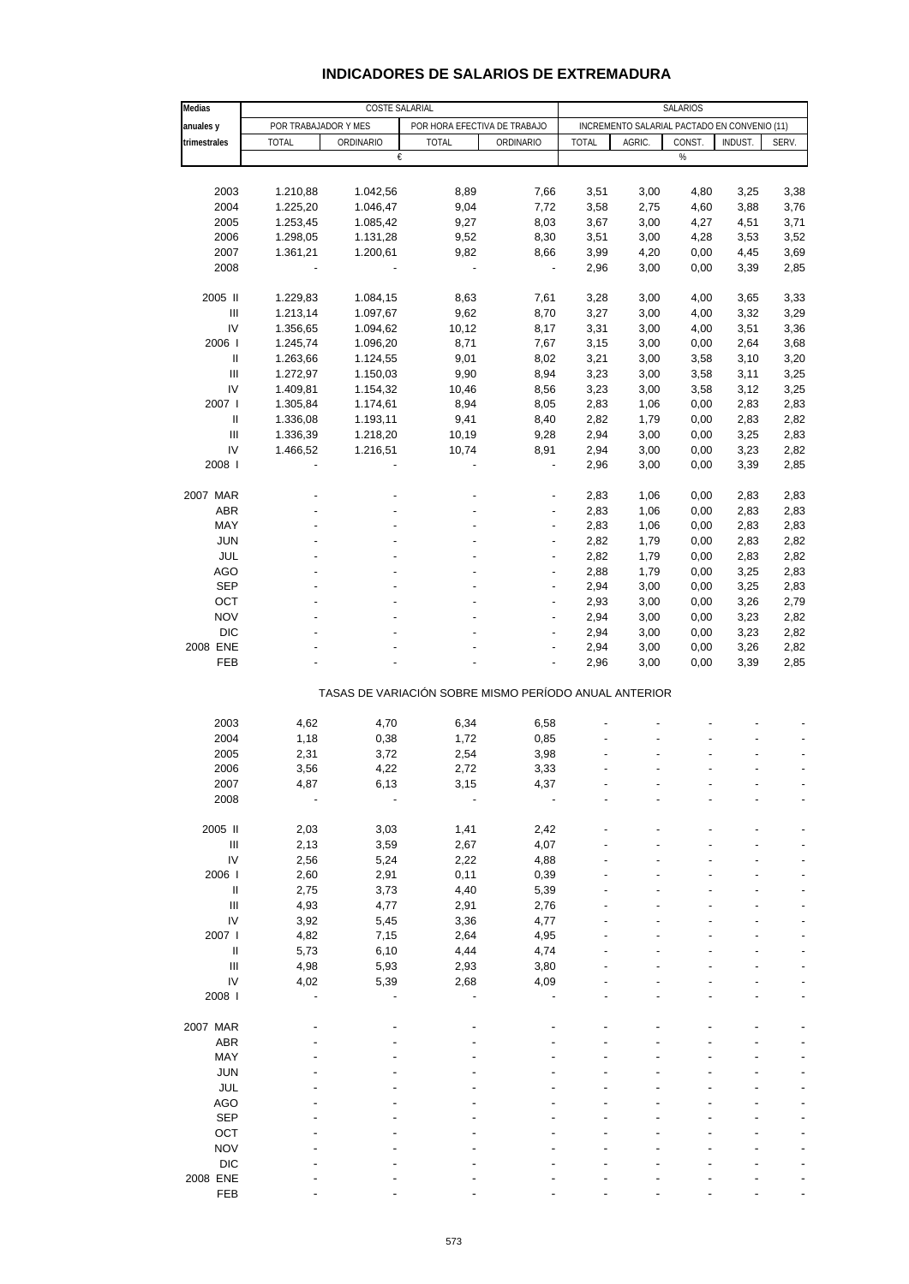## **INDICADORES DE SALARIOS DE EXTREMADURA**

| Medias                                                | COSTE SALARIAL                                       |                      |              |                          | SALARIOS                                     |              |              |              |              |  |  |
|-------------------------------------------------------|------------------------------------------------------|----------------------|--------------|--------------------------|----------------------------------------------|--------------|--------------|--------------|--------------|--|--|
| anuales y                                             | POR TRABAJADOR Y MES<br>POR HORA EFECTIVA DE TRABAJO |                      |              |                          | INCREMENTO SALARIAL PACTADO EN CONVENIO (11) |              |              |              |              |  |  |
| trimestrales                                          | <b>TOTAL</b>                                         | ORDINARIO            | <b>TOTAL</b> | ORDINARIO                | <b>TOTAL</b>                                 | AGRIC.       | CONST.       | INDUST.      | SERV.        |  |  |
|                                                       |                                                      | €                    |              |                          |                                              |              | $\%$         |              |              |  |  |
|                                                       |                                                      |                      |              |                          |                                              |              |              |              |              |  |  |
| 2003                                                  | 1.210,88                                             | 1.042,56             | 8,89         | 7,66                     | 3,51                                         | 3,00         | 4,80         | 3,25         | 3,38         |  |  |
| 2004                                                  | 1.225,20                                             | 1.046,47             | 9,04         | 7,72                     | 3,58                                         | 2,75         | 4,60         | 3,88         | 3,76         |  |  |
| 2005                                                  | 1.253,45                                             | 1.085,42             | 9,27         | 8,03                     | 3,67                                         | 3,00         | 4,27         | 4,51         | 3,71         |  |  |
| 2006                                                  | 1.298,05                                             | 1.131,28             | 9,52         | 8,30                     | 3,51                                         | 3,00         | 4,28         | 3,53         | 3,52         |  |  |
| 2007                                                  | 1.361,21                                             | 1.200,61             | 9,82         | 8,66                     | 3,99                                         | 4,20         | 0,00         | 4,45         | 3,69         |  |  |
| 2008                                                  |                                                      |                      |              | $\overline{\phantom{a}}$ | 2,96                                         | 3,00         | 0,00         | 3,39         | 2,85         |  |  |
|                                                       |                                                      |                      |              |                          |                                              |              |              |              |              |  |  |
| 2005 II<br>$\ensuremath{\mathsf{III}}\xspace$         | 1.229,83<br>1.213,14                                 | 1.084,15<br>1.097,67 | 8,63<br>9,62 | 7,61<br>8,70             | 3,28<br>3,27                                 | 3,00<br>3,00 | 4,00         | 3,65<br>3,32 | 3,33<br>3,29 |  |  |
| IV                                                    | 1.356,65                                             | 1.094,62             | 10,12        | 8,17                     | 3,31                                         | 3,00         | 4,00<br>4,00 | 3,51         | 3,36         |  |  |
| 2006                                                  | 1.245,74                                             | 1.096,20             | 8,71         | 7,67                     | 3,15                                         | 3,00         | 0,00         | 2,64         | 3,68         |  |  |
| $\ensuremath{\mathsf{II}}$                            | 1.263,66                                             | 1.124,55             | 9,01         | 8,02                     | 3,21                                         | 3,00         | 3,58         | 3,10         | 3,20         |  |  |
| Ш                                                     | 1.272,97                                             | 1.150,03             | 9,90         | 8,94                     | 3,23                                         | 3,00         | 3,58         | 3,11         | 3,25         |  |  |
| IV                                                    | 1.409,81                                             | 1.154,32             | 10,46        | 8,56                     | 3,23                                         | 3,00         | 3,58         | 3,12         | 3,25         |  |  |
| 2007 l                                                | 1.305,84                                             | 1.174,61             | 8,94         | 8,05                     | 2,83                                         | 1,06         | 0,00         | 2,83         | 2,83         |  |  |
| Ш                                                     | 1.336,08                                             | 1.193,11             | 9,41         | 8,40                     | 2,82                                         | 1,79         | 0,00         | 2,83         | 2,82         |  |  |
| $\ensuremath{\mathsf{III}}\xspace$                    | 1.336,39                                             | 1.218,20             | 10,19        | 9,28                     | 2,94                                         | 3,00         | 0,00         | 3,25         | 2,83         |  |  |
| IV                                                    | 1.466,52                                             | 1.216,51             | 10,74        | 8,91                     | 2,94                                         | 3,00         | 0,00         | 3,23         | 2,82         |  |  |
| 2008                                                  |                                                      |                      |              | ÷,                       | 2,96                                         | 3,00         | 0,00         | 3,39         | 2,85         |  |  |
|                                                       |                                                      |                      |              |                          |                                              |              |              |              |              |  |  |
| 2007 MAR                                              |                                                      |                      |              |                          | 2,83                                         | 1,06         | 0,00         | 2,83         | 2,83         |  |  |
| <b>ABR</b>                                            |                                                      |                      |              | ÷,                       | 2,83                                         | 1,06         | 0,00         | 2,83         | 2,83         |  |  |
| MAY                                                   |                                                      |                      |              |                          | 2,83                                         | 1,06         | 0,00         | 2,83         | 2,83         |  |  |
| <b>JUN</b>                                            |                                                      |                      |              | $\overline{a}$           | 2,82                                         | 1,79         | 0,00         | 2,83         | 2,82         |  |  |
| JUL                                                   |                                                      |                      |              |                          | 2,82                                         | 1,79         | 0,00         | 2,83         | 2,82         |  |  |
| AGO                                                   |                                                      |                      |              |                          | 2,88                                         | 1,79         | 0,00         | 3,25         | 2,83         |  |  |
| <b>SEP</b>                                            |                                                      |                      |              | ٠                        | 2,94                                         | 3,00         | 0,00         | 3,25         | 2,83         |  |  |
| OCT                                                   |                                                      |                      |              | ÷,                       | 2,93                                         | 3,00         | 0,00         | 3,26         | 2,79         |  |  |
| <b>NOV</b>                                            |                                                      |                      |              |                          | 2,94                                         | 3,00         | 0,00         | 3,23         | 2,82         |  |  |
| <b>DIC</b>                                            |                                                      |                      |              | ÷,                       | 2,94                                         | 3,00         | 0,00         | 3,23         | 2,82         |  |  |
| 2008 ENE                                              |                                                      |                      |              |                          | 2,94                                         | 3,00         | 0,00         | 3,26         | 2,82         |  |  |
| FEB                                                   |                                                      |                      |              |                          | 2,96                                         | 3,00         | 0,00         | 3,39         | 2,85         |  |  |
| TASAS DE VARIACIÓN SOBRE MISMO PERÍODO ANUAL ANTERIOR |                                                      |                      |              |                          |                                              |              |              |              |              |  |  |
|                                                       |                                                      |                      |              |                          |                                              |              |              |              |              |  |  |
| 2003                                                  | 4,62                                                 | 4,70                 | 6,34         | 6,58                     |                                              |              |              |              |              |  |  |
| 2004                                                  | 1,18                                                 | 0,38                 | 1,72         | 0,85                     |                                              |              |              |              |              |  |  |
| 2005                                                  | 2,31                                                 | 3,72                 | 2,54         | 3,98                     |                                              |              |              |              |              |  |  |
| 2006                                                  | 3,56                                                 | 4,22                 | 2,72         | 3,33                     |                                              |              |              |              |              |  |  |
| 2007                                                  | 4,87                                                 | 6,13                 | 3,15         | 4,37                     |                                              |              |              |              |              |  |  |
| 2008                                                  |                                                      |                      |              |                          |                                              |              |              |              |              |  |  |
|                                                       |                                                      |                      |              |                          |                                              |              |              |              |              |  |  |
| 2005 II                                               | 2,03                                                 | 3,03                 | 1,41         | 2,42                     |                                              |              |              |              |              |  |  |
| $\ensuremath{\mathsf{III}}\xspace$                    | 2,13                                                 | 3,59                 | 2,67         | 4,07                     |                                              |              |              |              |              |  |  |
| IV                                                    | 2,56                                                 | 5,24                 | 2,22         | 4,88                     |                                              |              |              |              |              |  |  |
| 2006                                                  | 2,60                                                 | 2,91                 | 0,11         | 0,39                     |                                              |              |              |              |              |  |  |
| $\ensuremath{\mathsf{II}}$                            | 2,75                                                 | 3,73                 | 4,40         | 5,39                     |                                              |              |              |              |              |  |  |
| $\ensuremath{\mathsf{III}}\xspace$                    | 4,93                                                 | 4,77                 | 2,91         | 2,76                     |                                              |              |              |              |              |  |  |
| IV                                                    | 3,92                                                 | 5,45                 | 3,36         | 4,77                     |                                              |              |              |              |              |  |  |
| 2007                                                  | 4,82                                                 | 7,15                 | 2,64         | 4,95                     |                                              |              |              |              |              |  |  |
| $\sf II$                                              | 5,73                                                 | 6, 10                | 4,44         | 4,74                     |                                              |              |              |              |              |  |  |
| $\ensuremath{\mathsf{III}}\xspace$                    | 4,98                                                 | 5,93                 | 2,93         | 3,80                     |                                              |              |              |              |              |  |  |
| IV                                                    | 4,02                                                 | 5,39                 | 2,68         | 4,09                     |                                              |              |              |              |              |  |  |
| 2008                                                  |                                                      |                      |              |                          |                                              |              |              |              |              |  |  |
|                                                       |                                                      |                      |              |                          |                                              |              |              |              |              |  |  |
| 2007 MAR                                              |                                                      |                      |              |                          |                                              |              |              |              |              |  |  |
| <b>ABR</b>                                            |                                                      |                      |              |                          |                                              |              |              |              |              |  |  |
| MAY                                                   |                                                      |                      |              |                          |                                              |              |              |              |              |  |  |
| <b>JUN</b>                                            |                                                      |                      |              |                          |                                              |              |              |              |              |  |  |
| JUL                                                   |                                                      |                      |              |                          |                                              |              |              |              |              |  |  |
| <b>AGO</b>                                            |                                                      |                      |              |                          |                                              |              |              |              |              |  |  |
| <b>SEP</b>                                            |                                                      |                      |              |                          |                                              |              |              |              |              |  |  |
| OCT<br><b>NOV</b>                                     |                                                      |                      |              |                          |                                              |              |              |              |              |  |  |
| <b>DIC</b>                                            |                                                      |                      |              |                          |                                              |              |              |              |              |  |  |
| 2008 ENE                                              |                                                      |                      |              |                          |                                              |              |              |              |              |  |  |
| FEB                                                   |                                                      |                      |              |                          |                                              |              |              |              |              |  |  |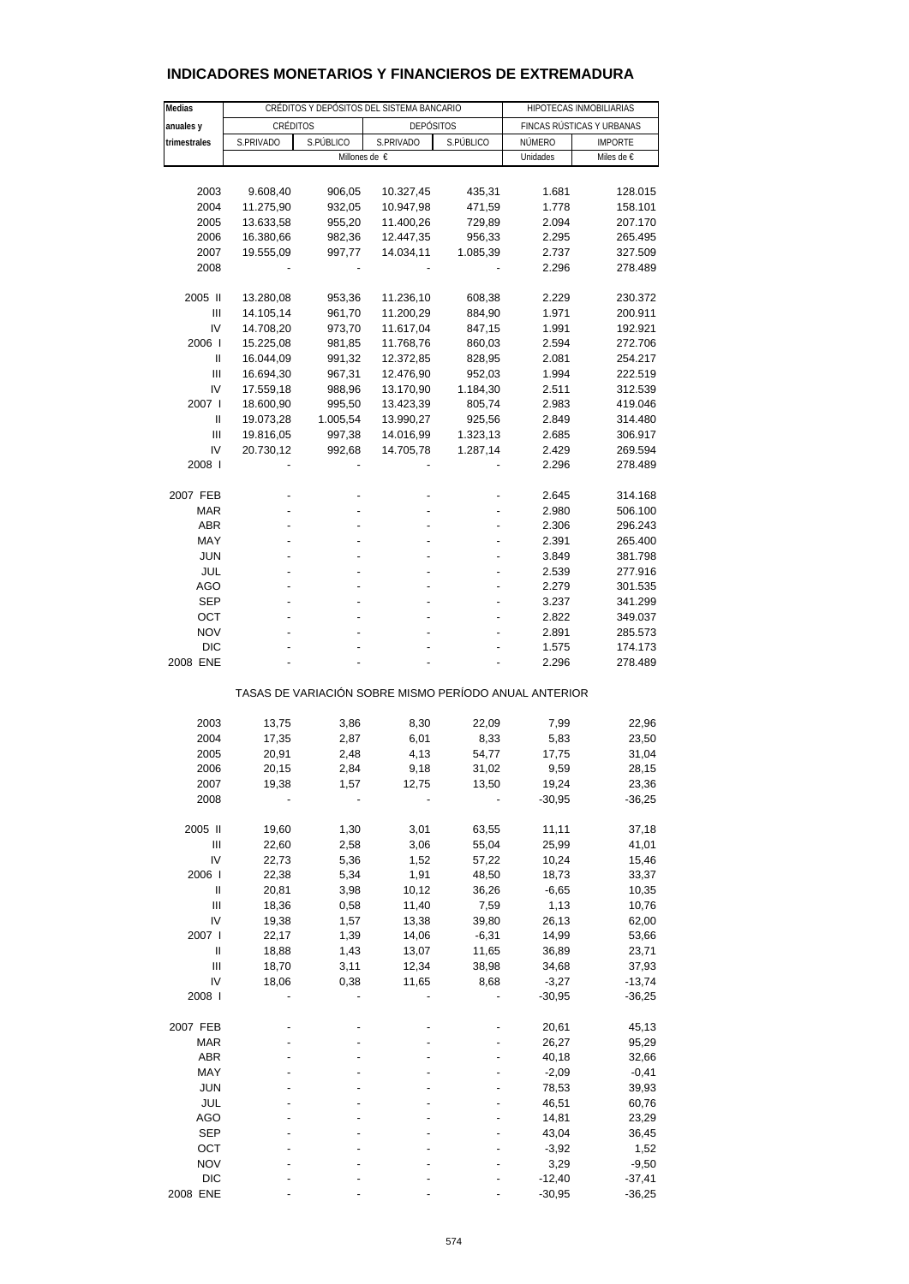| Medias                                                |           | CRÉDITOS Y DEPÓSITOS DEL SISTEMA BANCARIO |                  | HIPOTECAS INMOBILIARIAS |                           |                    |  |  |  |  |  |
|-------------------------------------------------------|-----------|-------------------------------------------|------------------|-------------------------|---------------------------|--------------------|--|--|--|--|--|
| anuales y                                             | CRÉDITOS  |                                           | <b>DEPÓSITOS</b> |                         | FINCAS RÚSTICAS Y URBANAS |                    |  |  |  |  |  |
| trimestrales                                          | S.PRIVADO | S.PÚBLICO                                 | S.PRIVADO        | S.PÚBLICO               | NÚMERO                    | <b>IMPORTE</b>     |  |  |  |  |  |
|                                                       |           |                                           | Millones de €    |                         | Unidades                  | Miles de €         |  |  |  |  |  |
|                                                       |           |                                           |                  |                         |                           |                    |  |  |  |  |  |
| 2003                                                  | 9.608,40  | 906,05                                    | 10.327,45        | 435,31                  | 1.681                     | 128.015            |  |  |  |  |  |
| 2004                                                  | 11.275,90 | 932,05                                    | 10.947,98        | 471,59                  | 1.778                     | 158.101            |  |  |  |  |  |
| 2005                                                  | 13.633,58 | 955,20                                    | 11.400,26        | 729,89                  | 2.094                     | 207.170            |  |  |  |  |  |
| 2006                                                  | 16.380,66 | 982,36                                    | 12.447,35        | 956,33                  | 2.295                     | 265.495            |  |  |  |  |  |
| 2007                                                  | 19.555,09 | 997,77                                    | 14.034,11        | 1.085,39                | 2.737                     | 327.509            |  |  |  |  |  |
| 2008                                                  |           |                                           |                  |                         | 2.296                     | 278.489            |  |  |  |  |  |
|                                                       |           |                                           |                  |                         |                           |                    |  |  |  |  |  |
| 2005 II                                               | 13.280,08 | 953,36                                    | 11.236,10        | 608,38                  | 2.229                     | 230.372            |  |  |  |  |  |
| Ш                                                     | 14.105,14 | 961,70                                    | 11.200,29        | 884,90                  | 1.971                     | 200.911            |  |  |  |  |  |
| IV                                                    | 14.708,20 | 973,70                                    | 11.617,04        | 847,15                  | 1.991                     | 192.921            |  |  |  |  |  |
| 2006                                                  | 15.225,08 | 981,85                                    | 11.768,76        | 860,03                  | 2.594                     | 272.706            |  |  |  |  |  |
| $\mathbf{I}$                                          | 16.044,09 | 991,32                                    | 12.372,85        | 828,95                  | 2.081                     | 254.217            |  |  |  |  |  |
| Ш                                                     | 16.694,30 | 967,31                                    | 12.476,90        | 952,03                  | 1.994                     | 222.519            |  |  |  |  |  |
| IV                                                    | 17.559,18 | 988,96                                    | 13.170,90        | 1.184,30                | 2.511                     | 312.539            |  |  |  |  |  |
| 2007 l                                                | 18.600,90 | 995,50                                    | 13.423,39        | 805,74                  | 2.983                     | 419.046            |  |  |  |  |  |
| Ш                                                     | 19.073,28 | 1.005,54                                  | 13.990,27        | 925,56                  | 2.849                     | 314.480            |  |  |  |  |  |
| Ш                                                     | 19.816,05 | 997,38                                    | 14.016,99        | 1.323,13                | 2.685                     | 306.917            |  |  |  |  |  |
| IV                                                    | 20.730,12 | 992,68                                    | 14.705,78        | 1.287,14                | 2.429                     | 269.594            |  |  |  |  |  |
| 2008 l                                                |           |                                           |                  |                         | 2.296                     | 278.489            |  |  |  |  |  |
|                                                       |           |                                           |                  |                         |                           |                    |  |  |  |  |  |
| 2007 FEB                                              |           |                                           |                  |                         | 2.645                     | 314.168            |  |  |  |  |  |
| MAR                                                   | ÷         |                                           |                  |                         | 2.980                     | 506.100            |  |  |  |  |  |
| ABR                                                   |           |                                           |                  |                         | 2.306                     | 296.243            |  |  |  |  |  |
| MAY                                                   |           |                                           |                  |                         | 2.391                     | 265.400            |  |  |  |  |  |
| <b>JUN</b>                                            |           |                                           |                  |                         | 3.849                     | 381.798            |  |  |  |  |  |
| JUL                                                   |           |                                           |                  |                         | 2.539                     | 277.916            |  |  |  |  |  |
| AGO                                                   |           |                                           |                  |                         | 2.279                     | 301.535            |  |  |  |  |  |
| <b>SEP</b>                                            |           |                                           |                  |                         | 3.237                     | 341.299            |  |  |  |  |  |
| ОСТ<br><b>NOV</b>                                     |           |                                           |                  |                         | 2.822                     | 349.037            |  |  |  |  |  |
| <b>DIC</b>                                            |           |                                           |                  |                         | 2.891<br>1.575            | 285.573<br>174.173 |  |  |  |  |  |
| 2008 ENE                                              |           |                                           |                  |                         | 2.296                     | 278.489            |  |  |  |  |  |
|                                                       |           |                                           |                  |                         |                           |                    |  |  |  |  |  |
| TASAS DE VARIACIÓN SOBRE MISMO PERÍODO ANUAL ANTERIOR |           |                                           |                  |                         |                           |                    |  |  |  |  |  |
|                                                       |           |                                           |                  |                         |                           |                    |  |  |  |  |  |
| 2003                                                  | 13,75     | 3,86                                      | 8,30             | 22,09                   | 7,99                      | 22,96              |  |  |  |  |  |
| 2004                                                  | 17,35     | 2,87                                      | 6,01             | 8,33                    | 5,83                      | 23,50              |  |  |  |  |  |
| 2005                                                  | 20,91     | 2,48                                      | 4,13             | 54,77                   | 17,75                     | 31,04              |  |  |  |  |  |
| 2006                                                  | 20,15     | 2,84                                      | 9,18             | 31,02                   | 9,59                      | 28,15              |  |  |  |  |  |
| 2007                                                  | 19,38     | 1,57                                      | 12,75            | 13,50                   | 19,24                     | 23,36              |  |  |  |  |  |
| 2008                                                  |           |                                           |                  |                         | $-30,95$                  | $-36,25$           |  |  |  |  |  |
| 2005 II                                               | 19,60     | 1,30                                      | 3,01             | 63,55                   | 11,11                     | 37,18              |  |  |  |  |  |
| $\mathbf{III}$                                        | 22,60     | 2,58                                      | 3,06             | 55,04                   | 25,99                     | 41,01              |  |  |  |  |  |
| IV                                                    | 22,73     | 5,36                                      | 1,52             | 57,22                   | 10,24                     | 15,46              |  |  |  |  |  |
| 2006                                                  | 22,38     | 5,34                                      | 1,91             | 48,50                   | 18,73                     | 33,37              |  |  |  |  |  |
| Ш                                                     | 20,81     | 3,98                                      | 10, 12           | 36,26                   | $-6,65$                   | 10,35              |  |  |  |  |  |
| Ш                                                     | 18,36     | 0,58                                      | 11,40            | 7,59                    | 1,13                      | 10,76              |  |  |  |  |  |
| IV                                                    | 19,38     | 1,57                                      | 13,38            | 39,80                   | 26,13                     | 62,00              |  |  |  |  |  |
| 2007 l                                                | 22,17     | 1,39                                      | 14,06            | $-6,31$                 | 14,99                     | 53,66              |  |  |  |  |  |
| $\begin{array}{c} \hline \end{array}$                 | 18,88     | 1,43                                      | 13,07            | 11,65                   | 36,89                     | 23,71              |  |  |  |  |  |
| Ш                                                     | 18,70     | 3,11                                      | 12,34            | 38,98                   | 34,68                     | 37,93              |  |  |  |  |  |
| IV                                                    | 18,06     | 0,38                                      | 11,65            | 8,68                    | $-3,27$                   | $-13,74$           |  |  |  |  |  |
| 2008                                                  |           |                                           |                  |                         | $-30,95$                  | $-36,25$           |  |  |  |  |  |
|                                                       |           |                                           |                  |                         |                           |                    |  |  |  |  |  |
| 2007 FEB                                              |           |                                           |                  |                         | 20,61                     | 45,13              |  |  |  |  |  |
| <b>MAR</b>                                            |           |                                           |                  |                         | 26,27                     | 95,29              |  |  |  |  |  |
| ABR                                                   |           |                                           |                  |                         | 40,18                     | 32,66              |  |  |  |  |  |
| MAY                                                   |           |                                           |                  |                         | $-2,09$                   | $-0,41$            |  |  |  |  |  |
| <b>JUN</b>                                            |           |                                           |                  |                         | 78,53                     | 39,93              |  |  |  |  |  |
| JUL                                                   |           |                                           |                  |                         | 46,51                     | 60,76              |  |  |  |  |  |
| AGO                                                   |           |                                           |                  |                         | 14,81                     | 23,29              |  |  |  |  |  |
| SEP                                                   |           |                                           |                  |                         | 43,04                     | 36,45              |  |  |  |  |  |
| ОСТ                                                   |           |                                           |                  |                         | $-3,92$                   | 1,52               |  |  |  |  |  |
| <b>NOV</b>                                            |           |                                           |                  |                         | 3,29                      | $-9,50$            |  |  |  |  |  |
| <b>DIC</b>                                            |           |                                           |                  |                         | $-12,40$                  | $-37,41$           |  |  |  |  |  |
| 2008 ENE                                              |           |                                           |                  |                         | $-30,95$                  | $-36,25$           |  |  |  |  |  |

# **INDICADORES MONETARIOS Y FINANCIEROS DE EXTREMADURA**